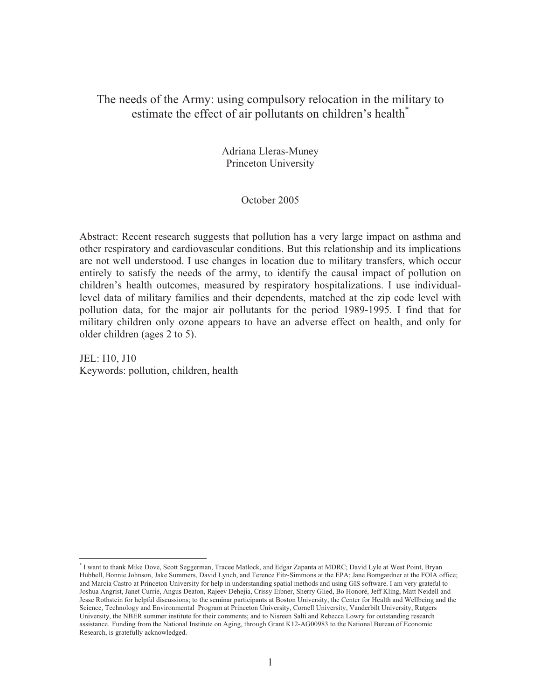# The needs of the Army: using compulsory relocation in the military to estimate the effect of air pollutants on children's health<sup>\*</sup>

Adriana Lleras-Muney Princeton University

### October 2005

Abstract: Recent research suggests that pollution has a very large impact on asthma and other respiratory and cardiovascular conditions. But this relationship and its implications are not well understood. I use changes in location due to military transfers, which occur entirely to satisfy the needs of the army, to identify the causal impact of pollution on children's health outcomes, measured by respiratory hospitalizations. I use individuallevel data of military families and their dependents, matched at the zip code level with pollution data, for the major air pollutants for the period 1989-1995. I find that for military children only ozone appears to have an adverse effect on health, and only for older children (ages 2 to 5).

JEL: I10, J10 Keywords: pollution, children, health

<sup>\*</sup> I want to thank Mike Dove, Scott Seggerman, Tracee Matlock, and Edgar Zapanta at MDRC; David Lyle at West Point, Bryan Hubbell, Bonnie Johnson, Jake Summers, David Lynch, and Terence Fitz-Simmons at the EPA; Jane Bomgardner at the FOIA office; and Marcia Castro at Princeton University for help in understanding spatial methods and using GIS software. I am very grateful to Joshua Angrist, Janet Currie, Angus Deaton, Rajeev Dehejia, Crissy Eibner, Sherry Glied, Bo Honoré, Jeff Kling, Matt Neidell and Jesse Rothstein for helpful discussions; to the seminar participants at Boston University, the Center for Health and Wellbeing and the Science, Technology and Environmental Program at Princeton University, Cornell University, Vanderbilt University, Rutgers University, the NBER summer institute for their comments; and to Nisreen Salti and Rebecca Lowry for outstanding research assistance. Funding from the National Institute on Aging, through Grant K12-AG00983 to the National Bureau of Economic Research, is gratefully acknowledged.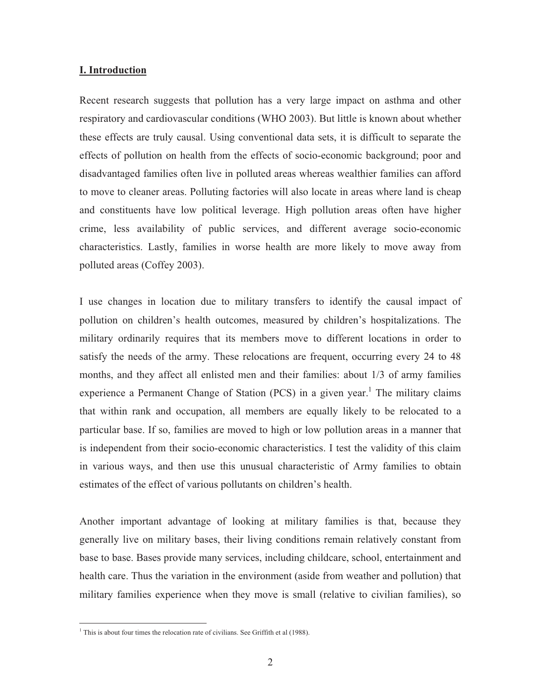#### **I. Introduction**

Recent research suggests that pollution has a very large impact on asthma and other respiratory and cardiovascular conditions (WHO 2003). But little is known about whether these effects are truly causal. Using conventional data sets, it is difficult to separate the effects of pollution on health from the effects of socio-economic background; poor and disadvantaged families often live in polluted areas whereas wealthier families can afford to move to cleaner areas. Polluting factories will also locate in areas where land is cheap and constituents have low political leverage. High pollution areas often have higher crime, less availability of public services, and different average socio-economic characteristics. Lastly, families in worse health are more likely to move away from polluted areas (Coffey 2003).

I use changes in location due to military transfers to identify the causal impact of pollution on children's health outcomes, measured by children's hospitalizations. The military ordinarily requires that its members move to different locations in order to satisfy the needs of the army. These relocations are frequent, occurring every 24 to 48 months, and they affect all enlisted men and their families: about 1/3 of army families experience a Permanent Change of Station (PCS) in a given year.<sup>1</sup> The military claims that within rank and occupation, all members are equally likely to be relocated to a particular base. If so, families are moved to high or low pollution areas in a manner that is independent from their socio-economic characteristics. I test the validity of this claim in various ways, and then use this unusual characteristic of Army families to obtain estimates of the effect of various pollutants on children's health.

Another important advantage of looking at military families is that, because they generally live on military bases, their living conditions remain relatively constant from base to base. Bases provide many services, including childcare, school, entertainment and health care. Thus the variation in the environment (aside from weather and pollution) that military families experience when they move is small (relative to civilian families), so

 1 This is about four times the relocation rate of civilians. See Griffith et al (1988).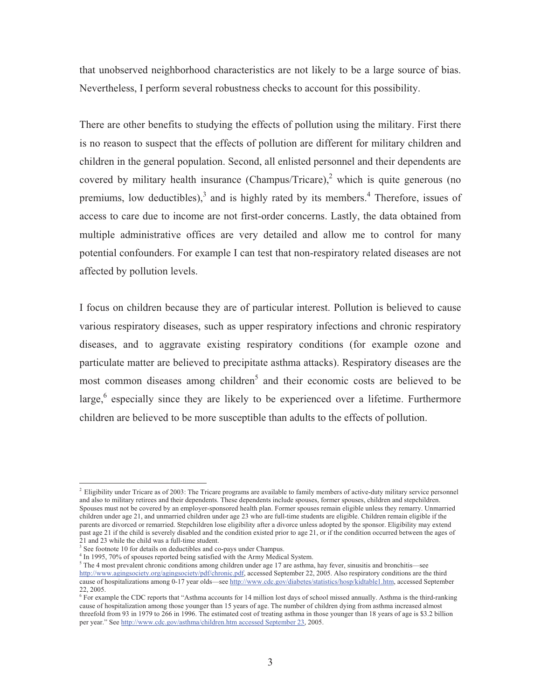that unobserved neighborhood characteristics are not likely to be a large source of bias. Nevertheless, I perform several robustness checks to account for this possibility.

There are other benefits to studying the effects of pollution using the military. First there is no reason to suspect that the effects of pollution are different for military children and children in the general population. Second, all enlisted personnel and their dependents are covered by military health insurance (Champus/Tricare),<sup>2</sup> which is quite generous (no premiums, low deductibles), $3$  and is highly rated by its members.<sup>4</sup> Therefore, issues of access to care due to income are not first-order concerns. Lastly, the data obtained from multiple administrative offices are very detailed and allow me to control for many potential confounders. For example I can test that non-respiratory related diseases are not affected by pollution levels.

I focus on children because they are of particular interest. Pollution is believed to cause various respiratory diseases, such as upper respiratory infections and chronic respiratory diseases, and to aggravate existing respiratory conditions (for example ozone and particulate matter are believed to precipitate asthma attacks). Respiratory diseases are the most common diseases among children<sup>5</sup> and their economic costs are believed to be large,<sup>6</sup> especially since they are likely to be experienced over a lifetime. Furthermore children are believed to be more susceptible than adults to the effects of pollution.

 $<sup>2</sup>$  Eligibility under Tricare as of 2003: The Tricare programs are available to family members of active-duty military service personnel</sup> and also to military retirees and their dependents. These dependents include spouses, former spouses, children and stepchildren. Spouses must not be covered by an employer-sponsored health plan. Former spouses remain eligible unless they remarry. Unmarried children under age 21, and unmarried children under age 23 who are full-time students are eligible. Children remain eligible if the parents are divorced or remarried. Stepchildren lose eligibility after a divorce unless adopted by the sponsor. Eligibility may extend past age 21 if the child is severely disabled and the condition existed prior to age 21, or if the condition occurred between the ages of 21 and 23 while the child was a full-time student.

<sup>&</sup>lt;sup>3</sup> See footnote 10 for details on deductibles and co-pays under Champus.

<sup>&</sup>lt;sup>4</sup> In 1995, 70% of spouses reported being satisfied with the Army Medical System.

 $5$  The 4 most prevalent chronic conditions among children under age 17 are asthma, hay fever, sinusitis and bronchitis—see http://www.agingsociety.org/agingsociety/pdf/chronic.pdf, accessed September 22, 2005. Also respiratory conditions are the third cause of hospitalizations among 0-17 year olds—see http://www.cdc.gov/diabetes/statistics/hosp/kidtable1.htm, accessed September 22, 2005.

<sup>&</sup>lt;sup>6</sup> For example the CDC reports that "Asthma accounts for 14 million lost days of school missed annually. Asthma is the third-ranking cause of hospitalization among those younger than 15 years of age. The number of children dying from asthma increased almost threefold from 93 in 1979 to 266 in 1996. The estimated cost of treating asthma in those younger than 18 years of age is \$3.2 billion per year." See http://www.cdc.gov/asthma/children.htm accessed September 23, 2005.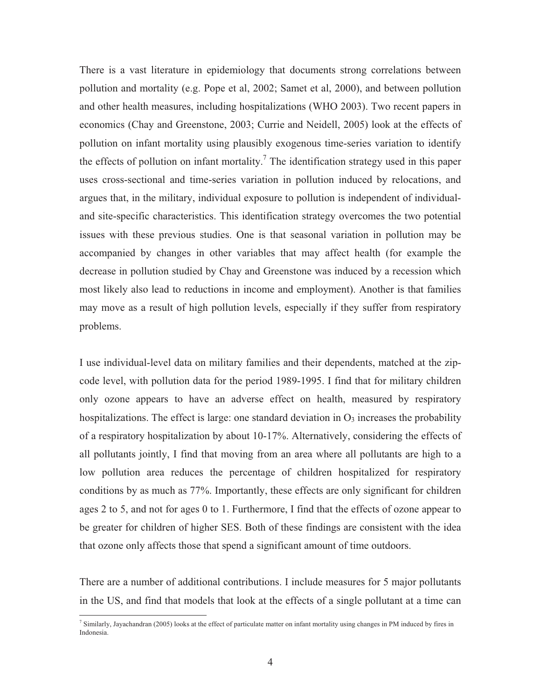There is a vast literature in epidemiology that documents strong correlations between pollution and mortality (e.g. Pope et al, 2002; Samet et al, 2000), and between pollution and other health measures, including hospitalizations (WHO 2003). Two recent papers in economics (Chay and Greenstone, 2003; Currie and Neidell, 2005) look at the effects of pollution on infant mortality using plausibly exogenous time-series variation to identify the effects of pollution on infant mortality.<sup>7</sup> The identification strategy used in this paper uses cross-sectional and time-series variation in pollution induced by relocations, and argues that, in the military, individual exposure to pollution is independent of individualand site-specific characteristics. This identification strategy overcomes the two potential issues with these previous studies. One is that seasonal variation in pollution may be accompanied by changes in other variables that may affect health (for example the decrease in pollution studied by Chay and Greenstone was induced by a recession which most likely also lead to reductions in income and employment). Another is that families may move as a result of high pollution levels, especially if they suffer from respiratory problems.

I use individual-level data on military families and their dependents, matched at the zipcode level, with pollution data for the period 1989-1995. I find that for military children only ozone appears to have an adverse effect on health, measured by respiratory hospitalizations. The effect is large: one standard deviation in  $O_3$  increases the probability of a respiratory hospitalization by about 10-17%. Alternatively, considering the effects of all pollutants jointly, I find that moving from an area where all pollutants are high to a low pollution area reduces the percentage of children hospitalized for respiratory conditions by as much as 77%. Importantly, these effects are only significant for children ages 2 to 5, and not for ages 0 to 1. Furthermore, I find that the effects of ozone appear to be greater for children of higher SES. Both of these findings are consistent with the idea that ozone only affects those that spend a significant amount of time outdoors.

There are a number of additional contributions. I include measures for 5 major pollutants in the US, and find that models that look at the effects of a single pollutant at a time can

 7 Similarly, Jayachandran (2005) looks at the effect of particulate matter on infant mortality using changes in PM induced by fires in Indonesia.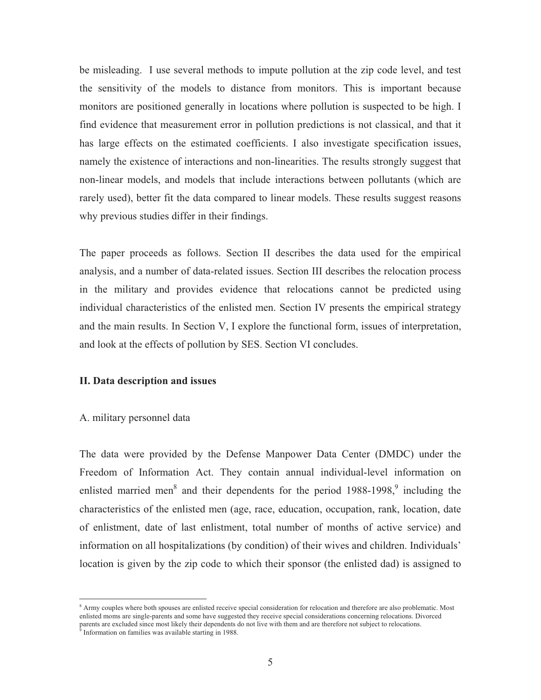be misleading. I use several methods to impute pollution at the zip code level, and test the sensitivity of the models to distance from monitors. This is important because monitors are positioned generally in locations where pollution is suspected to be high. I find evidence that measurement error in pollution predictions is not classical, and that it has large effects on the estimated coefficients. I also investigate specification issues, namely the existence of interactions and non-linearities. The results strongly suggest that non-linear models, and models that include interactions between pollutants (which are rarely used), better fit the data compared to linear models. These results suggest reasons why previous studies differ in their findings.

The paper proceeds as follows. Section II describes the data used for the empirical analysis, and a number of data-related issues. Section III describes the relocation process in the military and provides evidence that relocations cannot be predicted using individual characteristics of the enlisted men. Section IV presents the empirical strategy and the main results. In Section V, I explore the functional form, issues of interpretation, and look at the effects of pollution by SES. Section VI concludes.

### **II. Data description and issues**

#### A. military personnel data

The data were provided by the Defense Manpower Data Center (DMDC) under the Freedom of Information Act. They contain annual individual-level information on enlisted married men<sup>8</sup> and their dependents for the period  $1988-1998$ , including the characteristics of the enlisted men (age, race, education, occupation, rank, location, date of enlistment, date of last enlistment, total number of months of active service) and information on all hospitalizations (by condition) of their wives and children. Individuals' location is given by the zip code to which their sponsor (the enlisted dad) is assigned to

<sup>&</sup>lt;sup>8</sup> Army couples where both spouses are enlisted receive special consideration for relocation and therefore are also problematic. Most enlisted moms are single-parents and some have suggested they receive special considerations concerning relocations. Divorced parents are excluded since most likely their dependents do not live with them and are therefore not subject to relocations.<br><sup>9</sup> Information on families was available starting in 1988.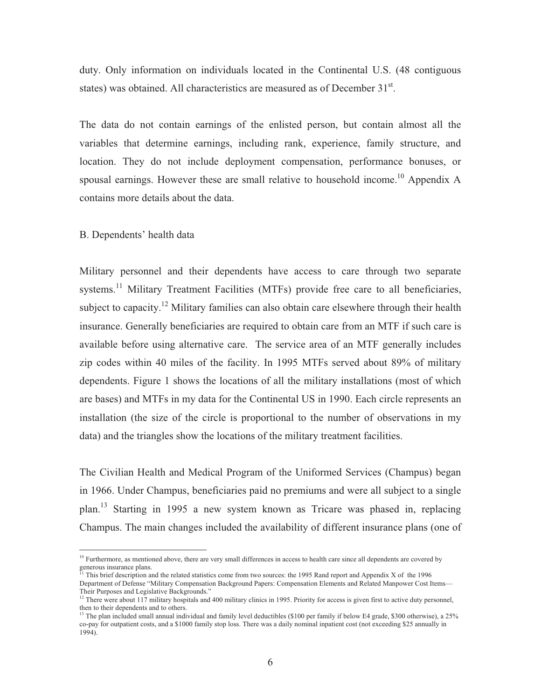duty. Only information on individuals located in the Continental U.S. (48 contiguous states) was obtained. All characteristics are measured as of December  $31<sup>st</sup>$ .

The data do not contain earnings of the enlisted person, but contain almost all the variables that determine earnings, including rank, experience, family structure, and location. They do not include deployment compensation, performance bonuses, or spousal earnings. However these are small relative to household income.<sup>10</sup> Appendix A contains more details about the data.

### B. Dependents' health data

 $\overline{a}$ 

Military personnel and their dependents have access to care through two separate systems.<sup>11</sup> Military Treatment Facilities (MTFs) provide free care to all beneficiaries, subject to capacity.<sup>12</sup> Military families can also obtain care elsewhere through their health insurance. Generally beneficiaries are required to obtain care from an MTF if such care is available before using alternative care. The service area of an MTF generally includes zip codes within 40 miles of the facility. In 1995 MTFs served about 89% of military dependents. Figure 1 shows the locations of all the military installations (most of which are bases) and MTFs in my data for the Continental US in 1990. Each circle represents an installation (the size of the circle is proportional to the number of observations in my data) and the triangles show the locations of the military treatment facilities.

The Civilian Health and Medical Program of the Uniformed Services (Champus) began in 1966. Under Champus, beneficiaries paid no premiums and were all subject to a single plan.13 Starting in 1995 a new system known as Tricare was phased in, replacing Champus. The main changes included the availability of different insurance plans (one of

<sup>&</sup>lt;sup>10</sup> Furthermore, as mentioned above, there are very small differences in access to health care since all dependents are covered by generous insurance plans.

<sup>11</sup> This brief description and the related statistics come from two sources: the 1995 Rand report and Appendix X of the 1996 Department of Defense "Military Compensation Background Papers: Compensation Elements and Related Manpower Cost Items— Their Purposes and Legislative Backgrounds."

 $12$  There were about 117 military hospitals and 400 military clinics in 1995. Priority for access is given first to active duty personnel,

then to their dependents and to others.<br><sup>13</sup> The plan included small annual individual and family level deductibles (\$100 per family if below E4 grade, \$300 otherwise), a 25% co-pay for outpatient costs, and a \$1000 family stop loss. There was a daily nominal inpatient cost (not exceeding \$25 annually in 1994).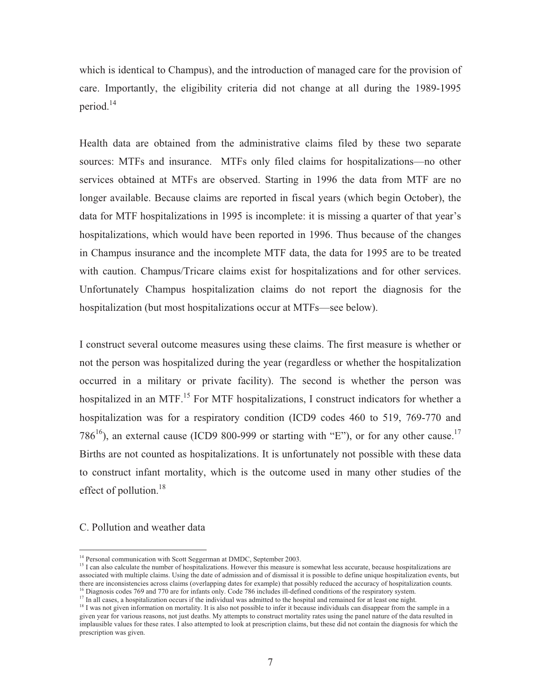which is identical to Champus), and the introduction of managed care for the provision of care. Importantly, the eligibility criteria did not change at all during the 1989-1995 period.<sup>14</sup>

Health data are obtained from the administrative claims filed by these two separate sources: MTFs and insurance. MTFs only filed claims for hospitalizations—no other services obtained at MTFs are observed. Starting in 1996 the data from MTF are no longer available. Because claims are reported in fiscal years (which begin October), the data for MTF hospitalizations in 1995 is incomplete: it is missing a quarter of that year's hospitalizations, which would have been reported in 1996. Thus because of the changes in Champus insurance and the incomplete MTF data, the data for 1995 are to be treated with caution. Champus/Tricare claims exist for hospitalizations and for other services. Unfortunately Champus hospitalization claims do not report the diagnosis for the hospitalization (but most hospitalizations occur at MTFs—see below).

I construct several outcome measures using these claims. The first measure is whether or not the person was hospitalized during the year (regardless or whether the hospitalization occurred in a military or private facility). The second is whether the person was hospitalized in an MTF.<sup>15</sup> For MTF hospitalizations, I construct indicators for whether a hospitalization was for a respiratory condition (ICD9 codes 460 to 519, 769-770 and 786<sup>16</sup>), an external cause (ICD9 800-999 or starting with "E"), or for any other cause.<sup>17</sup> Births are not counted as hospitalizations. It is unfortunately not possible with these data to construct infant mortality, which is the outcome used in many other studies of the effect of pollution.<sup>18</sup>

C. Pollution and weather data

<sup>&</sup>lt;sup>14</sup> Personal communication with Scott Seggerman at DMDC, September 2003.

<sup>&</sup>lt;sup>15</sup> I can also calculate the number of hospitalizations. However this measure is somewhat less accurate, because hospitalizations are associated with multiple claims. Using the date of admission and of dismissal it is possible to define unique hospitalization events, but there are inconsistencies across claims (overlapping dates for example) that possibl <sup>16</sup> Diagnosis codes 769 and 770 are for infants only. Code 786 includes ill-defined conditions of the respiratory system.

<sup>&</sup>lt;sup>17</sup> In all cases, a hospitalization occurs if the individual was admitted to the hospital and remained for at least one night.

<sup>&</sup>lt;sup>18</sup> I was not given information on mortality. It is also not possible to infer it because individuals can disappear from the sample in a given year for various reasons, not just deaths. My attempts to construct mortality rates using the panel nature of the data resulted in implausible values for these rates. I also attempted to look at prescription claims, but these did not contain the diagnosis for which the prescription was given.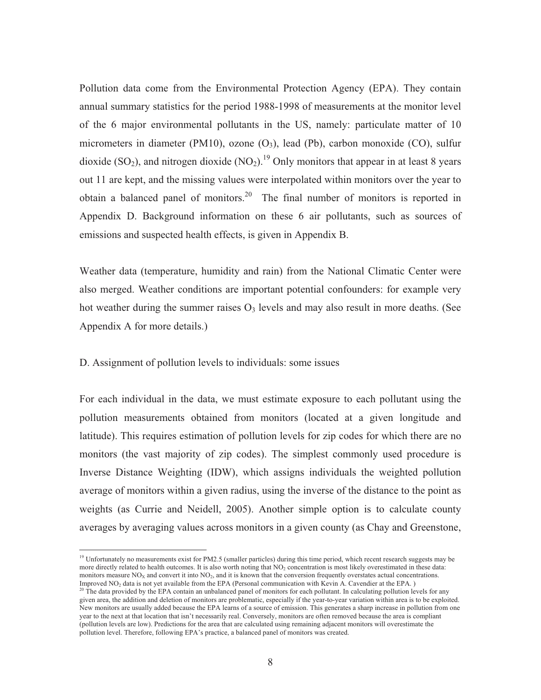Pollution data come from the Environmental Protection Agency (EPA). They contain annual summary statistics for the period 1988-1998 of measurements at the monitor level of the 6 major environmental pollutants in the US, namely: particulate matter of 10 micrometers in diameter (PM10), ozone  $(O_3)$ , lead (Pb), carbon monoxide (CO), sulfur dioxide (SO<sub>2</sub>), and nitrogen dioxide (NO<sub>2</sub>).<sup>19</sup> Only monitors that appear in at least 8 years out 11 are kept, and the missing values were interpolated within monitors over the year to obtain a balanced panel of monitors.<sup>20</sup> The final number of monitors is reported in Appendix D. Background information on these 6 air pollutants, such as sources of emissions and suspected health effects, is given in Appendix B.

Weather data (temperature, humidity and rain) from the National Climatic Center were also merged. Weather conditions are important potential confounders: for example very hot weather during the summer raises  $O_3$  levels and may also result in more deaths. (See Appendix A for more details.)

### D. Assignment of pollution levels to individuals: some issues

 $\overline{a}$ 

For each individual in the data, we must estimate exposure to each pollutant using the pollution measurements obtained from monitors (located at a given longitude and latitude). This requires estimation of pollution levels for zip codes for which there are no monitors (the vast majority of zip codes). The simplest commonly used procedure is Inverse Distance Weighting (IDW), which assigns individuals the weighted pollution average of monitors within a given radius, using the inverse of the distance to the point as weights (as Currie and Neidell, 2005). Another simple option is to calculate county averages by averaging values across monitors in a given county (as Chay and Greenstone,

<sup>&</sup>lt;sup>19</sup> Unfortunately no measurements exist for PM2.5 (smaller particles) during this time period, which recent research suggests may be more directly related to health outcomes. It is also worth noting that NO<sub>2</sub> concentration is most likely overestimated in these data: monitors measure  $NO<sub>X</sub>$  and convert it into  $NO<sub>2</sub>$ , and it is known that the conversion frequently overstates actual concentrations.<br>Improved  $NO<sub>2</sub>$  data is not yet available from the EPA (Personal communicatio

 $^{20}$  The data provided by the EPA contain an unbalanced panel of monitors for each pollutant. In calculating pollution levels for any given area, the addition and deletion of monitors are problematic, especially if the year-to-year variation within area is to be exploited. New monitors are usually added because the EPA learns of a source of emission. This generates a sharp increase in pollution from one year to the next at that location that isn't necessarily real. Conversely, monitors are often removed because the area is compliant (pollution levels are low). Predictions for the area that are calculated using remaining adjacent monitors will overestimate the pollution level. Therefore, following EPA's practice, a balanced panel of monitors was created.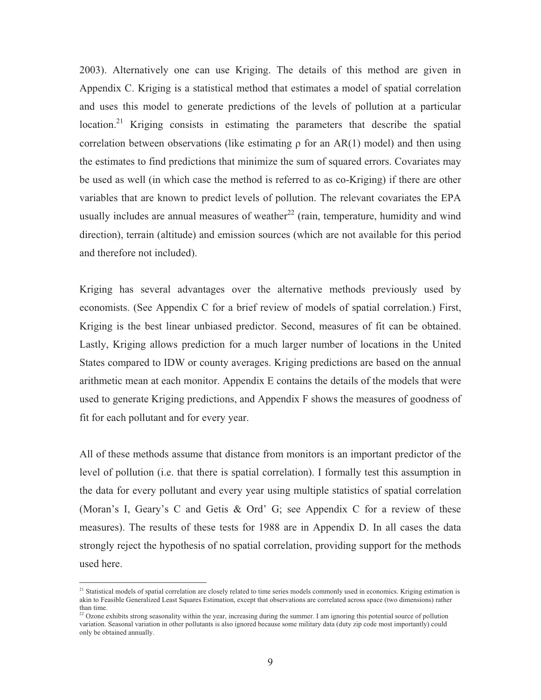2003). Alternatively one can use Kriging. The details of this method are given in Appendix C. Kriging is a statistical method that estimates a model of spatial correlation and uses this model to generate predictions of the levels of pollution at a particular location.<sup>21</sup> Kriging consists in estimating the parameters that describe the spatial correlation between observations (like estimating  $\rho$  for an AR(1) model) and then using the estimates to find predictions that minimize the sum of squared errors. Covariates may be used as well (in which case the method is referred to as co-Kriging) if there are other variables that are known to predict levels of pollution. The relevant covariates the EPA usually includes are annual measures of weather<sup>22</sup> (rain, temperature, humidity and wind direction), terrain (altitude) and emission sources (which are not available for this period and therefore not included).

Kriging has several advantages over the alternative methods previously used by economists. (See Appendix C for a brief review of models of spatial correlation.) First, Kriging is the best linear unbiased predictor. Second, measures of fit can be obtained. Lastly, Kriging allows prediction for a much larger number of locations in the United States compared to IDW or county averages. Kriging predictions are based on the annual arithmetic mean at each monitor. Appendix E contains the details of the models that were used to generate Kriging predictions, and Appendix F shows the measures of goodness of fit for each pollutant and for every year.

All of these methods assume that distance from monitors is an important predictor of the level of pollution (i.e. that there is spatial correlation). I formally test this assumption in the data for every pollutant and every year using multiple statistics of spatial correlation (Moran's I, Geary's C and Getis & Ord' G; see Appendix C for a review of these measures). The results of these tests for 1988 are in Appendix D. In all cases the data strongly reject the hypothesis of no spatial correlation, providing support for the methods used here.

<sup>&</sup>lt;sup>21</sup> Statistical models of spatial correlation are closely related to time series models commonly used in economics. Kriging estimation is akin to Feasible Generalized Least Squares Estimation, except that observations are correlated across space (two dimensions) rather than time.<br><sup>22</sup> Ozone exhibits strong seasonality within the year, increasing during the summer. I am ignoring this potential source of pollution

variation. Seasonal variation in other pollutants is also ignored because some military data (duty zip code most importantly) could only be obtained annually.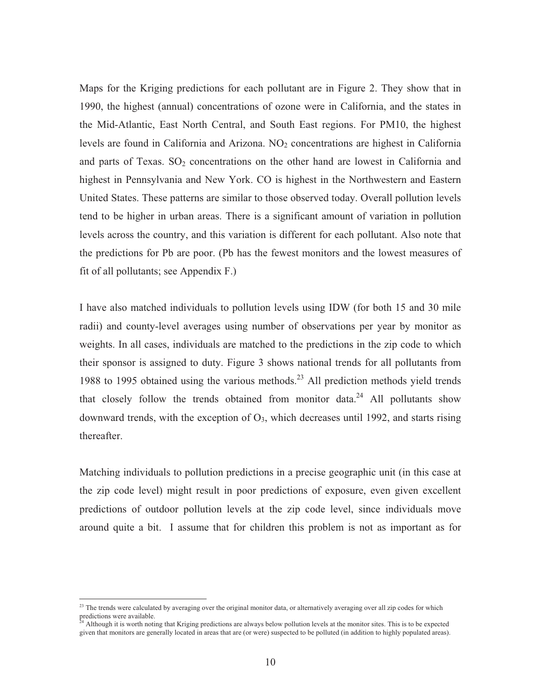Maps for the Kriging predictions for each pollutant are in Figure 2. They show that in 1990, the highest (annual) concentrations of ozone were in California, and the states in the Mid-Atlantic, East North Central, and South East regions. For PM10, the highest levels are found in California and Arizona.  $NO<sub>2</sub>$  concentrations are highest in California and parts of Texas.  $SO_2$  concentrations on the other hand are lowest in California and highest in Pennsylvania and New York. CO is highest in the Northwestern and Eastern United States. These patterns are similar to those observed today. Overall pollution levels tend to be higher in urban areas. There is a significant amount of variation in pollution levels across the country, and this variation is different for each pollutant. Also note that the predictions for Pb are poor. (Pb has the fewest monitors and the lowest measures of fit of all pollutants; see Appendix F.)

I have also matched individuals to pollution levels using IDW (for both 15 and 30 mile radii) and county-level averages using number of observations per year by monitor as weights. In all cases, individuals are matched to the predictions in the zip code to which their sponsor is assigned to duty. Figure 3 shows national trends for all pollutants from 1988 to 1995 obtained using the various methods.23 All prediction methods yield trends that closely follow the trends obtained from monitor data. $24$  All pollutants show downward trends, with the exception of  $O<sub>3</sub>$ , which decreases until 1992, and starts rising thereafter.

Matching individuals to pollution predictions in a precise geographic unit (in this case at the zip code level) might result in poor predictions of exposure, even given excellent predictions of outdoor pollution levels at the zip code level, since individuals move around quite a bit. I assume that for children this problem is not as important as for

 $23$  The trends were calculated by averaging over the original monitor data, or alternatively averaging over all zip codes for which predictions were available.

<sup>24</sup> Although it is worth noting that Kriging predictions are always below pollution levels at the monitor sites. This is to be expected given that monitors are generally located in areas that are (or were) suspected to be polluted (in addition to highly populated areas).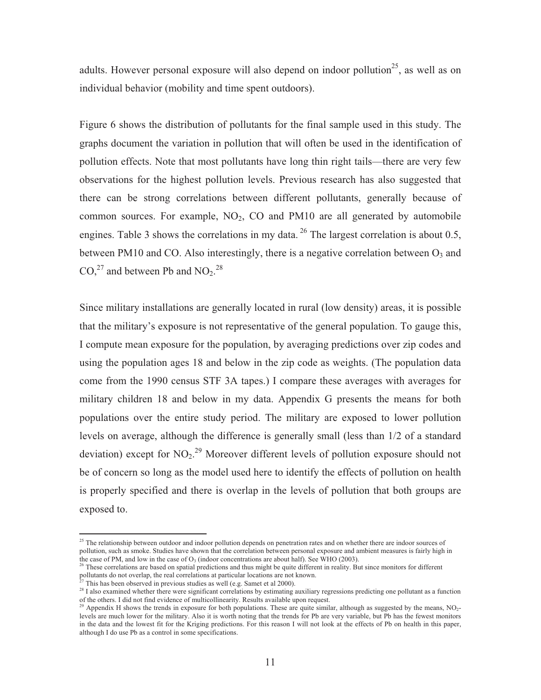adults. However personal exposure will also depend on indoor pollution<sup>25</sup>, as well as on individual behavior (mobility and time spent outdoors).

Figure 6 shows the distribution of pollutants for the final sample used in this study. The graphs document the variation in pollution that will often be used in the identification of pollution effects. Note that most pollutants have long thin right tails—there are very few observations for the highest pollution levels. Previous research has also suggested that there can be strong correlations between different pollutants, generally because of common sources. For example,  $NO<sub>2</sub>$ , CO and PM10 are all generated by automobile engines. Table 3 shows the correlations in my data. <sup>26</sup> The largest correlation is about 0.5, between PM10 and CO. Also interestingly, there is a negative correlation between  $O_3$  and  $CO<sub>1</sub><sup>27</sup>$  and between Pb and NO<sub>2</sub>.<sup>28</sup>

Since military installations are generally located in rural (low density) areas, it is possible that the military's exposure is not representative of the general population. To gauge this, I compute mean exposure for the population, by averaging predictions over zip codes and using the population ages 18 and below in the zip code as weights. (The population data come from the 1990 census STF 3A tapes.) I compare these averages with averages for military children 18 and below in my data. Appendix G presents the means for both populations over the entire study period. The military are exposed to lower pollution levels on average, although the difference is generally small (less than 1/2 of a standard deviation) except for  $NO<sub>2</sub>$ .<sup>29</sup> Moreover different levels of pollution exposure should not be of concern so long as the model used here to identify the effects of pollution on health is properly specified and there is overlap in the levels of pollution that both groups are exposed to.

<sup>&</sup>lt;sup>25</sup> The relationship between outdoor and indoor pollution depends on penetration rates and on whether there are indoor sources of pollution, such as smoke. Studies have shown that the correlation between personal exposure and ambient measures is fairly high in the case of PM, and low in the case of O<sub>3</sub> (indoor concentrations are about half). See WH

<sup>&</sup>lt;sup>26</sup> These correlations are based on spatial predictions and thus might be quite different in reality. But since monitors for different pollutants do not overlap, the real correlations at particular locations are not known.

<sup>&</sup>lt;sup>27</sup> This has been observed in previous studies as well (e.g. Samet et al 2000).

<sup>&</sup>lt;sup>28</sup> I also examined whether there were significant correlations by estimating auxiliary regressions predicting one pollutant as a function of the others. I did not find evidence of multicollinearity. Results available upon request.

<sup>&</sup>lt;sup>29</sup> Appendix H shows the trends in exposure for both populations. These are quite similar, although as suggested by the means,  $NO<sub>2</sub>$ levels are much lower for the military. Also it is worth noting that the trends for Pb are very variable, but Pb has the fewest monitors in the data and the lowest fit for the Kriging predictions. For this reason I will not look at the effects of Pb on health in this paper, although I do use Pb as a control in some specifications.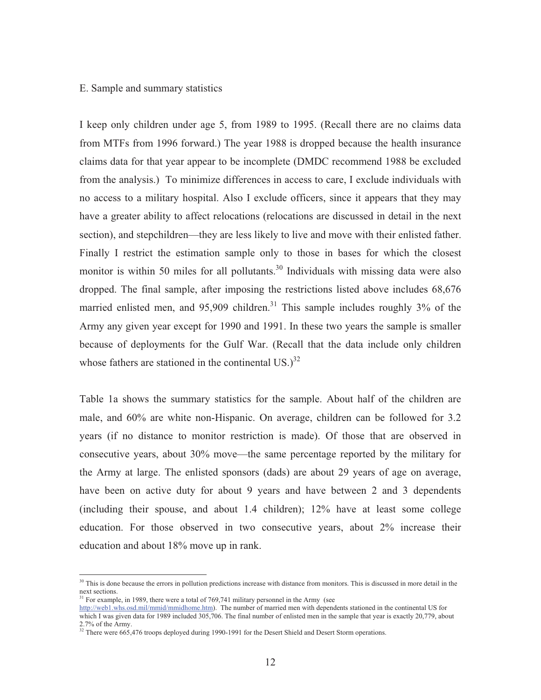#### E. Sample and summary statistics

I keep only children under age 5, from 1989 to 1995. (Recall there are no claims data from MTFs from 1996 forward.) The year 1988 is dropped because the health insurance claims data for that year appear to be incomplete (DMDC recommend 1988 be excluded from the analysis.) To minimize differences in access to care, I exclude individuals with no access to a military hospital. Also I exclude officers, since it appears that they may have a greater ability to affect relocations (relocations are discussed in detail in the next section), and stepchildren—they are less likely to live and move with their enlisted father. Finally I restrict the estimation sample only to those in bases for which the closest monitor is within 50 miles for all pollutants.<sup>30</sup> Individuals with missing data were also dropped. The final sample, after imposing the restrictions listed above includes 68,676 married enlisted men, and  $95,909$  children.<sup>31</sup> This sample includes roughly  $3\%$  of the Army any given year except for 1990 and 1991. In these two years the sample is smaller because of deployments for the Gulf War. (Recall that the data include only children whose fathers are stationed in the continental US.) $^{32}$ 

Table 1a shows the summary statistics for the sample. About half of the children are male, and 60% are white non-Hispanic. On average, children can be followed for 3.2 years (if no distance to monitor restriction is made). Of those that are observed in consecutive years, about 30% move—the same percentage reported by the military for the Army at large. The enlisted sponsors (dads) are about 29 years of age on average, have been on active duty for about 9 years and have between 2 and 3 dependents (including their spouse, and about 1.4 children); 12% have at least some college education. For those observed in two consecutive years, about 2% increase their education and about 18% move up in rank.

 $30$  This is done because the errors in pollution predictions increase with distance from monitors. This is discussed in more detail in the next sections.

 $31$  For example, in 1989, there were a total of 769,741 military personnel in the Army (see

http://web1.whs.osd.mil/mmid/mmidhome.htm). The number of married men with dependents stationed in the continental US for which I was given data for 1989 included 305,706. The final number of enlisted men in the sample that year is exactly 20,779, about 2.7% of the Army.

<sup>&</sup>lt;sup>32</sup> There were 665,476 troops deployed during 1990-1991 for the Desert Shield and Desert Storm operations.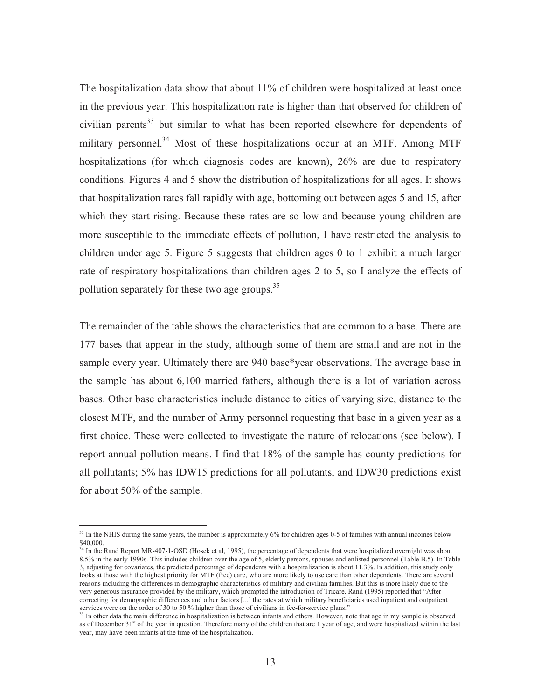The hospitalization data show that about  $11\%$  of children were hospitalized at least once in the previous year. This hospitalization rate is higher than that observed for children of civilian parents<sup>33</sup> but similar to what has been reported elsewhere for dependents of military personnel.<sup>34</sup> Most of these hospitalizations occur at an MTF. Among MTF hospitalizations (for which diagnosis codes are known), 26% are due to respiratory conditions. Figures 4 and 5 show the distribution of hospitalizations for all ages. It shows that hospitalization rates fall rapidly with age, bottoming out between ages 5 and 15, after which they start rising. Because these rates are so low and because young children are more susceptible to the immediate effects of pollution, I have restricted the analysis to children under age 5. Figure 5 suggests that children ages 0 to 1 exhibit a much larger rate of respiratory hospitalizations than children ages 2 to 5, so I analyze the effects of pollution separately for these two age groups. $35$ 

The remainder of the table shows the characteristics that are common to a base. There are 177 bases that appear in the study, although some of them are small and are not in the sample every year. Ultimately there are 940 base\*year observations. The average base in the sample has about 6,100 married fathers, although there is a lot of variation across bases. Other base characteristics include distance to cities of varying size, distance to the closest MTF, and the number of Army personnel requesting that base in a given year as a first choice. These were collected to investigate the nature of relocations (see below). I report annual pollution means. I find that 18% of the sample has county predictions for all pollutants; 5% has IDW15 predictions for all pollutants, and IDW30 predictions exist for about 50% of the sample.

<sup>&</sup>lt;sup>33</sup> In the NHIS during the same years, the number is approximately 6% for children ages 0-5 of families with annual incomes below \$40,000.

<sup>&</sup>lt;sup>34</sup> In the Rand Report MR-407-1-OSD (Hosek et al, 1995), the percentage of dependents that were hospitalized overnight was about 8.5% in the early 1990s. This includes children over the age of 5, elderly persons, spouses and enlisted personnel (Table B.5). In Table 3, adjusting for covariates, the predicted percentage of dependents with a hospitalization is about 11.3%. In addition, this study only looks at those with the highest priority for MTF (free) care, who are more likely to use care than other dependents. There are several reasons including the differences in demographic characteristics of military and civilian families. But this is more likely due to the very generous insurance provided by the military, which prompted the introduction of Tricare. Rand (1995) reported that "After correcting for demographic differences and other factors [...] the rates at which military beneficiaries used inpatient and outpatient services were on the order of 30 to 50 % higher than those of civilians in fee-for-service plans."<br><sup>35</sup> In other data the main difference in hospitalization is between infants and others. However, note that age in my sampl

as of December 31<sup>st</sup> of the year in question. Therefore many of the children that are 1 year of age, and were hospitalized within the last year, may have been infants at the time of the hospitalization.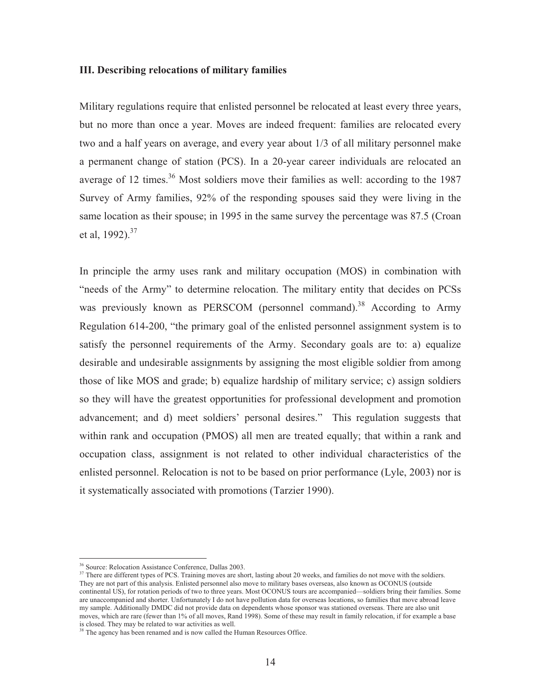### **III. Describing relocations of military families**

Military regulations require that enlisted personnel be relocated at least every three years, but no more than once a year. Moves are indeed frequent: families are relocated every two and a half years on average, and every year about 1/3 of all military personnel make a permanent change of station (PCS). In a 20-year career individuals are relocated an average of 12 times.<sup>36</sup> Most soldiers move their families as well: according to the 1987 Survey of Army families, 92% of the responding spouses said they were living in the same location as their spouse; in 1995 in the same survey the percentage was 87.5 (Croan et al.  $1992$ ).<sup>37</sup>

In principle the army uses rank and military occupation (MOS) in combination with "needs of the Army" to determine relocation. The military entity that decides on PCSs was previously known as PERSCOM (personnel command).<sup>38</sup> According to Army Regulation 614-200, "the primary goal of the enlisted personnel assignment system is to satisfy the personnel requirements of the Army. Secondary goals are to: a) equalize desirable and undesirable assignments by assigning the most eligible soldier from among those of like MOS and grade; b) equalize hardship of military service; c) assign soldiers so they will have the greatest opportunities for professional development and promotion advancement; and d) meet soldiers' personal desires." This regulation suggests that within rank and occupation (PMOS) all men are treated equally; that within a rank and occupation class, assignment is not related to other individual characteristics of the enlisted personnel. Relocation is not to be based on prior performance (Lyle, 2003) nor is it systematically associated with promotions (Tarzier 1990).

<sup>36</sup> Source: Relocation Assistance Conference, Dallas 2003.

<sup>&</sup>lt;sup>37</sup> There are different types of PCS. Training moves are short, lasting about 20 weeks, and families do not move with the soldiers. They are not part of this analysis. Enlisted personnel also move to military bases overseas, also known as OCONUS (outside continental US), for rotation periods of two to three years. Most OCONUS tours are accompanied—soldiers bring their families. Some are unaccompanied and shorter. Unfortunately I do not have pollution data for overseas locations, so families that move abroad leave my sample. Additionally DMDC did not provide data on dependents whose sponsor was stationed overseas. There are also unit moves, which are rare (fewer than 1% of all moves, Rand 1998). Some of these may result in family relocation, if for example a base is closed. They may be related to war activities as well.

<sup>&</sup>lt;sup>38</sup> The agency has been renamed and is now called the Human Resources Office.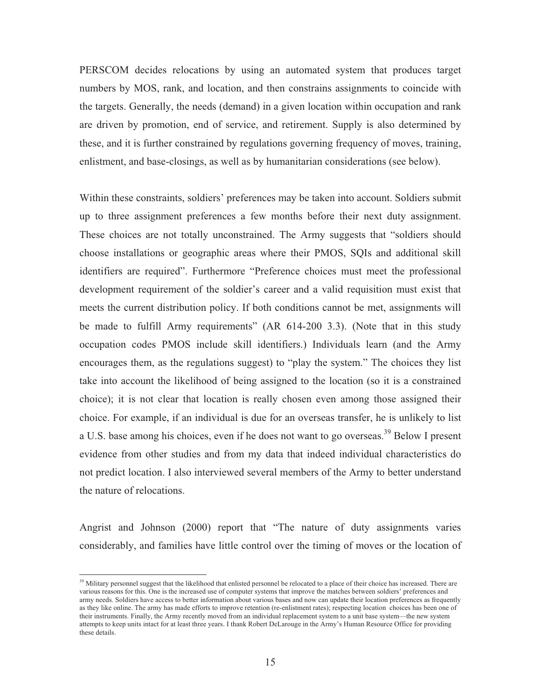PERSCOM decides relocations by using an automated system that produces target numbers by MOS, rank, and location, and then constrains assignments to coincide with the targets. Generally, the needs (demand) in a given location within occupation and rank are driven by promotion, end of service, and retirement. Supply is also determined by these, and it is further constrained by regulations governing frequency of moves, training, enlistment, and base-closings, as well as by humanitarian considerations (see below).

Within these constraints, soldiers' preferences may be taken into account. Soldiers submit up to three assignment preferences a few months before their next duty assignment. These choices are not totally unconstrained. The Army suggests that "soldiers should choose installations or geographic areas where their PMOS, SQIs and additional skill identifiers are required". Furthermore "Preference choices must meet the professional development requirement of the soldier's career and a valid requisition must exist that meets the current distribution policy. If both conditions cannot be met, assignments will be made to fulfill Army requirements" (AR 614-200 3.3). (Note that in this study occupation codes PMOS include skill identifiers.) Individuals learn (and the Army encourages them, as the regulations suggest) to "play the system." The choices they list take into account the likelihood of being assigned to the location (so it is a constrained choice); it is not clear that location is really chosen even among those assigned their choice. For example, if an individual is due for an overseas transfer, he is unlikely to list a U.S. base among his choices, even if he does not want to go overseas.<sup>39</sup> Below I present evidence from other studies and from my data that indeed individual characteristics do not predict location. I also interviewed several members of the Army to better understand the nature of relocations.

Angrist and Johnson (2000) report that "The nature of duty assignments varies considerably, and families have little control over the timing of moves or the location of

<sup>&</sup>lt;sup>39</sup> Military personnel suggest that the likelihood that enlisted personnel be relocated to a place of their choice has increased. There are various reasons for this. One is the increased use of computer systems that improve the matches between soldiers' preferences and army needs. Soldiers have access to better information about various bases and now can update their location preferences as frequently as they like online. The army has made efforts to improve retention (re-enlistment rates); respecting location choices has been one of their instruments. Finally, the Army recently moved from an individual replacement system to a unit base system—the new system attempts to keep units intact for at least three years. I thank Robert DeLarouge in the Army's Human Resource Office for providing these details.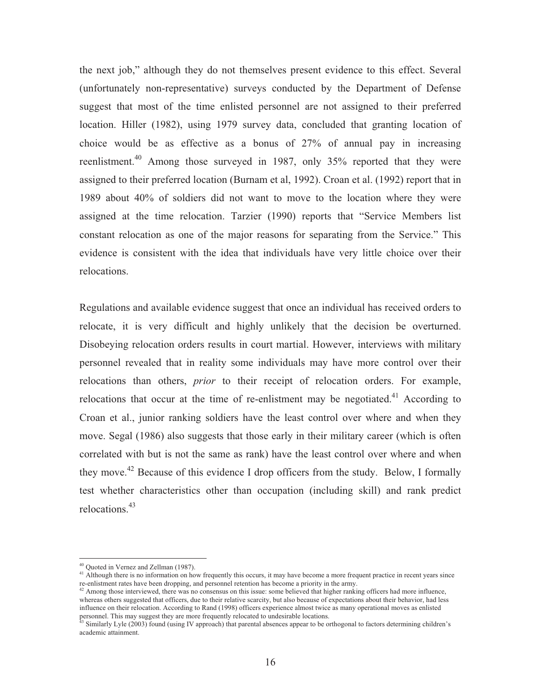the next job," although they do not themselves present evidence to this effect. Several (unfortunately non-representative) surveys conducted by the Department of Defense suggest that most of the time enlisted personnel are not assigned to their preferred location. Hiller (1982), using 1979 survey data, concluded that granting location of choice would be as effective as a bonus of 27% of annual pay in increasing reenlistment.<sup>40</sup> Among those surveyed in 1987, only 35% reported that they were assigned to their preferred location (Burnam et al, 1992). Croan et al. (1992) report that in 1989 about 40% of soldiers did not want to move to the location where they were assigned at the time relocation. Tarzier (1990) reports that "Service Members list constant relocation as one of the major reasons for separating from the Service." This evidence is consistent with the idea that individuals have very little choice over their relocations.

Regulations and available evidence suggest that once an individual has received orders to relocate, it is very difficult and highly unlikely that the decision be overturned. Disobeying relocation orders results in court martial. However, interviews with military personnel revealed that in reality some individuals may have more control over their relocations than others, *prior* to their receipt of relocation orders. For example, relocations that occur at the time of re-enlistment may be negotiated. $41$  According to Croan et al., junior ranking soldiers have the least control over where and when they move. Segal (1986) also suggests that those early in their military career (which is often correlated with but is not the same as rank) have the least control over where and when they move.42 Because of this evidence I drop officers from the study. Below, I formally test whether characteristics other than occupation (including skill) and rank predict relocations.<sup>43</sup>

<sup>40</sup> Quoted in Vernez and Zellman (1987).

<sup>&</sup>lt;sup>41</sup> Although there is no information on how frequently this occurs, it may have become a more frequent practice in recent years since re-enlistment rates have been dropping, and personnel retention has become a priority in the army.<br><sup>42</sup> Among those interviewed, there was no consensus on this issue: some believed that higher ranking officers had more inf

whereas others suggested that officers, due to their relative scarcity, but also because of expectations about their behavior, had less influence on their relocation. According to Rand (1998) officers experience almost twice as many operational moves as enlisted

personnel. This may suggest they are more frequently relocated to undesirable locations.<br><sup>43</sup> Similarly Lyle (2003) found (using IV approach) that parental absences appear to be orthogonal to factors determining children's academic attainment.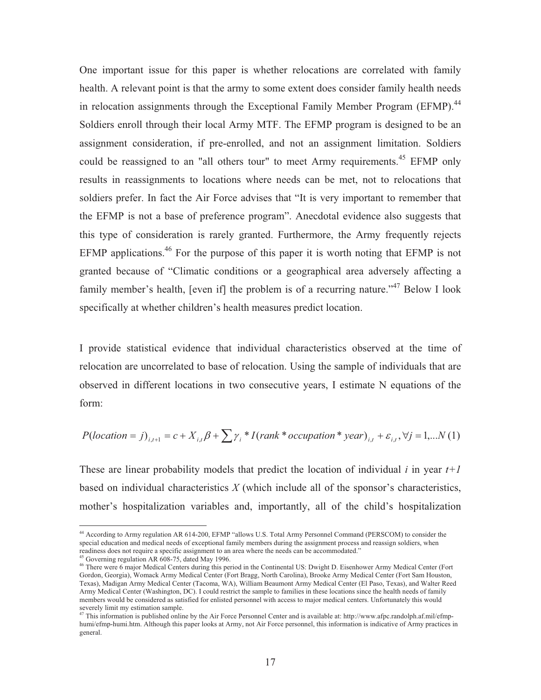One important issue for this paper is whether relocations are correlated with family health. A relevant point is that the army to some extent does consider family health needs in relocation assignments through the Exceptional Family Member Program (EFMP).<sup>44</sup> Soldiers enroll through their local Army MTF. The EFMP program is designed to be an assignment consideration, if pre-enrolled, and not an assignment limitation. Soldiers could be reassigned to an "all others tour" to meet Army requirements.<sup>45</sup> EFMP only results in reassignments to locations where needs can be met, not to relocations that soldiers prefer. In fact the Air Force advises that "It is very important to remember that the EFMP is not a base of preference program". Anecdotal evidence also suggests that this type of consideration is rarely granted. Furthermore, the Army frequently rejects EFMP applications.<sup>46</sup> For the purpose of this paper it is worth noting that EFMP is not granted because of "Climatic conditions or a geographical area adversely affecting a family member's health, [even if] the problem is of a recurring nature."<sup>47</sup> Below I look specifically at whether children's health measures predict location.

I provide statistical evidence that individual characteristics observed at the time of relocation are uncorrelated to base of relocation. Using the sample of individuals that are observed in different locations in two consecutive years, I estimate N equations of the form:

$$
P(location = j)_{i,t+1} = c + X_{i,t} \beta + \sum \gamma_i * I(rank * occupation * year)_{i,t} + \varepsilon_{i,t}, \forall j = 1,...N(1)
$$

These are linear probability models that predict the location of individual *i* in year *t+1* based on individual characteristics *X* (which include all of the sponsor's characteristics, mother's hospitalization variables and, importantly, all of the child's hospitalization

<sup>44</sup> According to Army regulation AR 614-200, EFMP "allows U.S. Total Army Personnel Command (PERSCOM) to consider the special education and medical needs of exceptional family members during the assignment process and reassign soldiers, when readiness does not require a specific assignment to an area where the needs can be accommodated."

<sup>&</sup>lt;sup>45</sup> Governing regulation AR 608-75, dated May 1996.

<sup>46</sup> There were 6 major Medical Centers during this period in the Continental US: Dwight D. Eisenhower Army Medical Center (Fort Gordon, Georgia), Womack Army Medical Center (Fort Bragg, North Carolina), Brooke Army Medical Center (Fort Sam Houston, Texas), Madigan Army Medical Center (Tacoma, WA), William Beaumont Army Medical Center (El Paso, Texas), and Walter Reed Army Medical Center (Washington, DC). I could restrict the sample to families in these locations since the health needs of family members would be considered as satisfied for enlisted personnel with access to major medical centers. Unfortunately this would severely limit my estimation sample.

<sup>47</sup> This information is published online by the Air Force Personnel Center and is available at: http://www.afpc.randolph.af.mil/efmphumi/efmp-humi.htm. Although this paper looks at Army, not Air Force personnel, this information is indicative of Army practices in general.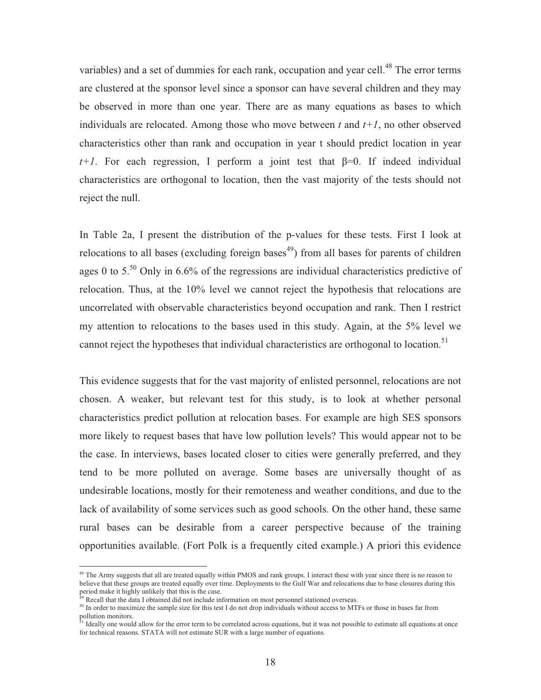variables) and a set of dummies for each rank, occupation and year cell.<sup>48</sup> The error terms are clustered at the sponsor level since a sponsor can have several children and they may be observed in more than one year. There are as many equations as bases to which individuals are relocated. Among those who move between *t* and *t+1*, no other observed characteristics other than rank and occupation in year t should predict location in year  $t+1$ . For each regression, I perform a joint test that  $\beta=0$ . If indeed individual characteristics are orthogonal to location, then the vast majority of the tests should not reject the null.

In Table 2a, I present the distribution of the p-values for these tests. First I look at relocations to all bases (excluding foreign bases<sup>49</sup>) from all bases for parents of children ages 0 to 5.<sup>50</sup> Only in 6.6% of the regressions are individual characteristics predictive of relocation. Thus, at the 10% level we cannot reject the hypothesis that relocations are uncorrelated with observable characteristics beyond occupation and rank. Then I restrict my attention to relocations to the bases used in this study. Again, at the 5% level we cannot reject the hypotheses that individual characteristics are orthogonal to location.<sup>51</sup>

This evidence suggests that for the vast majority of enlisted personnel, relocations are not chosen. A weaker, but relevant test for this study, is to look at whether personal characteristics predict pollution at relocation bases. For example are high SES sponsors more likely to request bases that have low pollution levels? This would appear not to be the case. In interviews, bases located closer to cities were generally preferred, and they tend to be more polluted on average. Some bases are universally thought of as undesirable locations, mostly for their remoteness and weather conditions, and due to the lack of availability of some services such as good schools. On the other hand, these same rural bases can be desirable from a career perspective because of the training opportunities available. (Fort Polk is a frequently cited example.) A priori this evidence

<sup>&</sup>lt;sup>48</sup> The Army suggests that all are treated equally within PMOS and rank groups. I interact these with year since there is no reason to believe that these groups are treated equally over time. Deployments to the Gulf War and relocations due to base closures during this period make it highly unlikely that this is the case.

 $9$  Recall that the data I obtained did not include information on most personnel stationed overseas.

<sup>&</sup>lt;sup>50</sup> In order to maximize the sample size for this test I do not drop individuals without access to MTFs or those in bases far from pollution monitors.

Ideally one would allow for the error term to be correlated across equations, but it was not possible to estimate all equations at once for technical reasons. STATA will not estimate SUR with a large number of equations.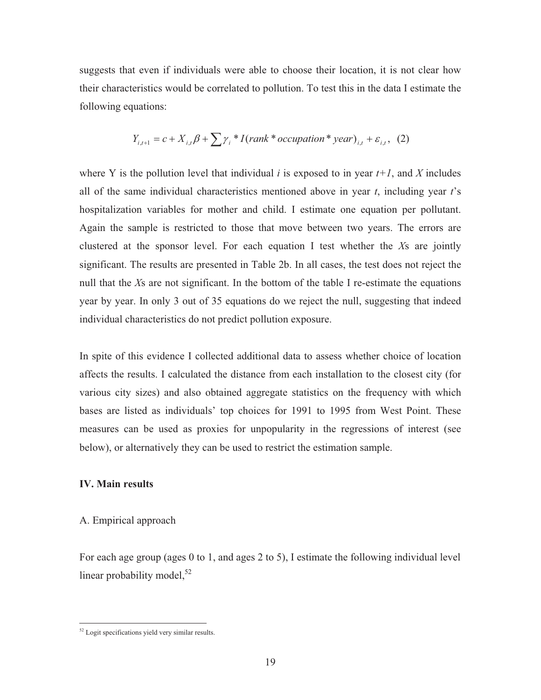suggests that even if individuals were able to choose their location, it is not clear how their characteristics would be correlated to pollution. To test this in the data I estimate the following equations:

$$
Y_{i,t+1} = c + X_{i,t} \beta + \sum \gamma_i * I(rank * occupation * year)_{i,t} + \varepsilon_{i,t}, (2)
$$

where Y is the pollution level that individual *i* is exposed to in year *t+1*, and *X* includes all of the same individual characteristics mentioned above in year *t*, including year *t*'s hospitalization variables for mother and child. I estimate one equation per pollutant. Again the sample is restricted to those that move between two years. The errors are clustered at the sponsor level. For each equation I test whether the *X*s are jointly significant. The results are presented in Table 2b. In all cases, the test does not reject the null that the *X*s are not significant. In the bottom of the table I re-estimate the equations year by year. In only 3 out of 35 equations do we reject the null, suggesting that indeed individual characteristics do not predict pollution exposure.

In spite of this evidence I collected additional data to assess whether choice of location affects the results. I calculated the distance from each installation to the closest city (for various city sizes) and also obtained aggregate statistics on the frequency with which bases are listed as individuals' top choices for 1991 to 1995 from West Point. These measures can be used as proxies for unpopularity in the regressions of interest (see below), or alternatively they can be used to restrict the estimation sample.

### **IV. Main results**

 $\overline{a}$ 

#### A. Empirical approach

For each age group (ages 0 to 1, and ages 2 to 5), I estimate the following individual level linear probability model, $52$ 

<sup>&</sup>lt;sup>52</sup> Logit specifications yield very similar results.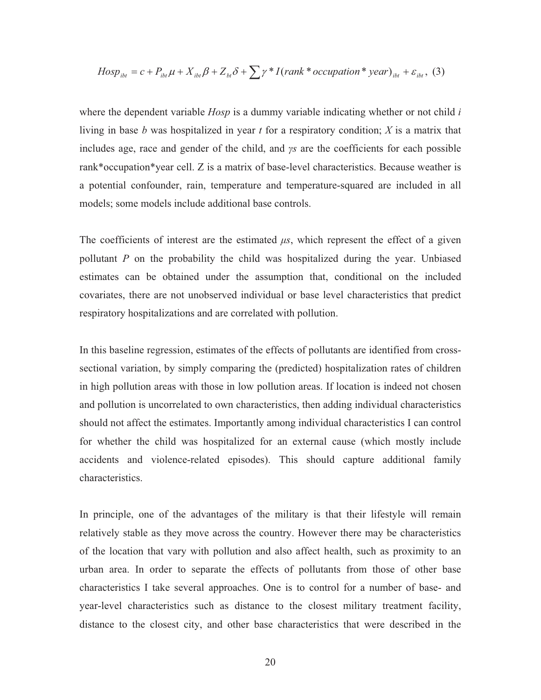$$
Hosp_{ibt} = c + P_{ibt} \mu + X_{ibt} \beta + Z_{bt} \delta + \sum \gamma^* I (rank^* occupation^* year)_{ibt} + \varepsilon_{ibt}, (3)
$$

where the dependent variable *Hosp* is a dummy variable indicating whether or not child *i* living in base *b* was hospitalized in year *t* for a respiratory condition; *X* is a matrix that includes age, race and gender of the child, and  $\gamma s$  are the coefficients for each possible rank\*occupation\*year cell. Z is a matrix of base-level characteristics. Because weather is a potential confounder, rain, temperature and temperature-squared are included in all models; some models include additional base controls.

The coefficients of interest are the estimated  $\mu$ s, which represent the effect of a given pollutant *P* on the probability the child was hospitalized during the year. Unbiased estimates can be obtained under the assumption that, conditional on the included covariates, there are not unobserved individual or base level characteristics that predict respiratory hospitalizations and are correlated with pollution.

In this baseline regression, estimates of the effects of pollutants are identified from crosssectional variation, by simply comparing the (predicted) hospitalization rates of children in high pollution areas with those in low pollution areas. If location is indeed not chosen and pollution is uncorrelated to own characteristics, then adding individual characteristics should not affect the estimates. Importantly among individual characteristics I can control for whether the child was hospitalized for an external cause (which mostly include accidents and violence-related episodes). This should capture additional family characteristics.

In principle, one of the advantages of the military is that their lifestyle will remain relatively stable as they move across the country. However there may be characteristics of the location that vary with pollution and also affect health, such as proximity to an urban area. In order to separate the effects of pollutants from those of other base characteristics I take several approaches. One is to control for a number of base- and year-level characteristics such as distance to the closest military treatment facility, distance to the closest city, and other base characteristics that were described in the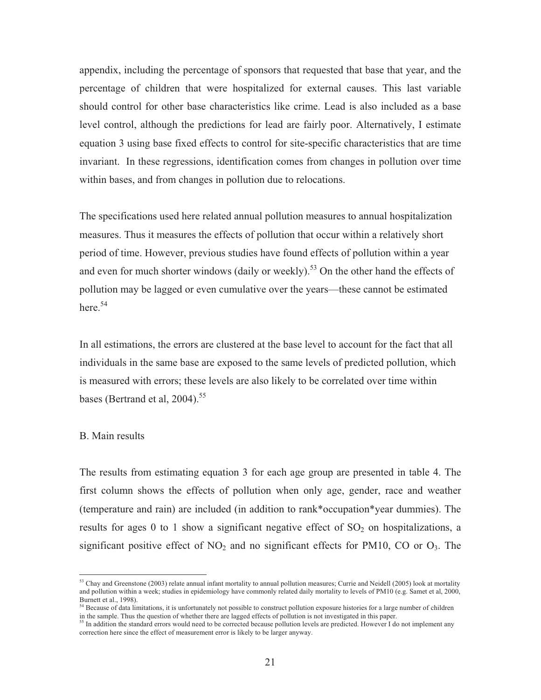appendix, including the percentage of sponsors that requested that base that year, and the percentage of children that were hospitalized for external causes. This last variable should control for other base characteristics like crime. Lead is also included as a base level control, although the predictions for lead are fairly poor. Alternatively, I estimate equation 3 using base fixed effects to control for site-specific characteristics that are time invariant. In these regressions, identification comes from changes in pollution over time within bases, and from changes in pollution due to relocations.

The specifications used here related annual pollution measures to annual hospitalization measures. Thus it measures the effects of pollution that occur within a relatively short period of time. However, previous studies have found effects of pollution within a year and even for much shorter windows (daily or weekly).<sup>53</sup> On the other hand the effects of pollution may be lagged or even cumulative over the years—these cannot be estimated here.<sup>54</sup>

In all estimations, the errors are clustered at the base level to account for the fact that all individuals in the same base are exposed to the same levels of predicted pollution, which is measured with errors; these levels are also likely to be correlated over time within bases (Bertrand et al,  $2004$ ).<sup>55</sup>

#### B. Main results

 $\overline{a}$ 

The results from estimating equation 3 for each age group are presented in table 4. The first column shows the effects of pollution when only age, gender, race and weather (temperature and rain) are included (in addition to rank\*occupation\*year dummies). The results for ages 0 to 1 show a significant negative effect of  $SO<sub>2</sub>$  on hospitalizations, a significant positive effect of  $NO<sub>2</sub>$  and no significant effects for PM10, CO or  $O<sub>3</sub>$ . The

 $53$  Chay and Greenstone (2003) relate annual infant mortality to annual pollution measures; Currie and Neidell (2005) look at mortality and pollution within a week; studies in epidemiology have commonly related daily mortality to levels of PM10 (e.g. Samet et al, 2000, Burnett et al., 1998).

<sup>&</sup>lt;sup>54</sup> Because of data limitations, it is unfortunately not possible to construct pollution exposure histories for a large number of children in the sample. Thus the question of whether there are lagged effects of pollution is not investigated in this paper.<br><sup>55</sup> In addition the standard errors would need to be corrected because pollution levels are predicted. H

correction here since the effect of measurement error is likely to be larger anyway.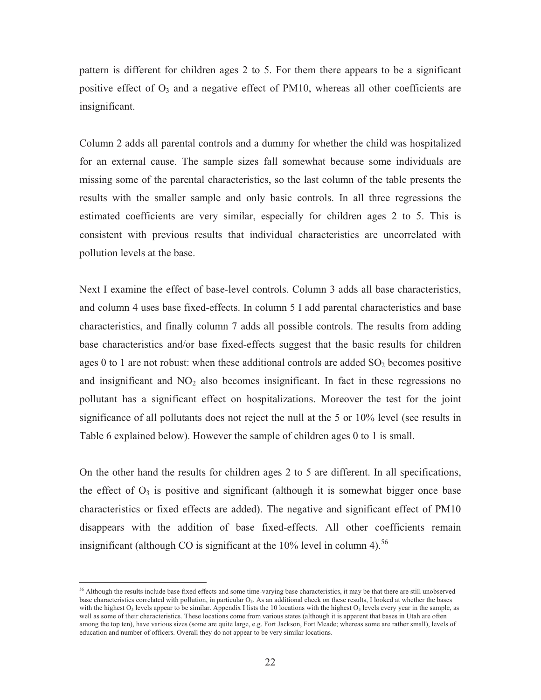pattern is different for children ages 2 to 5. For them there appears to be a significant positive effect of  $O_3$  and a negative effect of PM10, whereas all other coefficients are insignificant.

Column 2 adds all parental controls and a dummy for whether the child was hospitalized for an external cause. The sample sizes fall somewhat because some individuals are missing some of the parental characteristics, so the last column of the table presents the results with the smaller sample and only basic controls. In all three regressions the estimated coefficients are very similar, especially for children ages 2 to 5. This is consistent with previous results that individual characteristics are uncorrelated with pollution levels at the base.

Next I examine the effect of base-level controls. Column 3 adds all base characteristics, and column 4 uses base fixed-effects. In column 5 I add parental characteristics and base characteristics, and finally column 7 adds all possible controls. The results from adding base characteristics and/or base fixed-effects suggest that the basic results for children ages 0 to 1 are not robust: when these additional controls are added  $SO_2$  becomes positive and insignificant and  $NO<sub>2</sub>$  also becomes insignificant. In fact in these regressions no pollutant has a significant effect on hospitalizations. Moreover the test for the joint significance of all pollutants does not reject the null at the 5 or 10% level (see results in Table 6 explained below). However the sample of children ages 0 to 1 is small.

On the other hand the results for children ages 2 to 5 are different. In all specifications, the effect of  $O_3$  is positive and significant (although it is somewhat bigger once base characteristics or fixed effects are added). The negative and significant effect of PM10 disappears with the addition of base fixed-effects. All other coefficients remain insignificant (although CO is significant at the  $10\%$  level in column 4).<sup>56</sup>

<sup>&</sup>lt;sup>56</sup> Although the results include base fixed effects and some time-varying base characteristics, it may be that there are still unobserved base characteristics correlated with pollution, in particular  $O_3$ . As an additional check on these results, I looked at whether the bases with the highest  $O_3$  levels appear to be similar. Appendix I lists the 10 locations with the highest  $O_3$  levels every year in the sample, as well as some of their characteristics. These locations come from various states (although it is apparent that bases in Utah are often among the top ten), have various sizes (some are quite large, e.g. Fort Jackson, Fort Meade; whereas some are rather small), levels of education and number of officers. Overall they do not appear to be very similar locations.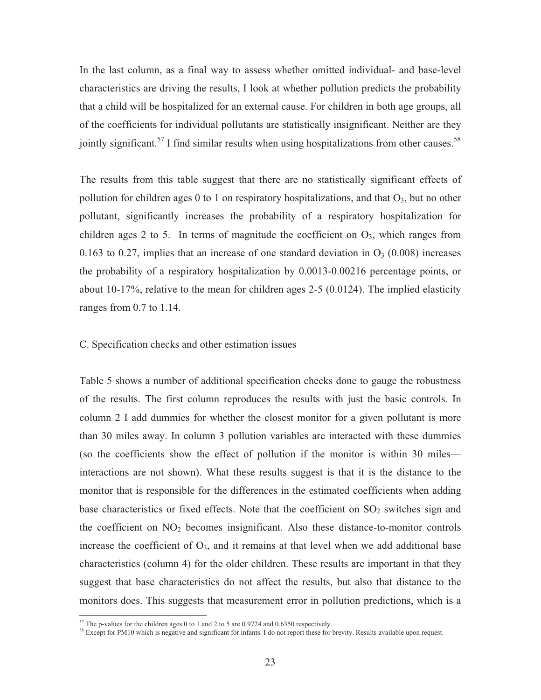In the last column, as a final way to assess whether omitted individual- and base-level characteristics are driving the results, I look at whether pollution predicts the probability that a child will be hospitalized for an external cause. For children in both age groups, all of the coefficients for individual pollutants are statistically insignificant. Neither are they jointly significant.<sup>57</sup> I find similar results when using hospitalizations from other causes.<sup>58</sup>

The results from this table suggest that there are no statistically significant effects of pollution for children ages 0 to 1 on respiratory hospitalizations, and that  $O_3$ , but no other pollutant, significantly increases the probability of a respiratory hospitalization for children ages 2 to 5. In terms of magnitude the coefficient on  $O_3$ , which ranges from 0.163 to 0.27, implies that an increase of one standard deviation in  $O_3$  (0.008) increases the probability of a respiratory hospitalization by 0.0013-0.00216 percentage points, or about 10-17%, relative to the mean for children ages 2-5 (0.0124). The implied elasticity ranges from 0.7 to 1.14.

### C. Specification checks and other estimation issues

Table 5 shows a number of additional specification checks done to gauge the robustness of the results. The first column reproduces the results with just the basic controls. In column 2 I add dummies for whether the closest monitor for a given pollutant is more than 30 miles away. In column 3 pollution variables are interacted with these dummies (so the coefficients show the effect of pollution if the monitor is within 30 miles interactions are not shown). What these results suggest is that it is the distance to the monitor that is responsible for the differences in the estimated coefficients when adding base characteristics or fixed effects. Note that the coefficient on  $SO_2$  switches sign and the coefficient on  $NO<sub>2</sub>$  becomes insignificant. Also these distance-to-monitor controls increase the coefficient of  $O_3$ , and it remains at that level when we add additional base characteristics (column 4) for the older children. These results are important in that they suggest that base characteristics do not affect the results, but also that distance to the monitors does. This suggests that measurement error in pollution predictions, which is a

 $57$  The p-values for the children ages 0 to 1 and 2 to 5 are 0.9724 and 0.6350 respectively.

<sup>&</sup>lt;sup>58</sup> Except for PM10 which is negative and significant for infants. I do not report these for brevity. Results available upon request.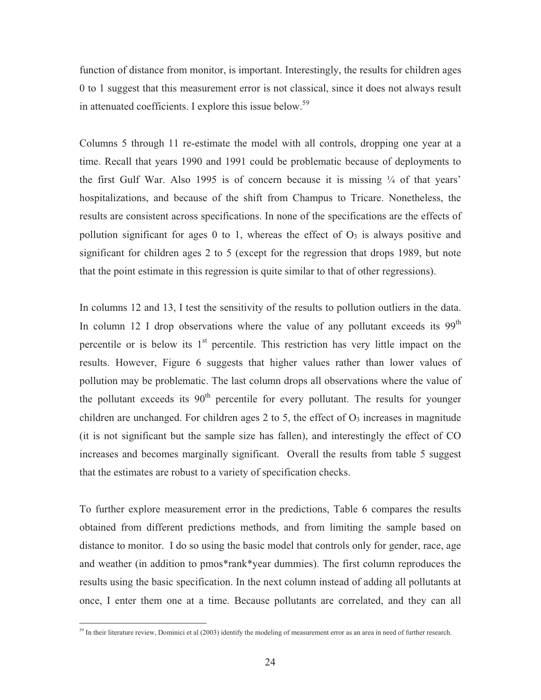function of distance from monitor, is important. Interestingly, the results for children ages 0 to 1 suggest that this measurement error is not classical, since it does not always result in attenuated coefficients. I explore this issue below.<sup>59</sup>

Columns 5 through 11 re-estimate the model with all controls, dropping one year at a time. Recall that years 1990 and 1991 could be problematic because of deployments to the first Gulf War. Also 1995 is of concern because it is missing  $\frac{1}{4}$  of that years' hospitalizations, and because of the shift from Champus to Tricare. Nonetheless, the results are consistent across specifications. In none of the specifications are the effects of pollution significant for ages 0 to 1, whereas the effect of  $O<sub>3</sub>$  is always positive and significant for children ages 2 to 5 (except for the regression that drops 1989, but note that the point estimate in this regression is quite similar to that of other regressions).

In columns 12 and 13, I test the sensitivity of the results to pollution outliers in the data. In column 12 I drop observations where the value of any pollutant exceeds its  $99<sup>th</sup>$ percentile or is below its  $1<sup>st</sup>$  percentile. This restriction has very little impact on the results. However, Figure 6 suggests that higher values rather than lower values of pollution may be problematic. The last column drops all observations where the value of the pollutant exceeds its  $90<sup>th</sup>$  percentile for every pollutant. The results for younger children are unchanged. For children ages 2 to 5, the effect of  $O<sub>3</sub>$  increases in magnitude (it is not significant but the sample size has fallen), and interestingly the effect of CO increases and becomes marginally significant. Overall the results from table 5 suggest that the estimates are robust to a variety of specification checks.

To further explore measurement error in the predictions, Table 6 compares the results obtained from different predictions methods, and from limiting the sample based on distance to monitor. I do so using the basic model that controls only for gender, race, age and weather (in addition to pmos\*rank\*year dummies). The first column reproduces the results using the basic specification. In the next column instead of adding all pollutants at once, I enter them one at a time. Because pollutants are correlated, and they can all

<sup>&</sup>lt;sup>59</sup> In their literature review, Dominici et al (2003) identify the modeling of measurement error as an area in need of further research.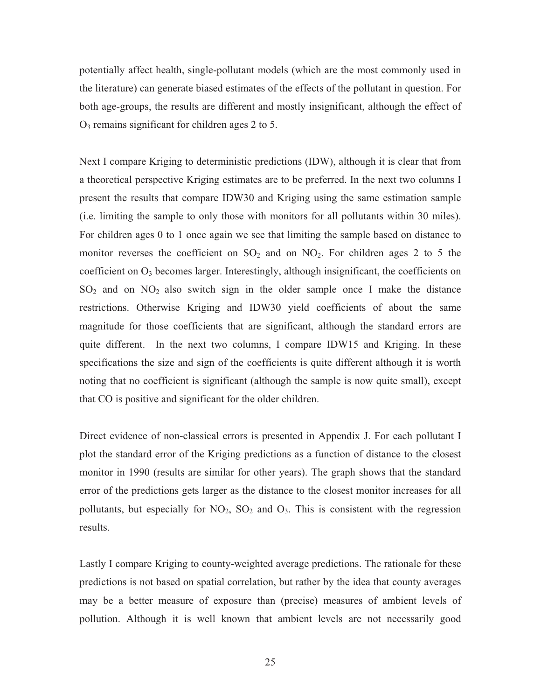potentially affect health, single-pollutant models (which are the most commonly used in the literature) can generate biased estimates of the effects of the pollutant in question. For both age-groups, the results are different and mostly insignificant, although the effect of  $O<sub>3</sub>$  remains significant for children ages 2 to 5.

Next I compare Kriging to deterministic predictions (IDW), although it is clear that from a theoretical perspective Kriging estimates are to be preferred. In the next two columns I present the results that compare IDW30 and Kriging using the same estimation sample (i.e. limiting the sample to only those with monitors for all pollutants within 30 miles). For children ages 0 to 1 once again we see that limiting the sample based on distance to monitor reverses the coefficient on  $SO_2$  and on  $NO_2$ . For children ages 2 to 5 the coefficient on  $O_3$  becomes larger. Interestingly, although insignificant, the coefficients on  $SO<sub>2</sub>$  and on  $NO<sub>2</sub>$  also switch sign in the older sample once I make the distance restrictions. Otherwise Kriging and IDW30 yield coefficients of about the same magnitude for those coefficients that are significant, although the standard errors are quite different. In the next two columns, I compare IDW15 and Kriging. In these specifications the size and sign of the coefficients is quite different although it is worth noting that no coefficient is significant (although the sample is now quite small), except that CO is positive and significant for the older children.

Direct evidence of non-classical errors is presented in Appendix J. For each pollutant I plot the standard error of the Kriging predictions as a function of distance to the closest monitor in 1990 (results are similar for other years). The graph shows that the standard error of the predictions gets larger as the distance to the closest monitor increases for all pollutants, but especially for  $NO<sub>2</sub>$ ,  $SO<sub>2</sub>$  and  $O<sub>3</sub>$ . This is consistent with the regression results.

Lastly I compare Kriging to county-weighted average predictions. The rationale for these predictions is not based on spatial correlation, but rather by the idea that county averages may be a better measure of exposure than (precise) measures of ambient levels of pollution. Although it is well known that ambient levels are not necessarily good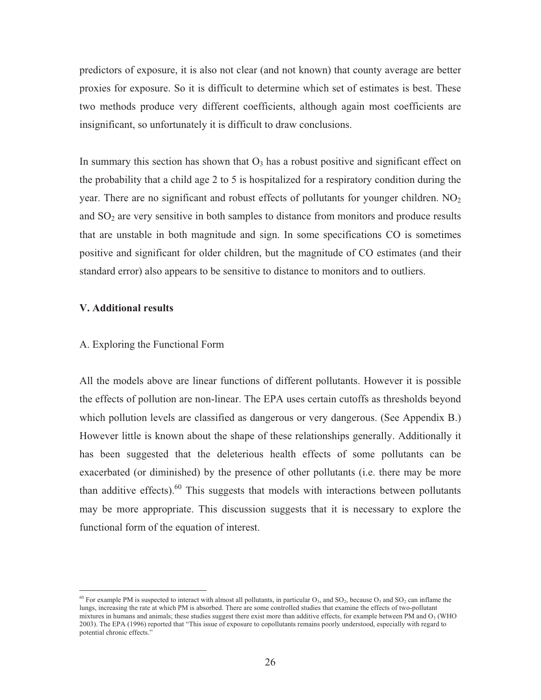predictors of exposure, it is also not clear (and not known) that county average are better proxies for exposure. So it is difficult to determine which set of estimates is best. These two methods produce very different coefficients, although again most coefficients are insignificant, so unfortunately it is difficult to draw conclusions.

In summary this section has shown that  $O_3$  has a robust positive and significant effect on the probability that a child age 2 to 5 is hospitalized for a respiratory condition during the year. There are no significant and robust effects of pollutants for younger children.  $NO<sub>2</sub>$ and  $SO<sub>2</sub>$  are very sensitive in both samples to distance from monitors and produce results that are unstable in both magnitude and sign. In some specifications CO is sometimes positive and significant for older children, but the magnitude of CO estimates (and their standard error) also appears to be sensitive to distance to monitors and to outliers.

### **V. Additional results**

 $\overline{a}$ 

### A. Exploring the Functional Form

All the models above are linear functions of different pollutants. However it is possible the effects of pollution are non-linear. The EPA uses certain cutoffs as thresholds beyond which pollution levels are classified as dangerous or very dangerous. (See Appendix B.) However little is known about the shape of these relationships generally. Additionally it has been suggested that the deleterious health effects of some pollutants can be exacerbated (or diminished) by the presence of other pollutants (i.e. there may be more than additive effects). $60$  This suggests that models with interactions between pollutants may be more appropriate. This discussion suggests that it is necessary to explore the functional form of the equation of interest.

<sup>&</sup>lt;sup>60</sup> For example PM is suspected to interact with almost all pollutants, in particular  $O_3$ , and SO<sub>2</sub>, because  $O_3$  and SO<sub>2</sub> can inflame the lungs, increasing the rate at which PM is absorbed. There are some controlled studies that examine the effects of two-pollutant mixtures in humans and animals; these studies suggest there exist more than additive effects, for example between PM and  $O<sub>3</sub>$  (WHO 2003). The EPA (1996) reported that "This issue of exposure to copollutants remains poorly understood, especially with regard to potential chronic effects."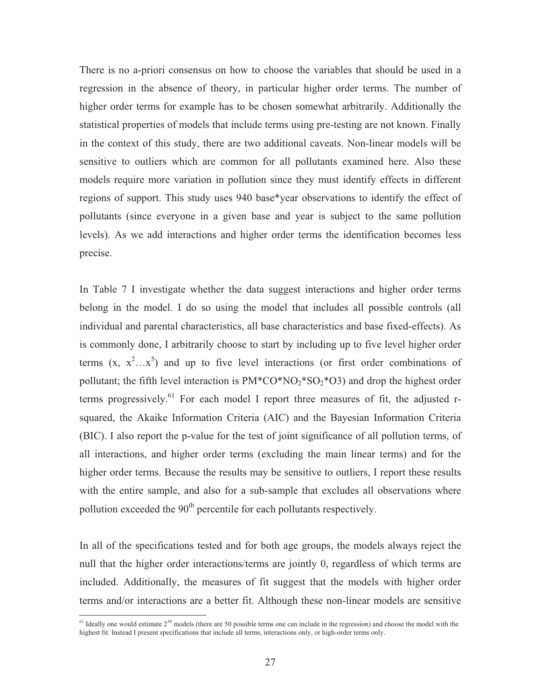There is no a-priori consensus on how to choose the variables that should be used in a regression in the absence of theory, in particular higher order terms. The number of higher order terms for example has to be chosen somewhat arbitrarily. Additionally the statistical properties of models that include terms using pre-testing are not known. Finally in the context of this study, there are two additional caveats. Non-linear models will be sensitive to outliers which are common for all pollutants examined here. Also these models require more variation in pollution since they must identify effects in different regions of support. This study uses 940 base\*year observations to identify the effect of pollutants (since everyone in a given base and year is subject to the same pollution levels). As we add interactions and higher order terms the identification becomes less precise.

In Table 7 I investigate whether the data suggest interactions and higher order terms belong in the model. I do so using the model that includes all possible controls (all individual and parental characteristics, all base characteristics and base fixed-effects). As is commonly done, I arbitrarily choose to start by including up to five level higher order terms  $(x, x^2...x^5)$  and up to five level interactions (or first order combinations of pollutant; the fifth level interaction is  $PM^*CO^*NO_2^*SO_2^*O_3$  and drop the highest order terms progressively.<sup>61</sup> For each model I report three measures of fit, the adjusted rsquared, the Akaike Information Criteria (AIC) and the Bayesian Information Criteria (BIC). I also report the p-value for the test of joint significance of all pollution terms, of all interactions, and higher order terms (excluding the main linear terms) and for the higher order terms. Because the results may be sensitive to outliers, I report these results with the entire sample, and also for a sub-sample that excludes all observations where pollution exceeded the  $90<sup>th</sup>$  percentile for each pollutants respectively.

In all of the specifications tested and for both age groups, the models always reject the null that the higher order interactions/terms are jointly 0, regardless of which terms are included. Additionally, the measures of fit suggest that the models with higher order terms and/or interactions are a better fit. Although these non-linear models are sensitive

<sup>&</sup>lt;sup>61</sup> Ideally one would estimate  $2^{50}$  models (there are 50 possible terms one can include in the regression) and choose the model with the highest fit. Instead I present specifications that include all terms, interactions only, or high-order terms only.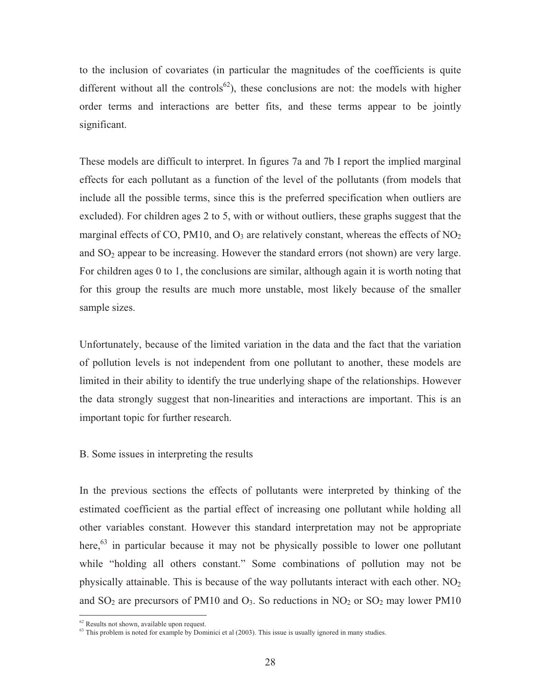to the inclusion of covariates (in particular the magnitudes of the coefficients is quite different without all the controls<sup>62</sup>), these conclusions are not: the models with higher order terms and interactions are better fits, and these terms appear to be jointly significant.

These models are difficult to interpret. In figures 7a and 7b I report the implied marginal effects for each pollutant as a function of the level of the pollutants (from models that include all the possible terms, since this is the preferred specification when outliers are excluded). For children ages 2 to 5, with or without outliers, these graphs suggest that the marginal effects of CO, PM10, and  $O_3$  are relatively constant, whereas the effects of NO<sub>2</sub> and  $SO<sub>2</sub>$  appear to be increasing. However the standard errors (not shown) are very large. For children ages 0 to 1, the conclusions are similar, although again it is worth noting that for this group the results are much more unstable, most likely because of the smaller sample sizes.

Unfortunately, because of the limited variation in the data and the fact that the variation of pollution levels is not independent from one pollutant to another, these models are limited in their ability to identify the true underlying shape of the relationships. However the data strongly suggest that non-linearities and interactions are important. This is an important topic for further research.

## B. Some issues in interpreting the results

In the previous sections the effects of pollutants were interpreted by thinking of the estimated coefficient as the partial effect of increasing one pollutant while holding all other variables constant. However this standard interpretation may not be appropriate here,<sup>63</sup> in particular because it may not be physically possible to lower one pollutant while "holding all others constant." Some combinations of pollution may not be physically attainable. This is because of the way pollutants interact with each other.  $NO<sub>2</sub>$ and  $SO_2$  are precursors of PM10 and  $O_3$ . So reductions in  $NO_2$  or  $SO_2$  may lower PM10

<sup>&</sup>lt;sup>62</sup> Results not shown, available upon request.

<sup>&</sup>lt;sup>63</sup> This problem is noted for example by Dominici et al (2003). This issue is usually ignored in many studies.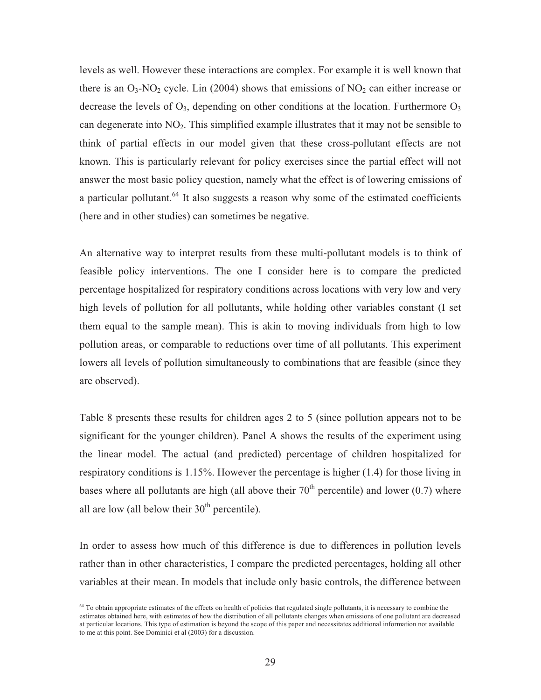levels as well. However these interactions are complex. For example it is well known that there is an  $O_3$ -NO<sub>2</sub> cycle. Lin (2004) shows that emissions of NO<sub>2</sub> can either increase or decrease the levels of  $O_3$ , depending on other conditions at the location. Furthermore  $O_3$ can degenerate into  $NO<sub>2</sub>$ . This simplified example illustrates that it may not be sensible to think of partial effects in our model given that these cross-pollutant effects are not known. This is particularly relevant for policy exercises since the partial effect will not answer the most basic policy question, namely what the effect is of lowering emissions of a particular pollutant.<sup>64</sup> It also suggests a reason why some of the estimated coefficients (here and in other studies) can sometimes be negative.

An alternative way to interpret results from these multi-pollutant models is to think of feasible policy interventions. The one I consider here is to compare the predicted percentage hospitalized for respiratory conditions across locations with very low and very high levels of pollution for all pollutants, while holding other variables constant (I set them equal to the sample mean). This is akin to moving individuals from high to low pollution areas, or comparable to reductions over time of all pollutants. This experiment lowers all levels of pollution simultaneously to combinations that are feasible (since they are observed).

Table 8 presents these results for children ages 2 to 5 (since pollution appears not to be significant for the younger children). Panel A shows the results of the experiment using the linear model. The actual (and predicted) percentage of children hospitalized for respiratory conditions is 1.15%. However the percentage is higher (1.4) for those living in bases where all pollutants are high (all above their  $70<sup>th</sup>$  percentile) and lower (0.7) where all are low (all below their  $30<sup>th</sup>$  percentile).

In order to assess how much of this difference is due to differences in pollution levels rather than in other characteristics, I compare the predicted percentages, holding all other variables at their mean. In models that include only basic controls, the difference between

<sup>&</sup>lt;sup>64</sup> To obtain appropriate estimates of the effects on health of policies that regulated single pollutants, it is necessary to combine the estimates obtained here, with estimates of how the distribution of all pollutants changes when emissions of one pollutant are decreased at particular locations. This type of estimation is beyond the scope of this paper and necessitates additional information not available to me at this point. See Dominici et al (2003) for a discussion.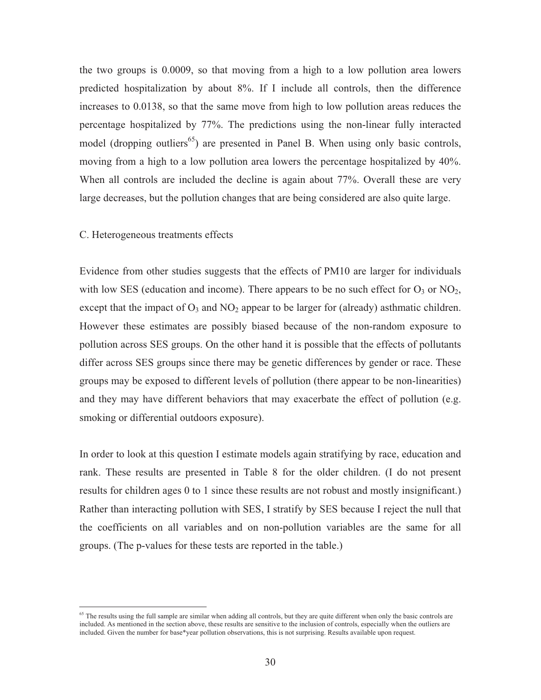the two groups is 0.0009, so that moving from a high to a low pollution area lowers predicted hospitalization by about 8%. If I include all controls, then the difference increases to 0.0138, so that the same move from high to low pollution areas reduces the percentage hospitalized by 77%. The predictions using the non-linear fully interacted model (dropping outliers<sup>65</sup>) are presented in Panel B. When using only basic controls, moving from a high to a low pollution area lowers the percentage hospitalized by 40%. When all controls are included the decline is again about 77%. Overall these are very large decreases, but the pollution changes that are being considered are also quite large.

### C. Heterogeneous treatments effects

 $\overline{a}$ 

Evidence from other studies suggests that the effects of PM10 are larger for individuals with low SES (education and income). There appears to be no such effect for  $O_3$  or  $NO_2$ , except that the impact of  $O_3$  and  $NO_2$  appear to be larger for (already) asthmatic children. However these estimates are possibly biased because of the non-random exposure to pollution across SES groups. On the other hand it is possible that the effects of pollutants differ across SES groups since there may be genetic differences by gender or race. These groups may be exposed to different levels of pollution (there appear to be non-linearities) and they may have different behaviors that may exacerbate the effect of pollution (e.g. smoking or differential outdoors exposure).

In order to look at this question I estimate models again stratifying by race, education and rank. These results are presented in Table 8 for the older children. (I do not present results for children ages 0 to 1 since these results are not robust and mostly insignificant.) Rather than interacting pollution with SES, I stratify by SES because I reject the null that the coefficients on all variables and on non-pollution variables are the same for all groups. (The p-values for these tests are reported in the table.)

 $<sup>65</sup>$  The results using the full sample are similar when adding all controls, but they are quite different when only the basic controls are</sup> included. As mentioned in the section above, these results are sensitive to the inclusion of controls, especially when the outliers are included. Given the number for base\*year pollution observations, this is not surprising. Results available upon request.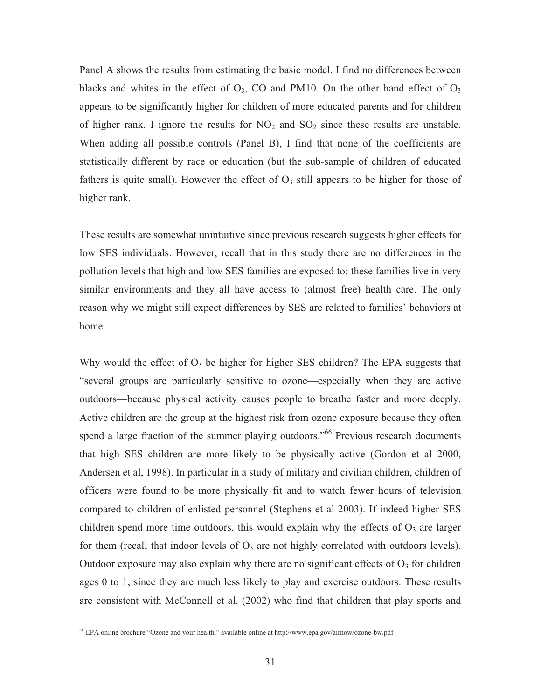Panel A shows the results from estimating the basic model. I find no differences between blacks and whites in the effect of  $O_3$ , CO and PM10. On the other hand effect of  $O_3$ appears to be significantly higher for children of more educated parents and for children of higher rank. I ignore the results for  $NO<sub>2</sub>$  and  $SO<sub>2</sub>$  since these results are unstable. When adding all possible controls (Panel B), I find that none of the coefficients are statistically different by race or education (but the sub-sample of children of educated fathers is quite small). However the effect of  $O<sub>3</sub>$  still appears to be higher for those of higher rank.

These results are somewhat unintuitive since previous research suggests higher effects for low SES individuals. However, recall that in this study there are no differences in the pollution levels that high and low SES families are exposed to; these families live in very similar environments and they all have access to (almost free) health care. The only reason why we might still expect differences by SES are related to families' behaviors at home.

Why would the effect of  $O_3$  be higher for higher SES children? The EPA suggests that "several groups are particularly sensitive to ozone—especially when they are active outdoors—because physical activity causes people to breathe faster and more deeply. Active children are the group at the highest risk from ozone exposure because they often spend a large fraction of the summer playing outdoors."<sup>66</sup> Previous research documents that high SES children are more likely to be physically active (Gordon et al 2000, Andersen et al, 1998). In particular in a study of military and civilian children, children of officers were found to be more physically fit and to watch fewer hours of television compared to children of enlisted personnel (Stephens et al 2003). If indeed higher SES children spend more time outdoors, this would explain why the effects of  $O_3$  are larger for them (recall that indoor levels of  $O_3$  are not highly correlated with outdoors levels). Outdoor exposure may also explain why there are no significant effects of  $O_3$  for children ages 0 to 1, since they are much less likely to play and exercise outdoors. These results are consistent with McConnell et al. (2002) who find that children that play sports and

<sup>66</sup> EPA online brochure "Ozone and your health," available online at http://www.epa.gov/airnow/ozone-bw.pdf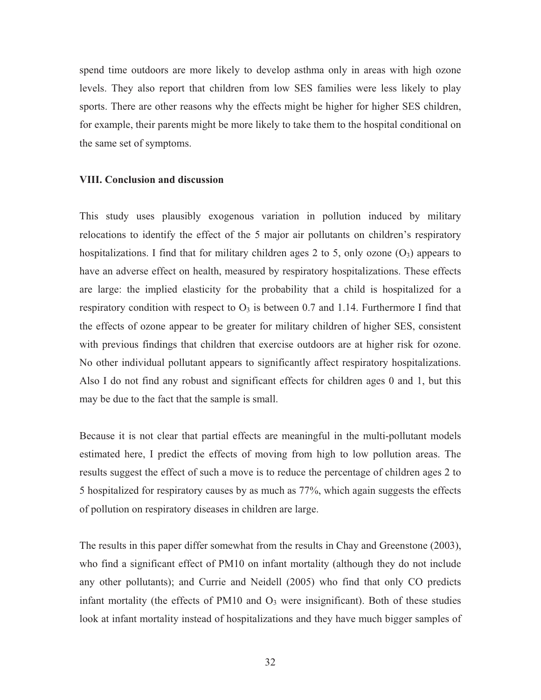spend time outdoors are more likely to develop asthma only in areas with high ozone levels. They also report that children from low SES families were less likely to play sports. There are other reasons why the effects might be higher for higher SES children, for example, their parents might be more likely to take them to the hospital conditional on the same set of symptoms.

### **VIII. Conclusion and discussion**

This study uses plausibly exogenous variation in pollution induced by military relocations to identify the effect of the 5 major air pollutants on children's respiratory hospitalizations. I find that for military children ages 2 to 5, only ozone  $(O_3)$  appears to have an adverse effect on health, measured by respiratory hospitalizations. These effects are large: the implied elasticity for the probability that a child is hospitalized for a respiratory condition with respect to  $O_3$  is between 0.7 and 1.14. Furthermore I find that the effects of ozone appear to be greater for military children of higher SES, consistent with previous findings that children that exercise outdoors are at higher risk for ozone. No other individual pollutant appears to significantly affect respiratory hospitalizations. Also I do not find any robust and significant effects for children ages 0 and 1, but this may be due to the fact that the sample is small.

Because it is not clear that partial effects are meaningful in the multi-pollutant models estimated here, I predict the effects of moving from high to low pollution areas. The results suggest the effect of such a move is to reduce the percentage of children ages 2 to 5 hospitalized for respiratory causes by as much as 77%, which again suggests the effects of pollution on respiratory diseases in children are large.

The results in this paper differ somewhat from the results in Chay and Greenstone (2003), who find a significant effect of PM10 on infant mortality (although they do not include any other pollutants); and Currie and Neidell (2005) who find that only CO predicts infant mortality (the effects of PM10 and  $O_3$  were insignificant). Both of these studies look at infant mortality instead of hospitalizations and they have much bigger samples of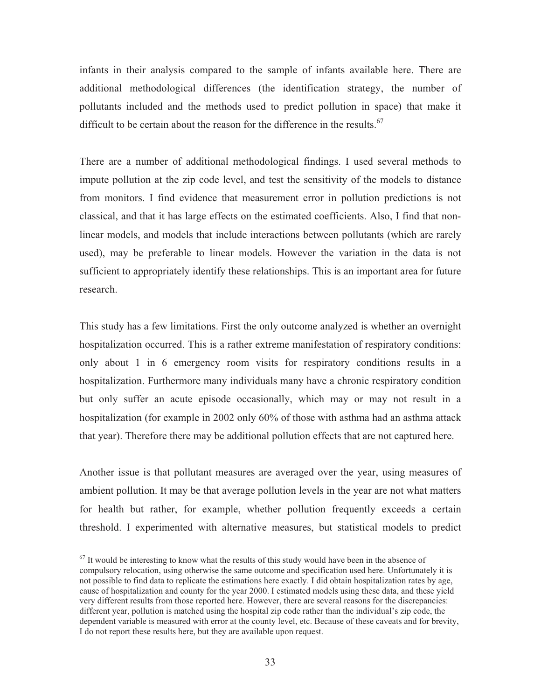infants in their analysis compared to the sample of infants available here. There are additional methodological differences (the identification strategy, the number of pollutants included and the methods used to predict pollution in space) that make it difficult to be certain about the reason for the difference in the results. $67$ 

There are a number of additional methodological findings. I used several methods to impute pollution at the zip code level, and test the sensitivity of the models to distance from monitors. I find evidence that measurement error in pollution predictions is not classical, and that it has large effects on the estimated coefficients. Also, I find that nonlinear models, and models that include interactions between pollutants (which are rarely used), may be preferable to linear models. However the variation in the data is not sufficient to appropriately identify these relationships. This is an important area for future research.

This study has a few limitations. First the only outcome analyzed is whether an overnight hospitalization occurred. This is a rather extreme manifestation of respiratory conditions: only about 1 in 6 emergency room visits for respiratory conditions results in a hospitalization. Furthermore many individuals many have a chronic respiratory condition but only suffer an acute episode occasionally, which may or may not result in a hospitalization (for example in 2002 only 60% of those with asthma had an asthma attack that year). Therefore there may be additional pollution effects that are not captured here.

Another issue is that pollutant measures are averaged over the year, using measures of ambient pollution. It may be that average pollution levels in the year are not what matters for health but rather, for example, whether pollution frequently exceeds a certain threshold. I experimented with alternative measures, but statistical models to predict

 $67$  It would be interesting to know what the results of this study would have been in the absence of compulsory relocation, using otherwise the same outcome and specification used here. Unfortunately it is not possible to find data to replicate the estimations here exactly. I did obtain hospitalization rates by age, cause of hospitalization and county for the year 2000. I estimated models using these data, and these yield very different results from those reported here. However, there are several reasons for the discrepancies: different year, pollution is matched using the hospital zip code rather than the individual's zip code, the dependent variable is measured with error at the county level, etc. Because of these caveats and for brevity, I do not report these results here, but they are available upon request.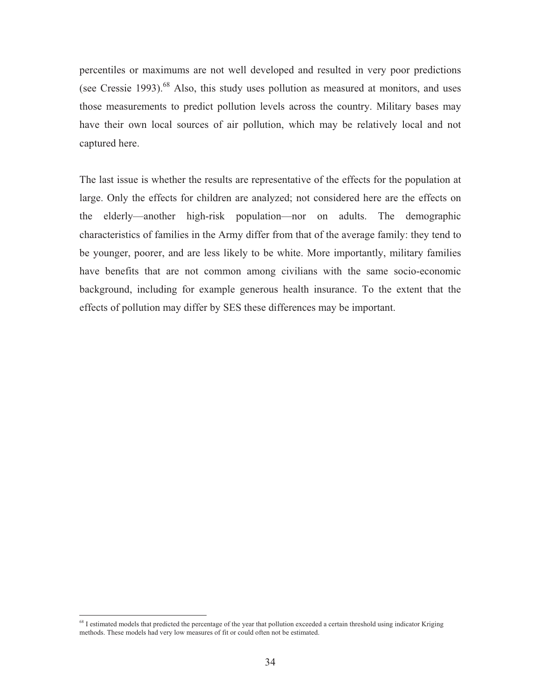percentiles or maximums are not well developed and resulted in very poor predictions (see Cressie 1993). $^{68}$  Also, this study uses pollution as measured at monitors, and uses those measurements to predict pollution levels across the country. Military bases may have their own local sources of air pollution, which may be relatively local and not captured here.

The last issue is whether the results are representative of the effects for the population at large. Only the effects for children are analyzed; not considered here are the effects on the elderly—another high-risk population—nor on adults. The demographic characteristics of families in the Army differ from that of the average family: they tend to be younger, poorer, and are less likely to be white. More importantly, military families have benefits that are not common among civilians with the same socio-economic background, including for example generous health insurance. To the extent that the effects of pollution may differ by SES these differences may be important.

<sup>68</sup> I estimated models that predicted the percentage of the year that pollution exceeded a certain threshold using indicator Kriging methods. These models had very low measures of fit or could often not be estimated.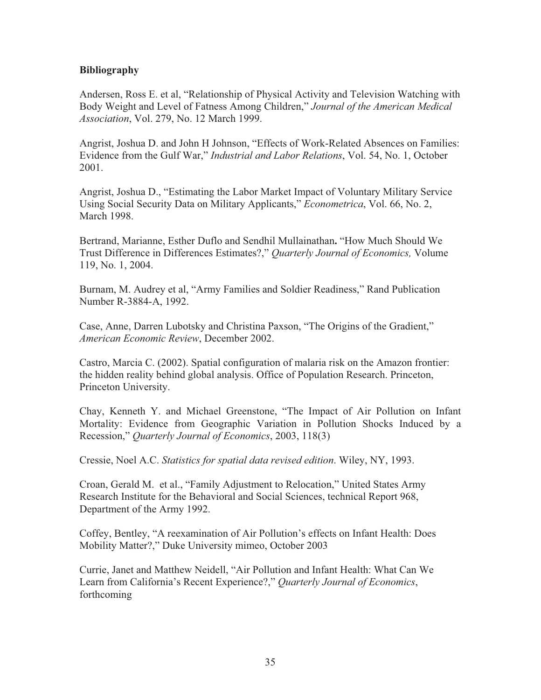# **Bibliography**

Andersen, Ross E. et al, "Relationship of Physical Activity and Television Watching with Body Weight and Level of Fatness Among Children," *Journal of the American Medical Association*, Vol. 279, No. 12 March 1999.

Angrist, Joshua D. and John H Johnson, "Effects of Work-Related Absences on Families: Evidence from the Gulf War," *Industrial and Labor Relations*, Vol. 54, No. 1, October 2001.

Angrist, Joshua D., "Estimating the Labor Market Impact of Voluntary Military Service Using Social Security Data on Military Applicants," *Econometrica*, Vol. 66, No. 2, March 1998.

Bertrand, Marianne, Esther Duflo and Sendhil Mullainathan**.** "How Much Should We Trust Difference in Differences Estimates?," *Quarterly Journal of Economics,* Volume 119, No. 1, 2004.

Burnam, M. Audrey et al, "Army Families and Soldier Readiness," Rand Publication Number R-3884-A, 1992.

Case, Anne, Darren Lubotsky and Christina Paxson, "The Origins of the Gradient," *American Economic Review*, December 2002.

Castro, Marcia C. (2002). Spatial configuration of malaria risk on the Amazon frontier: the hidden reality behind global analysis. Office of Population Research. Princeton, Princeton University.

Chay, Kenneth Y. and Michael Greenstone, "The Impact of Air Pollution on Infant Mortality: Evidence from Geographic Variation in Pollution Shocks Induced by a Recession," *Quarterly Journal of Economics*, 2003, 118(3)

Cressie, Noel A.C. *Statistics for spatial data revised edition*. Wiley, NY, 1993.

Croan, Gerald M. et al., "Family Adjustment to Relocation," United States Army Research Institute for the Behavioral and Social Sciences, technical Report 968, Department of the Army 1992.

Coffey, Bentley, "A reexamination of Air Pollution's effects on Infant Health: Does Mobility Matter?," Duke University mimeo, October 2003

Currie, Janet and Matthew Neidell, "Air Pollution and Infant Health: What Can We Learn from California's Recent Experience?," *Quarterly Journal of Economics*, forthcoming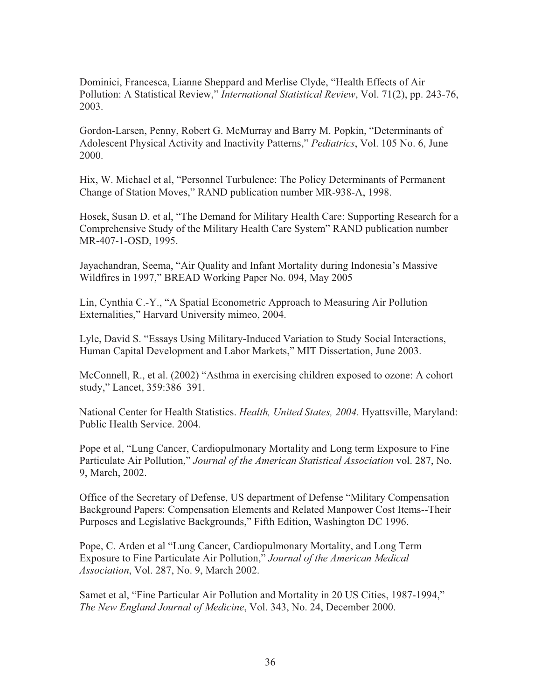Dominici, Francesca, Lianne Sheppard and Merlise Clyde, "Health Effects of Air Pollution: A Statistical Review," *International Statistical Review*, Vol. 71(2), pp. 243-76, 2003.

Gordon-Larsen, Penny, Robert G. McMurray and Barry M. Popkin, "Determinants of Adolescent Physical Activity and Inactivity Patterns," *Pediatrics*, Vol. 105 No. 6, June 2000.

Hix, W. Michael et al, "Personnel Turbulence: The Policy Determinants of Permanent Change of Station Moves," RAND publication number MR-938-A, 1998.

Hosek, Susan D. et al, "The Demand for Military Health Care: Supporting Research for a Comprehensive Study of the Military Health Care System" RAND publication number MR-407-1-OSD, 1995.

Jayachandran, Seema, "Air Quality and Infant Mortality during Indonesia's Massive Wildfires in 1997," BREAD Working Paper No. 094, May 2005

Lin, Cynthia C.-Y., "A Spatial Econometric Approach to Measuring Air Pollution Externalities," Harvard University mimeo, 2004.

Lyle, David S. "Essays Using Military-Induced Variation to Study Social Interactions, Human Capital Development and Labor Markets," MIT Dissertation, June 2003.

McConnell, R., et al. (2002) "Asthma in exercising children exposed to ozone: A cohort study," Lancet, 359:386–391.

National Center for Health Statistics. *Health, United States, 2004*. Hyattsville, Maryland: Public Health Service. 2004.

Pope et al, "Lung Cancer, Cardiopulmonary Mortality and Long term Exposure to Fine Particulate Air Pollution," *Journal of the American Statistical Association* vol. 287, No. 9, March, 2002.

Office of the Secretary of Defense, US department of Defense "Military Compensation Background Papers: Compensation Elements and Related Manpower Cost Items--Their Purposes and Legislative Backgrounds," Fifth Edition, Washington DC 1996.

Pope, C. Arden et al "Lung Cancer, Cardiopulmonary Mortality, and Long Term Exposure to Fine Particulate Air Pollution," *Journal of the American Medical Association*, Vol. 287, No. 9, March 2002.

Samet et al, "Fine Particular Air Pollution and Mortality in 20 US Cities, 1987-1994," *The New England Journal of Medicine*, Vol. 343, No. 24, December 2000.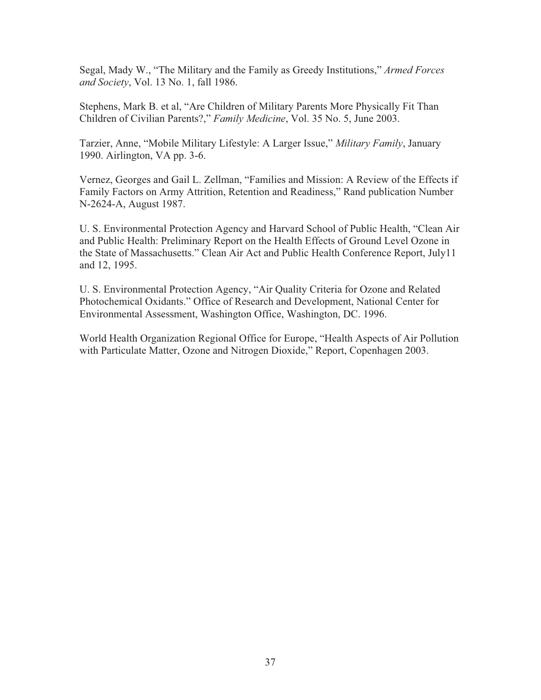Segal, Mady W., "The Military and the Family as Greedy Institutions," *Armed Forces and Society*, Vol. 13 No. 1, fall 1986.

Stephens, Mark B. et al, "Are Children of Military Parents More Physically Fit Than Children of Civilian Parents?," *Family Medicine*, Vol. 35 No. 5, June 2003.

Tarzier, Anne, "Mobile Military Lifestyle: A Larger Issue," *Military Family*, January 1990. Airlington, VA pp. 3-6.

Vernez, Georges and Gail L. Zellman, "Families and Mission: A Review of the Effects if Family Factors on Army Attrition, Retention and Readiness," Rand publication Number N-2624-A, August 1987.

U. S. Environmental Protection Agency and Harvard School of Public Health, "Clean Air and Public Health: Preliminary Report on the Health Effects of Ground Level Ozone in the State of Massachusetts." Clean Air Act and Public Health Conference Report, July11 and 12, 1995.

U. S. Environmental Protection Agency, "Air Quality Criteria for Ozone and Related Photochemical Oxidants." Office of Research and Development, National Center for Environmental Assessment, Washington Office, Washington, DC. 1996.

World Health Organization Regional Office for Europe, "Health Aspects of Air Pollution with Particulate Matter, Ozone and Nitrogen Dioxide," Report, Copenhagen 2003.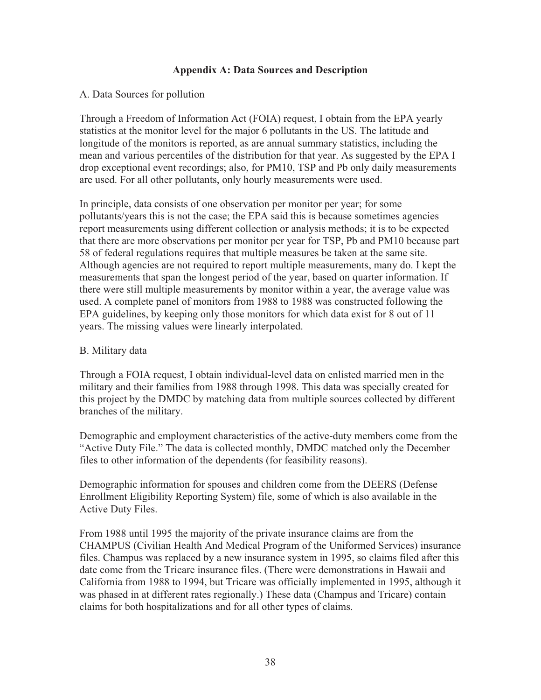## **Appendix A: Data Sources and Description**

## A. Data Sources for pollution

Through a Freedom of Information Act (FOIA) request, I obtain from the EPA yearly statistics at the monitor level for the major 6 pollutants in the US. The latitude and longitude of the monitors is reported, as are annual summary statistics, including the mean and various percentiles of the distribution for that year. As suggested by the EPA I drop exceptional event recordings; also, for PM10, TSP and Pb only daily measurements are used. For all other pollutants, only hourly measurements were used.

In principle, data consists of one observation per monitor per year; for some pollutants/years this is not the case; the EPA said this is because sometimes agencies report measurements using different collection or analysis methods; it is to be expected that there are more observations per monitor per year for TSP, Pb and PM10 because part 58 of federal regulations requires that multiple measures be taken at the same site. Although agencies are not required to report multiple measurements, many do. I kept the measurements that span the longest period of the year, based on quarter information. If there were still multiple measurements by monitor within a year, the average value was used. A complete panel of monitors from 1988 to 1988 was constructed following the EPA guidelines, by keeping only those monitors for which data exist for 8 out of 11 years. The missing values were linearly interpolated.

### B. Military data

Through a FOIA request, I obtain individual-level data on enlisted married men in the military and their families from 1988 through 1998. This data was specially created for this project by the DMDC by matching data from multiple sources collected by different branches of the military.

Demographic and employment characteristics of the active-duty members come from the "Active Duty File." The data is collected monthly, DMDC matched only the December files to other information of the dependents (for feasibility reasons).

Demographic information for spouses and children come from the DEERS (Defense Enrollment Eligibility Reporting System) file, some of which is also available in the Active Duty Files.

From 1988 until 1995 the majority of the private insurance claims are from the CHAMPUS (Civilian Health And Medical Program of the Uniformed Services) insurance files. Champus was replaced by a new insurance system in 1995, so claims filed after this date come from the Tricare insurance files. (There were demonstrations in Hawaii and California from 1988 to 1994, but Tricare was officially implemented in 1995, although it was phased in at different rates regionally.) These data (Champus and Tricare) contain claims for both hospitalizations and for all other types of claims.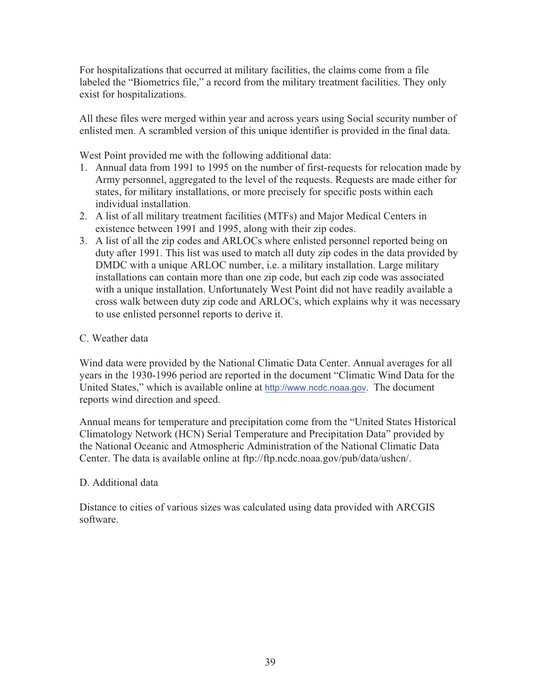For hospitalizations that occurred at military facilities, the claims come from a file labeled the "Biometrics file," a record from the military treatment facilities. They only exist for hospitalizations.

All these files were merged within year and across years using Social security number of enlisted men. A scrambled version of this unique identifier is provided in the final data.

West Point provided me with the following additional data:

- 1. Annual data from 1991 to 1995 on the number of first-requests for relocation made by Army personnel, aggregated to the level of the requests. Requests are made either for states, for military installations, or more precisely for specific posts within each individual installation.
- 2. A list of all military treatment facilities (MTFs) and Major Medical Centers in existence between 1991 and 1995, along with their zip codes.
- 3. A list of all the zip codes and ARLOCs where enlisted personnel reported being on duty after 1991. This list was used to match all duty zip codes in the data provided by DMDC with a unique ARLOC number, i.e. a military installation. Large military installations can contain more than one zip code, but each zip code was associated with a unique installation. Unfortunately West Point did not have readily available a cross walk between duty zip code and ARLOCs, which explains why it was necessary to use enlisted personnel reports to derive it.

## C. Weather data

Wind data were provided by the National Climatic Data Center. Annual averages for all years in the 1930-1996 period are reported in the document "Climatic Wind Data for the United States," which is available online at http://www.ncdc.noaa.gov. The document reports wind direction and speed.

Annual means for temperature and precipitation come from the "United States Historical Climatology Network (HCN) Serial Temperature and Precipitation Data" provided by the National Oceanic and Atmospheric Administration of the National Climatic Data Center. The data is available online at ftp://ftp.ncdc.noaa.gov/pub/data/ushcn/.

### D. Additional data

Distance to cities of various sizes was calculated using data provided with ARCGIS software.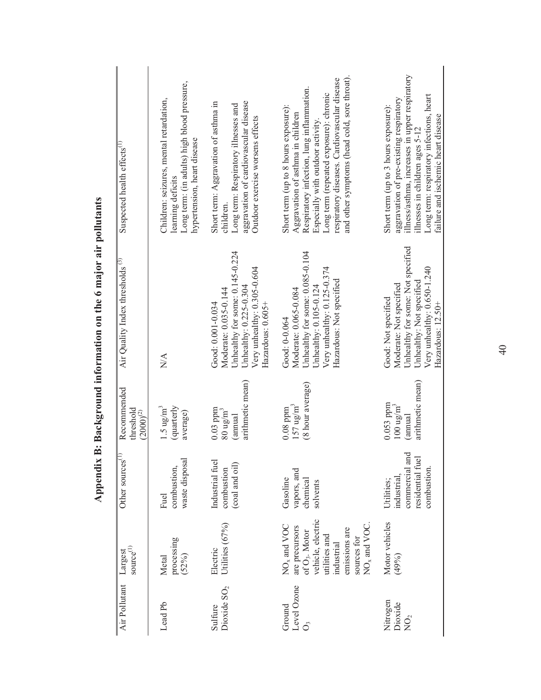| Suspected health effects <sup>(1)</sup>     | Long term: (in adults) high blood pressure,<br>Children: seizures, mental retardation,<br>hypertension, heart disease<br>learning deficits | aggravation of cardiovascular disease<br>Short term: Aggravation of asthma in<br>Long term: Respiratory illnesses and<br>Outdoor exercise worsens effects<br>children. | and other symptoms (head cold, sore throat).<br>respiratory diseases. Cardiovascular disease<br>Respiratory infection, lung inflammation.<br>Long term (repeated exposure): chronic<br>Short term (up to 8 hours exposure):<br>Aggravation of asthma in children<br>Especially with outdoor activity | illness/asthma, increases in upper respiratory<br>Long term: respiratory infections, heart<br>aggravation of pre-existing respiratory<br>Short term (up to 3 hours exposure):<br>failure and ischemic heart disease<br>illnesses in children ages 5-12 |
|---------------------------------------------|--------------------------------------------------------------------------------------------------------------------------------------------|------------------------------------------------------------------------------------------------------------------------------------------------------------------------|------------------------------------------------------------------------------------------------------------------------------------------------------------------------------------------------------------------------------------------------------------------------------------------------------|--------------------------------------------------------------------------------------------------------------------------------------------------------------------------------------------------------------------------------------------------------|
| Air Quality Index thresholds <sup>(3)</sup> | $\sum_{i=1}^{n}$                                                                                                                           | Unhealthy for some: 0.145-0.224<br>Very unhealthy: $0.305 - 0.604$<br>Unhealthy: 0.225-0.304<br>Moderate: 0.035-0.144<br>Hazardous: 0.605+<br>Good: 0.001-0.034        | Unhealthy for some: 0.085-0.104<br>Very unhealthy: $0.125 - 0.374$<br>Hazardous: Not specified<br>Unhealthy: 0.105-0.124<br>Moderate: 0.065-0.084<br>Good: 0-0.064                                                                                                                                   | Unhealthy for some: Not specified<br>Very unhealthy: 0.650-1.240<br>Unhealthy: Not specified<br>Moderate: Not specified<br>Good: Not specified<br>Hazardous: 12.50+                                                                                    |
| Recommended<br>threshold<br>$(2000)^{(2)}$  | (quarterly<br>$1.5 \text{ ug/m}^3$<br>average)                                                                                             | arithmetic mean)<br>$0.03$ ppm<br>$80~\rm{ug/m}^3$<br>(annua)                                                                                                          | (8 hour average)<br>$157 \text{ ug/m}^3$<br>$0.08$ ppm                                                                                                                                                                                                                                               | arithmetic mean)<br>$0.053$ ppm<br>$100~\rm{ug/m}^3$<br>(annua)                                                                                                                                                                                        |
| Other sources <sup>(1)</sup>                | waste disposal<br>combustion,<br>Fuel                                                                                                      | Industrial fuel<br>(coal and oil)<br>combustion                                                                                                                        | vapors, and<br>Gasoline<br>chemical<br>solvents                                                                                                                                                                                                                                                      | commercial and<br>residential fuel<br>combustion.<br>industrial,<br>Utilities;                                                                                                                                                                         |
| $\rm source^{(1)}$<br>Largest               | processing<br>(52%)<br>Metal                                                                                                               | Utilities (67%)<br>Electric                                                                                                                                            | vehicle, electric<br>$NOx$ and $VOC$ .<br>$NOx$ and $VOC$<br>are precursors<br>emissions are<br>of O <sub>3</sub> . Motor<br>utilities and<br>sources for<br>industrial                                                                                                                              | Motor vehicles<br>(49%)                                                                                                                                                                                                                                |
| Air Pollutant                               | Lead Pb                                                                                                                                    | Dioxide SO <sub>2</sub><br>Sulfure                                                                                                                                     | Level Ozone<br>Ground<br>Ő                                                                                                                                                                                                                                                                           | Nitrogen<br>Dioxide<br>$\sum_{\alpha}$                                                                                                                                                                                                                 |

Appendix B: Background information on the 6 major air pollutants **Appendix B: Background information on the 6 major air pollutants** 

40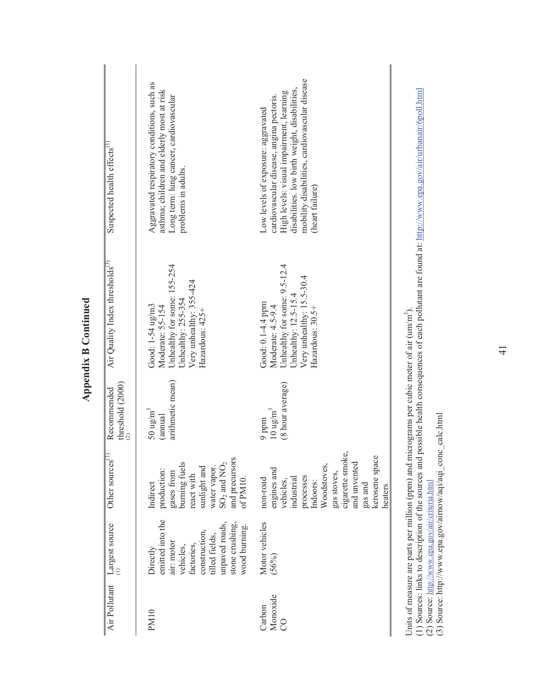| Suspected health effects <sup>(1)</sup>     | Aggravated respiratory conditions, such as<br>asthma; children and elderly most at risk<br>Long term: lung cancer, cardiovascular<br>problems in adults.       | mobility disabilities, cardiovascular disease<br>disabilities. low birth weight, disabilities,<br>High levels: visual impairment, learning<br>cardiovascular disease, angina pectoris.<br>Low levels of exposure: aggravated<br>(heart failure) |
|---------------------------------------------|----------------------------------------------------------------------------------------------------------------------------------------------------------------|-------------------------------------------------------------------------------------------------------------------------------------------------------------------------------------------------------------------------------------------------|
| Air Quality Index thresholds <sup>(3)</sup> | Unhealthy for some: 155-254<br>Very unhealthy: 355-424<br>Unhealthy: 255-354<br>Good: 1-54 ug/m3<br>Moderate: 55-154<br>Hazardous: 425+                        | Unhealthy for some: 9.5-12.4<br>Very unhealthy: 15.5-30.4<br>Unhealthy: 12.5-15.4<br>Good: 0.1-4.4 ppm<br>Moderate: 4.5-9.4<br>Hazardous: 30.5+                                                                                                 |
| threshold $(2000)$<br>(2)<br>Recommended    | arithmetic mean)<br>$50 \text{ ug/m}^3$<br>(annua)                                                                                                             | (8 hour average)<br>$10 \text{ ug/m}^3$<br>9 ppm                                                                                                                                                                                                |
| Other sources'                              | and precursors<br>burning fuels<br>$SO2$ and $NO2$<br>sunlight and<br>water vapor.<br>production:<br>gases from<br>react with<br>of PM10.<br>Indirect          | cigarette smoke,<br>kerosene space<br>and unvented<br>Woodstoves,<br>engines and<br>gas stoves,<br>processes<br>industrial<br>non-road<br>vehicles,<br>Indoors:<br>$_{\rm gas}$ and<br>heaters                                                  |
| Largest source                              | emitted into the<br>stone crushing,<br>unpaved roads,<br>wood burning.<br>construction,<br>tilled fields,<br>air: motor<br>factories,<br>vehicles,<br>Directly | Motor vehicles<br>(56%)                                                                                                                                                                                                                         |
| Air Pollutant                               | PM10                                                                                                                                                           | Monoxide<br>Carbon<br>$\overline{\mathrm{C}}$                                                                                                                                                                                                   |

**Appendix B Continued Appendix B Continued** 

Units of measure are parts per million (ppm) and micrograms per cubic meter of air (um/m<sup>3</sup>).

Units of measure are parts per million (ppm) and micrograms per cubic meter of air (um/m<sup>3</sup>).<br>(1) Sources: links to description of the sources and possible health consequences of each pollutant are found at: http://www.epa (1) Sources: links to description of the sources and possible health consequences of each pollutant are found at: http://www.epa.gov/air/urbanair/6poll.html (2) Source: http://www.epa.gov/air/criteria.html

(3) Source: http://www.epa.gov/airnow/aqi/aqi\_conc\_calc.html

 $\frac{1}{4}$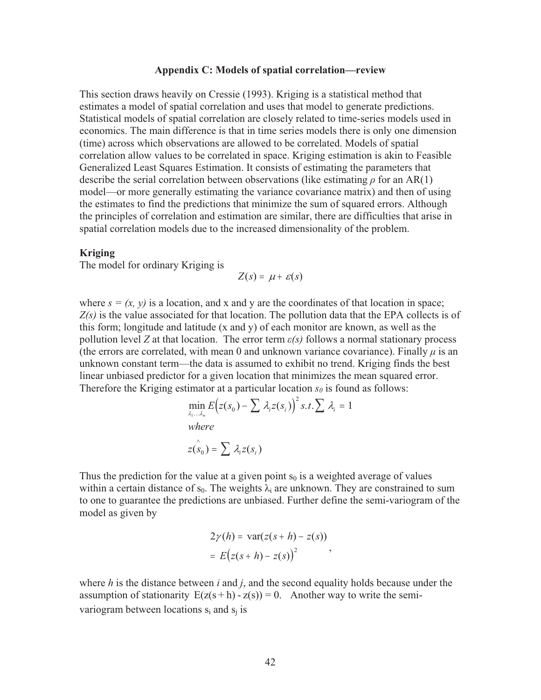#### **Appendix C: Models of spatial correlation—review**

This section draws heavily on Cressie (1993). Kriging is a statistical method that estimates a model of spatial correlation and uses that model to generate predictions. Statistical models of spatial correlation are closely related to time-series models used in economics. The main difference is that in time series models there is only one dimension (time) across which observations are allowed to be correlated. Models of spatial correlation allow values to be correlated in space. Kriging estimation is akin to Feasible Generalized Least Squares Estimation. It consists of estimating the parameters that describe the serial correlation between observations (like estimating  $\rho$  for an AR(1) model—or more generally estimating the variance covariance matrix) and then of using the estimates to find the predictions that minimize the sum of squared errors. Although the principles of correlation and estimation are similar, there are difficulties that arise in spatial correlation models due to the increased dimensionality of the problem.

#### **Kriging**

The model for ordinary Kriging is

 $Z(s) = \mu + \varepsilon(s)$ 

where  $s = (x, y)$  is a location, and x and y are the coordinates of that location in space; *Z(s)* is the value associated for that location. The pollution data that the EPA collects is of this form; longitude and latitude (x and y) of each monitor are known, as well as the pollution level *Z* at that location. The error term  $\varepsilon(s)$  follows a normal stationary process (the errors are correlated, with mean 0 and unknown variance covariance). Finally  $\mu$  is an unknown constant term—the data is assumed to exhibit no trend. Kriging finds the best linear unbiased predictor for a given location that minimizes the mean squared error. Therefore the Kriging estimator at a particular location  $s_0$  is found as follows:

$$
\min_{\lambda_1 \dots \lambda_n} E\Big(z(s_0) - \sum \lambda_i z(s_i)\Big)^2 s.t. \sum \lambda_i = 1
$$
\nwhere

\n
$$
z(s_0) = \sum \lambda_i z(s_i)
$$

Thus the prediction for the value at a given point  $s_0$  is a weighted average of values within a certain distance of  $s_0$ . The weights  $\lambda_i$  are unknown. They are constrained to sum to one to guarantee the predictions are unbiased. Further define the semi-variogram of the model as given by

$$
2\gamma(h) = \text{var}(z(s+h) - z(s))
$$

$$
= E(z(s+h) - z(s))^2,
$$

where *h* is the distance between *i* and *j*, and the second equality holds because under the assumption of stationarity  $E(z(s+h) - z(s)) = 0$ . Another way to write the semivariogram between locations  $s_i$  and  $s_j$  is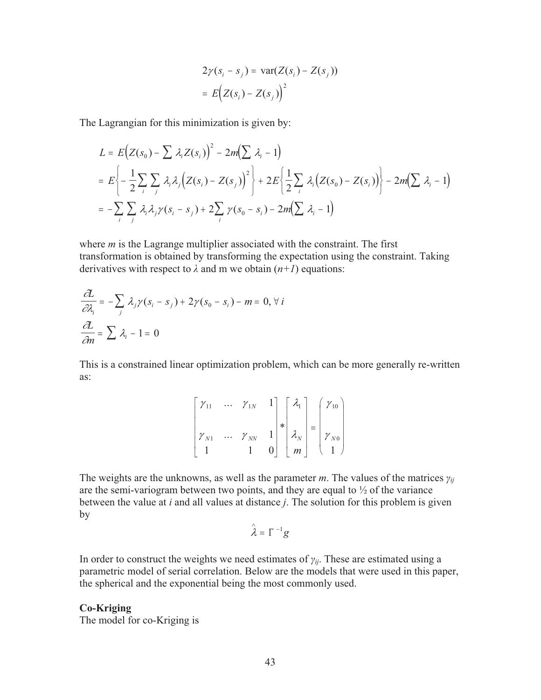$$
2\gamma(s_i - s_j) = \text{var}(Z(s_i) - Z(s_j))
$$

$$
= E\Big(Z(s_i) - Z(s_j)\Big)^2
$$

The Lagrangian for this minimization is given by:

$$
L = E\Big(Z(s_0) - \sum \lambda_i Z(s_i)\Big)^2 - 2m\Big(\sum \lambda_i - 1\Big)
$$
  
=  $E\Big\{-\frac{1}{2}\sum_i \sum_j \lambda_i \lambda_j \Big(Z(s_i) - Z(s_j)\Big)^2\Big\} + 2E\Big\{\frac{1}{2}\sum_i \lambda_i \Big(Z(s_0) - Z(s_i)\Big)\Big\} - 2m\Big(\sum \lambda_i - 1\Big)$   
=  $-\sum_i \sum_j \lambda_i \lambda_j \gamma(s_i - s_j) + 2\sum_i \gamma(s_0 - s_i) - 2m\Big(\sum \lambda_i - 1\Big)$ 

where *m* is the Lagrange multiplier associated with the constraint. The first transformation is obtained by transforming the expectation using the constraint. Taking derivatives with respect to  $\lambda$  and m we obtain  $(n+1)$  equations:

$$
\frac{\partial \mathcal{L}}{\partial \lambda_i} = -\sum_j \lambda_j \gamma (s_i - s_j) + 2\gamma (s_0 - s_i) - m = 0, \forall i
$$
  

$$
\frac{\partial \mathcal{L}}{\partial n} = \sum_j \lambda_j - 1 = 0
$$

This is a constrained linear optimization problem, which can be more generally re-written as:

| $ \gamma_{11} $ | $\cdots$ $\gamma_{1N}$             |                  | $\lambda_1$ | $(\gamma_{10})$                                                                                                                          |
|-----------------|------------------------------------|------------------|-------------|------------------------------------------------------------------------------------------------------------------------------------------|
| $ \gamma_{N1} $ | $\gamma_{\scriptscriptstyle N\!N}$ | $\left[0\right]$ |             | $\begin{bmatrix} 1 \\ 0 \end{bmatrix}^* \begin{bmatrix} \lambda_N \\ m \end{bmatrix}^* = \begin{bmatrix} \gamma_{N0} \\ 1 \end{bmatrix}$ |

The weights are the unknowns, as well as the parameter *m*. The values of the matrices  $\gamma_{ij}$ are the semi-variogram between two points, and they are equal to  $\frac{1}{2}$  of the variance between the value at *i* and all values at distance *j*. The solution for this problem is given by

$$
\hat{\lambda} = \Gamma^{-1} g
$$

In order to construct the weights we need estimates of  $\gamma_{ij}$ . These are estimated using a parametric model of serial correlation. Below are the models that were used in this paper, the spherical and the exponential being the most commonly used.

#### **Co-Kriging**

The model for co-Kriging is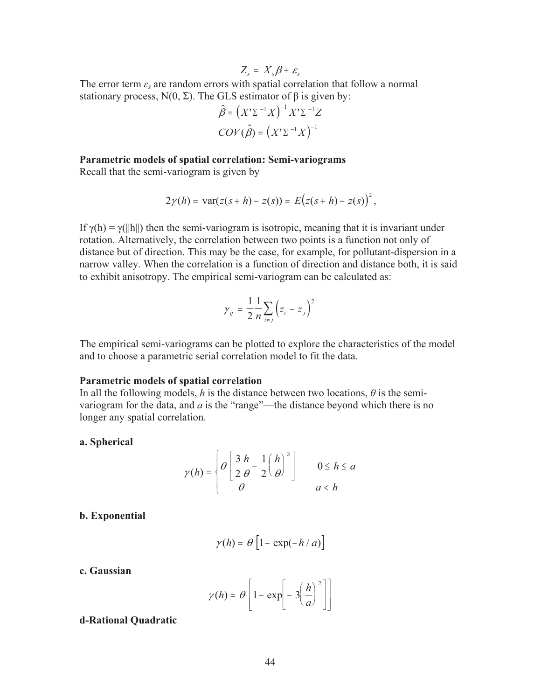$$
Z_s = X_s \beta + \varepsilon_s
$$

The error term  $\varepsilon_s$  are random errors with spatial correlation that follow a normal stationary process,  $N(0, \Sigma)$ . The GLS estimator of  $\beta$  is given by:

$$
\hat{\beta} = (X^{\dagger} \Sigma^{-1} X)^{-1} X^{\dagger} \Sigma^{-1} Z
$$

$$
COV(\hat{\beta}) = (X^{\dagger} \Sigma^{-1} X)^{-1}
$$

#### **Parametric models of spatial correlation: Semi-variograms**

Recall that the semi-variogram is given by

$$
2\gamma(h) = \text{var}(z(s+h) - z(s)) = E(z(s+h) - z(s))^2,
$$

If  $\gamma(h) = \gamma(||h||)$  then the semi-variogram is isotropic, meaning that it is invariant under rotation. Alternatively, the correlation between two points is a function not only of distance but of direction. This may be the case, for example, for pollutant-dispersion in a narrow valley. When the correlation is a function of direction and distance both, it is said to exhibit anisotropy. The empirical semi-variogram can be calculated as:

$$
\gamma_{ij} = \frac{1}{2} \frac{1}{n} \sum_{i \neq j} \left( z_i - z_j \right)^2
$$

The empirical semi-variograms can be plotted to explore the characteristics of the model and to choose a parametric serial correlation model to fit the data.

#### **Parametric models of spatial correlation**

In all the following models, *h* is the distance between two locations,  $\theta$  is the semivariogram for the data, and *a* is the "range"—the distance beyond which there is no longer any spatial correlation.

#### **a. Spherical**

$$
\gamma(h) = \begin{cases} \theta \left[ \frac{3}{2} \frac{h}{\theta} - \frac{1}{2} \left( \frac{h}{\theta} \right)^3 \right] & 0 \le h \le a \\ \theta & a & h \end{cases}
$$

#### **b. Exponential**

$$
\gamma(h) = \theta \left[ 1 - \exp(-h/a) \right]
$$

#### **c. Gaussian**

$$
\gamma(h) = \theta \left[ 1 - \exp \left[ -3 \left( \frac{h}{a} \right)^2 \right] \right]
$$

#### **d-Rational Quadratic**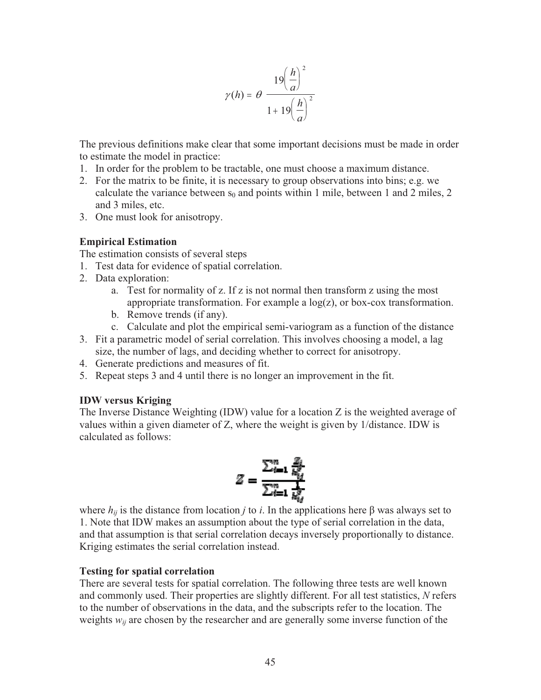$$
\gamma(h) = \theta \frac{19\left(\frac{h}{a}\right)^2}{1+19\left(\frac{h}{a}\right)^2}
$$

The previous definitions make clear that some important decisions must be made in order to estimate the model in practice:

- 1. In order for the problem to be tractable, one must choose a maximum distance.
- 2. For the matrix to be finite, it is necessary to group observations into bins; e.g. we calculate the variance between  $s_0$  and points within 1 mile, between 1 and 2 miles, 2 and 3 miles, etc.
- 3. One must look for anisotropy.

#### **Empirical Estimation**

The estimation consists of several steps

- 1. Test data for evidence of spatial correlation.
- 2. Data exploration:
	- a. Test for normality of z. If z is not normal then transform z using the most appropriate transformation. For example a log(z), or box-cox transformation.
	- b. Remove trends (if any).
	- c. Calculate and plot the empirical semi-variogram as a function of the distance
- 3. Fit a parametric model of serial correlation. This involves choosing a model, a lag size, the number of lags, and deciding whether to correct for anisotropy.
- 4. Generate predictions and measures of fit.
- 5. Repeat steps 3 and 4 until there is no longer an improvement in the fit.

#### **IDW versus Kriging**

The Inverse Distance Weighting (IDW) value for a location Z is the weighted average of values within a given diameter of Z, where the weight is given by 1/distance. IDW is calculated as follows:

$$
Z = \frac{\sum_{i=1}^{n} \frac{Z_i}{k_{ij}^2}}{\sum_{i=1}^{n} \frac{1}{k_{ij}^2}}
$$

where  $h_{ij}$  is the distance from location *j* to *i*. In the applications here  $\beta$  was always set to 1. Note that IDW makes an assumption about the type of serial correlation in the data, and that assumption is that serial correlation decays inversely proportionally to distance. Kriging estimates the serial correlation instead.

#### **Testing for spatial correlation**

There are several tests for spatial correlation. The following three tests are well known and commonly used. Their properties are slightly different. For all test statistics, *N* refers to the number of observations in the data, and the subscripts refer to the location. The weights  $w_{ij}$  are chosen by the researcher and are generally some inverse function of the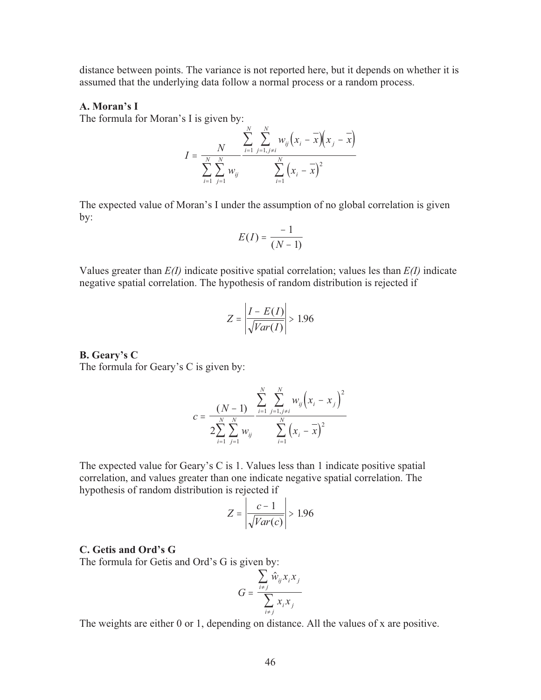distance between points. The variance is not reported here, but it depends on whether it is assumed that the underlying data follow a normal process or a random process.

#### **A. Moran's I**

The formula for Moran's I is given by:

$$
I = \frac{N}{\sum_{i=1}^{N} \sum_{j=1}^{N} w_{ij}} \frac{\sum_{i=1}^{N} \sum_{j=1, j \neq i}^{N} w_{ij} (x_i - \overline{x}) (x_j - \overline{x})}{\sum_{i=1}^{N} (x_i - \overline{x})^2}
$$

The expected value of Moran's I under the assumption of no global correlation is given by: 1

$$
E(I) = \frac{-1}{(N-1)}
$$

Values greater than *E(I)* indicate positive spatial correlation; values les than *E(I)* indicate negative spatial correlation. The hypothesis of random distribution is rejected if

$$
Z = \left| \frac{I - E(I)}{\sqrt{Var(I)}} \right| > 1.96
$$

**B. Geary's C** 

The formula for Geary's C is given by:

$$
c = \frac{(N-1)}{2\sum_{i=1}^{N} \sum_{j=1}^{N} w_{ij}} \frac{\sum_{i=1}^{N} \sum_{j=1, j\neq i}^{N} w_{ij} (x_i - x_j)^2}{\sum_{i=1}^{N} (x_i - \overline{x})^2}
$$

The expected value for Geary's C is 1. Values less than 1 indicate positive spatial correlation, and values greater than one indicate negative spatial correlation. The hypothesis of random distribution is rejected if

$$
Z = \left| \frac{c - 1}{\sqrt{Var(c)}} \right| > 1.96
$$

#### **C. Getis and Ord's G**

The formula for Getis and Ord's G is given by:

$$
G = \frac{\sum_{i \neq j} \hat{w}_{ij} x_i x_j}{\sum_{i \neq j} x_i x_j}
$$

The weights are either 0 or 1, depending on distance. All the values of x are positive.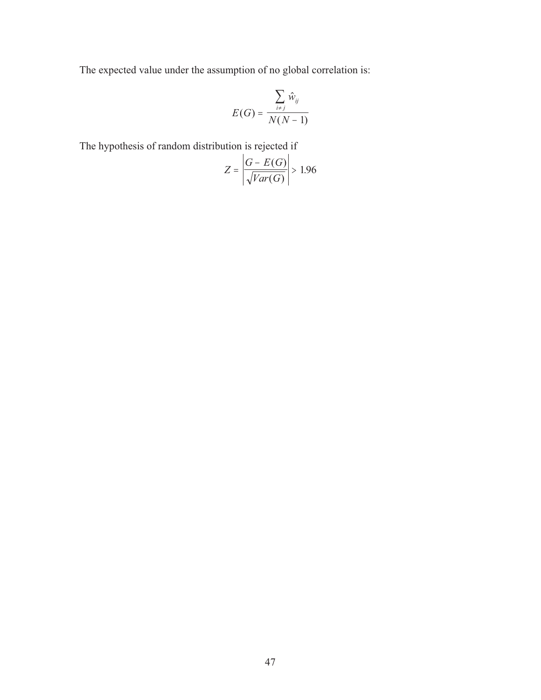The expected value under the assumption of no global correlation is:

$$
E(G) = \frac{\sum_{i \neq j} \hat{w}_{ij}}{N(N-1)}
$$

The hypothesis of random distribution is rejected if

$$
Z = \left| \frac{G - E(G)}{\sqrt{Var(G)}} \right| > 1.96
$$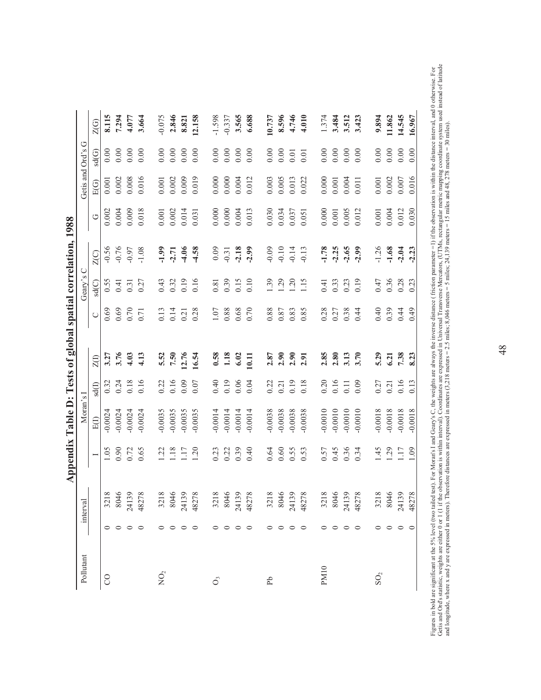| Pollutant                   | interva                        |                | Appendix Table D: Tests of global spatial correlation, 1988<br>Moran's I |          |       |            | Geary's C      |         |                     |           | Getis and Ord's G |          |
|-----------------------------|--------------------------------|----------------|--------------------------------------------------------------------------|----------|-------|------------|----------------|---------|---------------------|-----------|-------------------|----------|
|                             |                                | $\overline{a}$ | E(I)                                                                     | sd(I)    | Z(1)  | $\bigcirc$ | sd(C)          | Z(C)    | $\circlearrowright$ | E(G)      | sd(G)             | Z(G)     |
| 8                           | 32                             | 1.05           | $-0.0024$                                                                | 0.32     | 3.27  | 0.69       | 0.55           | $-0.56$ | 0.002               | $0.001\,$ | 0.00              | 8.115    |
|                             | $\frac{18}{4}$ $\frac{6}{2}$   | 0.90           | $-0.0024$                                                                | 0.24     | 3.76  | 0.69       | 0.41           | $-0.76$ | 0.004               | 0.002     | 0.00              | 7.294    |
|                             | 241                            | 0.72           | $-0.0024$                                                                | $0.18\,$ | 4.03  | 0.70       | 0.31           | $-0.97$ | 0.009               | 0.008     | 0.00              | 4.077    |
|                             | 78<br>482                      | 0.65           | $-0.0024$                                                                | 0.16     | 4.13  | 0.71       | 0.27           | $-1.08$ | 0.018               | 0.016     | 0.00              | 3.664    |
| $\sum_{2}$                  |                                | 1.22           | $-0.0035$                                                                | 0.22     | 5.52  | 0.13       | 0.43           | $-1.99$ | 0.001               | 0.001     | 0.00              | $-0.075$ |
|                             | 3218<br>8046<br>24139          | 1.18           | $-0.0035$                                                                | 0.16     | 7.50  | 0.14       | 0.32           | $-2.71$ | 0.002               | 0.002     | 0.00              | 2.846    |
|                             |                                | 1.17           | $-0.0035$                                                                | 0.09     | 12.76 | 0.21       | 0.19           | $-4.06$ | 0.014               | 0.009     | 0.00              | 8.821    |
|                             | 48278                          | 1.20           | $-0.0035$                                                                | 0.07     | 16.54 | 0.28       | 0.16           | $-4.58$ | 0.031               | 0.019     | 0.00              | 12.158   |
| $\mathcal{O}^{\mathcal{I}}$ |                                | 0.23           | $-0.0014$                                                                | 0.40     | 0.58  | 1.07       | 0.81           | 0.09    | 0.000               | 0.000     | 0.00              | $-1.598$ |
|                             | 3218<br>8046                   | 0.22           | $-0.0014$                                                                | 0.19     | 1.18  | $0.88\,$   | 0.39           | $-0.31$ | $0.000$             | 0.000     | 0.00              | $-0.337$ |
|                             | 24139                          | 0.39           | $-0.0014$                                                                | 0.06     | 6.02  | 0.68       | 0.15           | $-2.18$ | 0.004               | 0.004     | 0.00              | 3.565    |
|                             | 48278                          | 0.40           | $-0.0014$                                                                | 0.04     | 111   | 0.70       | 0.10           | $-2.99$ | 0.013               | 0.012     | 0.00              | 6.688    |
| Рb                          | 3218<br>8046                   | 0.64           | $-0.0038$                                                                | 0.22     | 2.87  | 0.88       | 1.39           | $-0.09$ | 0.030               | 0.003     | 0.00              | 10.737   |
|                             |                                | 0.60           | $-0.0038$                                                                | 0.21     | 2.90  | 0.87       | 1.29           | $-0.10$ | 0.034               | 0.005     | 0.00              | 8.596    |
|                             | 24139                          | 0.55           | $-0.0038$                                                                | 0.19     | 2.90  | 0.83       | $\overline{0}$ | $-0.14$ | 0.037               | 0.013     | 0.01              | 4.746    |
|                             | 48278                          | 0.53           | $-0.0038$                                                                | 0.18     | 2.91  | 0.85       | 1.15           | $-0.13$ | 0.051               | 0.022     | 0.01              | 4.010    |
| <b>PM10</b>                 |                                | 0.57           | $-0.0010$                                                                | 0.20     | 2.85  | 0.28       | 0.41           | $-1.78$ | 0.000               | 0.000     | 0.00              | 1.374    |
|                             | 3218<br>8046                   | 0.45           | $-0.0010$                                                                | $0.16\,$ | 2.80  | 0.27       | 0.33           | $-2.25$ | $0.001\,$           | 0.001     | 0.00              | 3.484    |
|                             | 24139                          | 0.36           | $-0.0010$                                                                | 0.11     | 3.13  | 0.38       | 0.23           | $-2.65$ | 0.005               | 0.004     | 0.00              | 3.512    |
|                             | 48278                          | 0.34           | $-0.0010$                                                                | 0.09     | 3.70  | 0.44       | 0.19           | $-2.99$ | 0.012               | $0.011\,$ | 0.00              | 3.423    |
| ${\rm SO}_2$                |                                | 1.45           | $-0.0018$                                                                | 0.27     | 5.29  | 0.40       | 0.47           | $-1.26$ | 0.001               | 0.001     | 0.00              | 9.894    |
|                             |                                | 1.29           | $-0.0018$                                                                | 0.21     | 6.21  | 0.39       | 0.36           | $-1.68$ | 0.004               | 0.002     | 0.00              | 11.862   |
|                             | 3218<br>8046<br>24139<br>48278 | 1.17           | $-0.0018$                                                                | 0.16     | 7.38  | 0.44       | 0.28           | $-2.04$ | 0.012               | $0.007\,$ | $0.00\,$          | 14.545   |
|                             |                                | 1.09           | $-0.0018$                                                                | 0.13     | 8.23  | 0.49       | 0.23           | $-2.23$ | 0.030               | 0.016     | 0.00              | 16.967   |

Figures in bold are significant at the 5% level (two tailed test). For Moran's 1 and Geary's C, the weights are always the inverse distance ( friction parameter =1) if the observation is within the distance interval, and 0 Getis and Ord's statistic, weights are either 0 or 1 (1 if the observation is within interval). Coordinates are expressed in Universal Transverse Mercators, (UTMs, rectangular metric mapping coordinate system used instead Figures in bold are significant at the 5% level (two tailed test). For Moran's I and Geary's C, the weights are always the inverse distance (friction parameter =1) if the observation is within the distance interval, and 0 and longitude, where x and y are expressed in meters). Therefore distances are expressed in meters (3,218 meters = 5 miles; 24,139 meters = 15 miles and 48, 278 meters = 30 miles).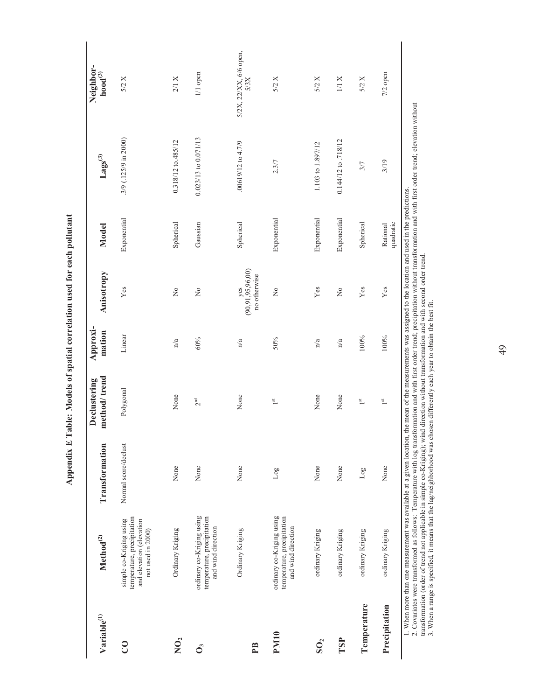| Variable <sup>(1)</sup> | Method <sup>(2)</sup>                                                                                                                                                                                                                                                                                                                                        | Transformation       | method/trend<br>Declustering | Approxi-<br>mation | <b>Anisotropy</b>                           | <b>Model</b>          | ${\rm \ Laggs^{(3)}}$ | Neighbor-<br>$\mathbf{h}{\mathbf{o}}{\mathbf{od}}^{(3)}$ |
|-------------------------|--------------------------------------------------------------------------------------------------------------------------------------------------------------------------------------------------------------------------------------------------------------------------------------------------------------------------------------------------------------|----------------------|------------------------------|--------------------|---------------------------------------------|-----------------------|-----------------------|----------------------------------------------------------|
| $\overline{C}$          | temperature, precipitation<br>simple co-Kriging using<br>and elevation (elevation<br>not used in 2000)                                                                                                                                                                                                                                                       | Normal score/declust | Polygonal                    | Linear             | Yes                                         | Exponential           | 3/9 (.125/9 in 2000)  | 5/2 X                                                    |
| $\mathbf{Q}_2$          | Ordinary Kriging                                                                                                                                                                                                                                                                                                                                             | None                 | None                         | n/a                | $\tilde{z}$                                 | Spherical             | 0.318/12 to:485/12    | $2/1$ X                                                  |
| $\mathbf{O}_3$          | ordinary co-Kriging using<br>temperature, precipitation<br>and wind direction                                                                                                                                                                                                                                                                                | None                 | 2 <sup>nd</sup>              | $60\%$             | $\tilde{z}$                                 | Gaussian              | 0.023/13 to 0.071/13  | $1/1$ open                                               |
| PB                      | Ordinary Kriging                                                                                                                                                                                                                                                                                                                                             | None                 | None                         | n/a                | (90, 91, 95, 96, 00)<br>no otherwise<br>yes | Spherical             | 00619/12 to 4.7/9     | 5/2X, 22/XX, 6/6 open,<br>5/3X                           |
| <b>PM10</b>             | ordinary co-Kriging using<br>temperature, precipitation<br>and wind direction                                                                                                                                                                                                                                                                                | $_{\rm Log}$         | $1^{\mathrm{st}}$            | 50%                | $\tilde{z}$                                 | Exponential           | 2.3/7                 | 5/2 X                                                    |
| SO <sub>2</sub>         | ordinary Kriging                                                                                                                                                                                                                                                                                                                                             | None                 | None                         | n/a                | Yes                                         | Exponential           | 1.103 to 1.897/12     | 5/2 X                                                    |
| TSP                     | ordinary Kriging                                                                                                                                                                                                                                                                                                                                             | None                 | None                         | n/a                | $\tilde{z}$                                 | Exponential           | 0.144/12 to .718/12   | $1/1~\text{X}$                                           |
| Temperature             | ordinary Kriging                                                                                                                                                                                                                                                                                                                                             | $_{\rm Log}$         | $1^{\rm st}$                 | 100%               | Yes                                         | Spherical             | 3/7                   | 5/2 X                                                    |
| Precipitation           | ordinary Kriging                                                                                                                                                                                                                                                                                                                                             | None                 | $1^{\mathrm{st}}$            | 100%               | Yes                                         | quadratic<br>Rational | .3/19                 | $7/2$ open                                               |
|                         | 2. Covariates were transformed as follows: Temperature with log transformation and with first order trend: precipitation without transformation and with first order trend: elevation without<br>1. When more than one measurement was available at a given location, the mean of the measurements was assigned to the location and used in the predictions. |                      |                              |                    |                                             |                       |                       |                                                          |

**Appendix E Table: Models of spatial correlation used for each pollutant**  Appendix E Table: Models of spatial correlation used for each pollutant 2. Covariates were transformed as follows: Temperature with log transformation and with first order trend; precipitation without transformation and with first order trend; elevation without ັ້.

2. Covariates were transformed as follows: - temperature with rog transformation and with mist ofter trend, precipitation without transformation (order of trend not applicable in simple co-Kriging); wind direction without transformation (order of trend not applicable in simple co-Kriging); wind direction without transformation and with second order trend. 3. When a range is specified, it means that the lag/neighborhood was chosen differently each year to obtain the best fit.

49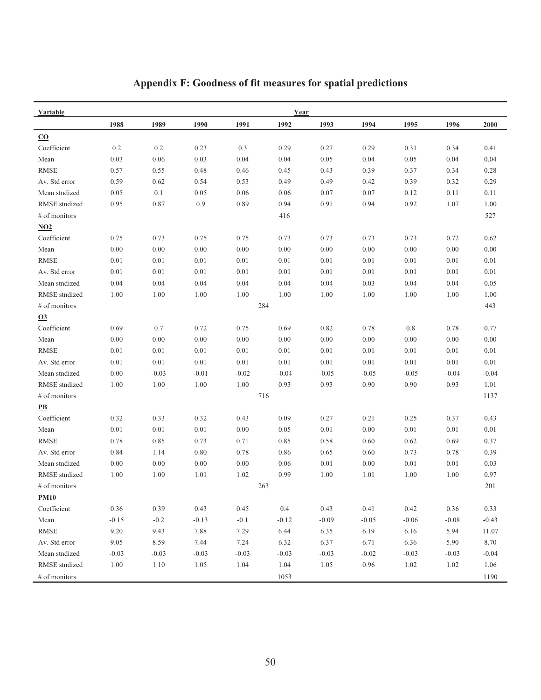| Variable                 |         |          |         |          | Year    |         |         |          |         |          |
|--------------------------|---------|----------|---------|----------|---------|---------|---------|----------|---------|----------|
|                          | 1988    | 1989     | 1990    | 1991     | 1992    | 1993    | 1994    | 1995     | 1996    | 2000     |
| $\overline{CO}$          |         |          |         |          |         |         |         |          |         |          |
| Coefficient              | 0.2     | 0.2      | 0.23    | 0.3      | 0.29    | 0.27    | 0.29    | 0.31     | 0.34    | 0.41     |
| Mean                     | 0.03    | 0.06     | 0.03    | 0.04     | 0.04    | 0.05    | 0.04    | 0.05     | 0.04    | 0.04     |
| <b>RMSE</b>              | 0.57    | 0.55     | 0.48    | 0.46     | 0.45    | 0.43    | 0.39    | 0.37     | 0.34    | 0.28     |
| Av. Std error            | 0.59    | 0.62     | 0.54    | 0.53     | 0.49    | 0.49    | 0.42    | 0.39     | 0.32    | 0.29     |
| Mean stndized            | 0.05    | 0.1      | 0.05    | 0.06     | 0.06    | 0.07    | 0.07    | 0.12     | 0.11    | 0.11     |
| RMSE stndized            | 0.95    | 0.87     | 0.9     | 0.89     | 0.94    | 0.91    | 0.94    | 0.92     | 1.07    | 1.00     |
| # of monitors            |         |          |         |          | 416     |         |         |          |         | 527      |
| NO <sub>2</sub>          |         |          |         |          |         |         |         |          |         |          |
| Coefficient              | 0.75    | 0.73     | 0.75    | 0.75     | 0.73    | 0.73    | 0.73    | 0.73     | 0.72    | 0.62     |
| Mean                     | 0.00    | 0.00     | 0.00    | $0.00\,$ | 0.00    | 0.00    | 0.00    | 0.00     | 0.00    | 0.00     |
| <b>RMSE</b>              | 0.01    | $0.01\,$ | 0.01    | $0.01\,$ | 0.01    | 0.01    | 0.01    | 0.01     | 0.01    | $0.01\,$ |
| Av. Std error            | 0.01    | 0.01     | 0.01    | 0.01     | 0.01    | 0.01    | 0.01    | 0.01     | 0.01    | 0.01     |
| Mean stndized            | 0.04    | 0.04     | 0.04    | 0.04     | 0.04    | 0.04    | 0.03    | 0.04     | 0.04    | 0.05     |
| RMSE stndized            | 1.00    | 1.00     | 1.00    | 1.00     | 1.00    | 1.00    | 1.00    | 1.00     | 1.00    | 1.00     |
| # of monitors            |         |          |         |          | 284     |         |         |          |         | 443      |
| Q <sub>3</sub>           |         |          |         |          |         |         |         |          |         |          |
| Coefficient              | 0.69    | 0.7      | 0.72    | 0.75     | 0.69    | 0.82    | 0.78    | 0.8      | 0.78    | 0.77     |
| Mean                     | 0.00    | 0.00     | 0.00    | 0.00     | 0.00    | 0.00    | 0.00    | 0.00     | 0.00    | 0.00     |
| <b>RMSE</b>              | 0.01    | 0.01     | 0.01    | 0.01     | 0.01    | 0.01    | 0.01    | 0.01     | 0.01    | 0.01     |
| Av. Std error            | 0.01    | 0.01     | 0.01    | 0.01     | 0.01    | 0.01    | 0.01    | 0.01     | 0.01    | 0.01     |
| Mean stndized            | 0.00    | $-0.03$  | $-0.01$ | $-0.02$  | $-0.04$ | $-0.05$ | $-0.05$ | $-0.05$  | $-0.04$ | $-0.04$  |
| RMSE stndized            | 1.00    | 1.00     | 1.00    | 1.00     | 0.93    | 0.93    | 0.90    | 0.90     | 0.93    | 1.01     |
| # of monitors            |         |          |         |          | 716     |         |         |          |         | 1137     |
| $\overline{\mathbf{PB}}$ |         |          |         |          |         |         |         |          |         |          |
| Coefficient              | 0.32    | 0.33     | 0.32    | 0.43     | 0.09    | 0.27    | 0.21    | 0.25     | 0.37    | 0.43     |
| Mean                     | 0.01    | 0.01     | 0.01    | $0.00\,$ | 0.05    | 0.01    | 0.00    | $0.01\,$ | 0.01    | 0.01     |
| <b>RMSE</b>              | 0.78    | 0.85     | 0.73    | 0.71     | 0.85    | 0.58    | 0.60    | 0.62     | 0.69    | 0.37     |
| Av. Std error            | 0.84    | 1.14     | 0.80    | 0.78     | 0.86    | 0.65    | 0.60    | 0.73     | 0.78    | 0.39     |
| Mean stndized            | 0.00    | 0.00     | 0.00    | 0.00     | 0.06    | 0.01    | 0.00    | 0.01     | 0.01    | 0.03     |
| RMSE stndized            | 1.00    | 1.00     | 1.01    | 1.02     | 0.99    | 1.00    | 1.01    | 1.00     | 1.00    | 0.97     |
| # of monitors            |         |          |         | 263      |         |         |         |          |         | 201      |
| <b>PM10</b>              |         |          |         |          |         |         |         |          |         |          |
| Coefficient              | 0.36    | 0.39     | 0.43    | 0.45     | 0.4     | 0.43    | 0.41    | 0.42     | 0.36    | 0.33     |
| Mean                     | $-0.15$ | $-0.2$   | $-0.13$ | $-0.1$   | $-0.12$ | $-0.09$ | $-0.05$ | $-0.06$  | $-0.08$ | $-0.43$  |
| <b>RMSE</b>              | 9.20    | 9.43     | 7.88    | 7.29     | 6.44    | 6.35    | 6.19    | 6.16     | 5.94    | 11.07    |
| Av. Std error            | 9.05    | 8.59     | 7.44    | 7.24     | 6.32    | 6.37    | 6.71    | 6.36     | 5.90    | 8.70     |
| Mean stndized            | $-0.03$ | $-0.03$  | $-0.03$ | $-0.03$  | $-0.03$ | $-0.03$ | $-0.02$ | $-0.03$  | $-0.03$ | $-0.04$  |
| RMSE stndized            | 1.00    | 1.10     | 1.05    | 1.04     | 1.04    | 1.05    | 0.96    | 1.02     | 1.02    | 1.06     |
| # of monitors            |         |          |         |          | 1053    |         |         |          |         | 1190     |

# **Appendix F: Goodness of fit measures for spatial predictions**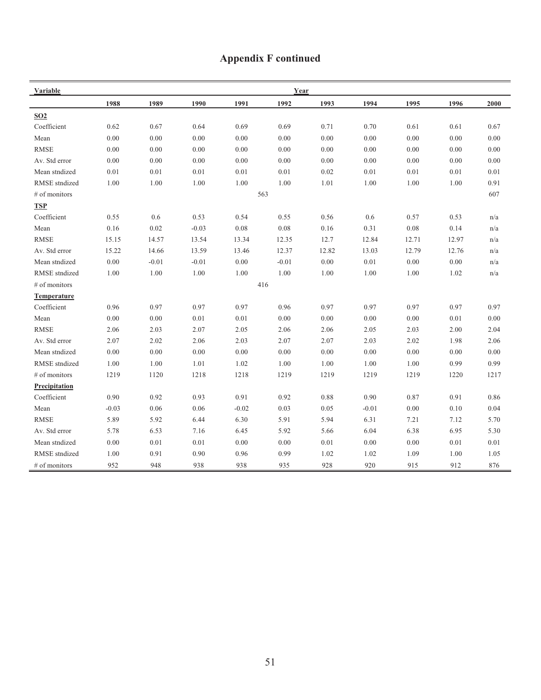|  |  | <b>Appendix F continued</b> |
|--|--|-----------------------------|
|--|--|-----------------------------|

| Variable             |         |         |         |          | Year    |       |         |          |       |      |
|----------------------|---------|---------|---------|----------|---------|-------|---------|----------|-------|------|
|                      | 1988    | 1989    | 1990    | 1991     | 1992    | 1993  | 1994    | 1995     | 1996  | 2000 |
| SO <sub>2</sub>      |         |         |         |          |         |       |         |          |       |      |
| Coefficient          | 0.62    | 0.67    | 0.64    | 0.69     | 0.69    | 0.71  | 0.70    | 0.61     | 0.61  | 0.67 |
| Mean                 | 0.00    | 0.00    | 0.00    | 0.00     | 0.00    | 0.00  | 0.00    | 0.00     | 0.00  | 0.00 |
| <b>RMSE</b>          | 0.00    | 0.00    | 0.00    | 0.00     | 0.00    | 0.00  | 0.00    | 0.00     | 0.00  | 0.00 |
| Av. Std error        | 0.00    | 0.00    | 0.00    | 0.00     | 0.00    | 0.00  | 0.00    | 0.00     | 0.00  | 0.00 |
| Mean stndized        | 0.01    | 0.01    | 0.01    | 0.01     | 0.01    | 0.02  | 0.01    | 0.01     | 0.01  | 0.01 |
| RMSE stndized        | 1.00    | 1.00    | 1.00    | 1.00     | 1.00    | 1.01  | 1.00    | 1.00     | 1.00  | 0.91 |
| # of monitors        |         |         |         |          | 563     |       |         |          |       | 607  |
| <b>TSP</b>           |         |         |         |          |         |       |         |          |       |      |
| Coefficient          | 0.55    | 0.6     | 0.53    | 0.54     | 0.55    | 0.56  | 0.6     | 0.57     | 0.53  | n/a  |
| Mean                 | 0.16    | 0.02    | $-0.03$ | $0.08\,$ | 0.08    | 0.16  | 0.31    | 0.08     | 0.14  | n/a  |
| <b>RMSE</b>          | 15.15   | 14.57   | 13.54   | 13.34    | 12.35   | 12.7  | 12.84   | 12.71    | 12.97 | n/a  |
| Av. Std error        | 15.22   | 14.66   | 13.59   | 13.46    | 12.37   | 12.82 | 13.03   | 12.79    | 12.76 | n/a  |
| Mean stndized        | 0.00    | $-0.01$ | $-0.01$ | 0.00     | $-0.01$ | 0.00  | 0.01    | 0.00     | 0.00  | n/a  |
| <b>RMSE</b> stndized | 1.00    | 1.00    | 1.00    | 1.00     | 1.00    | 1.00  | 1.00    | $1.00\,$ | 1.02  | n/a  |
| # of monitors        |         |         |         |          | 416     |       |         |          |       |      |
| Temperature          |         |         |         |          |         |       |         |          |       |      |
| Coefficient          | 0.96    | 0.97    | 0.97    | 0.97     | 0.96    | 0.97  | 0.97    | 0.97     | 0.97  | 0.97 |
| Mean                 | 0.00    | 0.00    | 0.01    | 0.01     | 0.00    | 0.00  | 0.00    | 0.00     | 0.01  | 0.00 |
| <b>RMSE</b>          | 2.06    | 2.03    | 2.07    | 2.05     | 2.06    | 2.06  | 2.05    | 2.03     | 2.00  | 2.04 |
| Av. Std error        | 2.07    | 2.02    | 2.06    | 2.03     | 2.07    | 2.07  | 2.03    | 2.02     | 1.98  | 2.06 |
| Mean stndized        | 0.00    | 0.00    | 0.00    | 0.00     | 0.00    | 0.00  | 0.00    | 0.00     | 0.00  | 0.00 |
| RMSE stndized        | 1.00    | 1.00    | 1.01    | 1.02     | 1.00    | 1.00  | 1.00    | 1.00     | 0.99  | 0.99 |
| # of monitors        | 1219    | 1120    | 1218    | 1218     | 1219    | 1219  | 1219    | 1219     | 1220  | 1217 |
| Precipitation        |         |         |         |          |         |       |         |          |       |      |
| Coefficient          | 0.90    | 0.92    | 0.93    | 0.91     | 0.92    | 0.88  | 0.90    | 0.87     | 0.91  | 0.86 |
| Mean                 | $-0.03$ | 0.06    | 0.06    | $-0.02$  | 0.03    | 0.05  | $-0.01$ | 0.00     | 0.10  | 0.04 |
| <b>RMSE</b>          | 5.89    | 5.92    | 6.44    | 6.30     | 5.91    | 5.94  | 6.31    | 7.21     | 7.12  | 5.70 |
| Av. Std error        | 5.78    | 6.53    | 7.16    | 6.45     | 5.92    | 5.66  | 6.04    | 6.38     | 6.95  | 5.30 |
| Mean stndized        | 0.00    | 0.01    | 0.01    | 0.00     | 0.00    | 0.01  | 0.00    | 0.00     | 0.01  | 0.01 |
| RMSE stndized        | 1.00    | 0.91    | 0.90    | 0.96     | 0.99    | 1.02  | 1.02    | 1.09     | 1.00  | 1.05 |
| $\#$ of monitors     | 952     | 948     | 938     | 938      | 935     | 928   | 920     | 915      | 912   | 876  |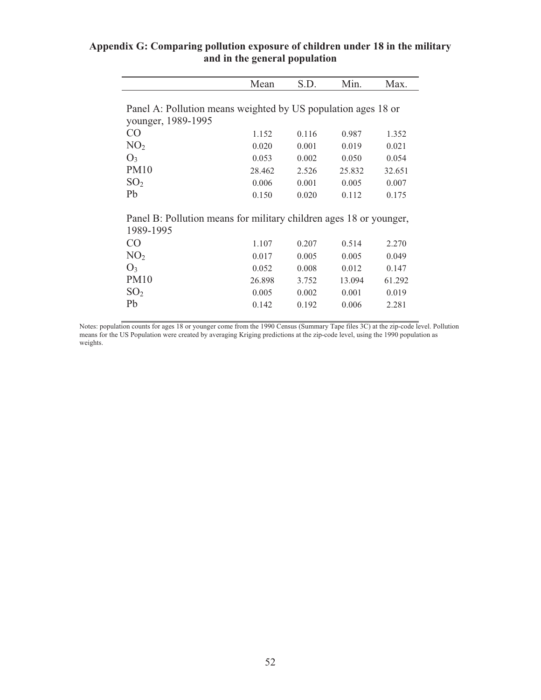| 1.152<br>0.020<br>0.053<br>28.462<br>0.006 | Panel A: Pollution means weighted by US population ages 18 or<br>0.116<br>0.001<br>0.002<br>2.526<br>0.001 | 0.987<br>0.019<br>0.050<br>25.832<br>0.005 | 1.352<br>0.021<br>0.054<br>32.651                                  |
|--------------------------------------------|------------------------------------------------------------------------------------------------------------|--------------------------------------------|--------------------------------------------------------------------|
|                                            |                                                                                                            |                                            |                                                                    |
|                                            |                                                                                                            |                                            |                                                                    |
|                                            |                                                                                                            |                                            |                                                                    |
|                                            |                                                                                                            |                                            |                                                                    |
|                                            |                                                                                                            |                                            |                                                                    |
|                                            |                                                                                                            |                                            |                                                                    |
|                                            |                                                                                                            |                                            |                                                                    |
|                                            |                                                                                                            |                                            | 0.007                                                              |
| 0.150                                      | 0.020                                                                                                      | 0.112                                      | 0.175                                                              |
|                                            |                                                                                                            |                                            |                                                                    |
|                                            |                                                                                                            |                                            |                                                                    |
|                                            |                                                                                                            |                                            |                                                                    |
| 1.107                                      | 0.207                                                                                                      | 0.514                                      | 2.270                                                              |
| 0.017                                      | 0.005                                                                                                      | 0.005                                      | 0.049                                                              |
| 0.052                                      | 0.008                                                                                                      | 0.012                                      | 0.147                                                              |
| 26.898                                     | 3.752                                                                                                      | 13.094                                     | 61.292                                                             |
| 0.005                                      | 0.002                                                                                                      | 0.001                                      | 0.019                                                              |
| 0.142                                      | 0.192                                                                                                      | 0.006                                      | 2.281                                                              |
|                                            |                                                                                                            |                                            | Panel B: Pollution means for military children ages 18 or younger, |

# **Appendix G: Comparing pollution exposure of children under 18 in the military and in the general population**

Notes: population counts for ages 18 or younger come from the 1990 Census (Summary Tape files 3C) at the zip-code level. Pollution means for the US Population were created by averaging Kriging predictions at the zip-code level, using the 1990 population as weights.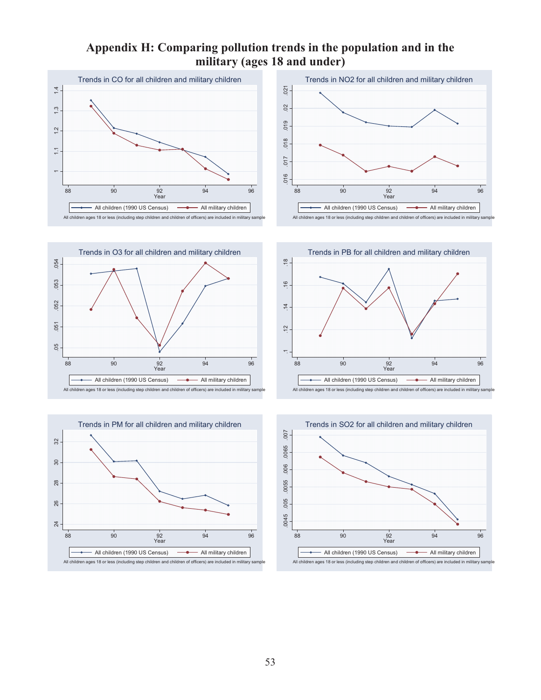# **Appendix H: Comparing pollution trends in the population and in the military (ages 18 and under)**











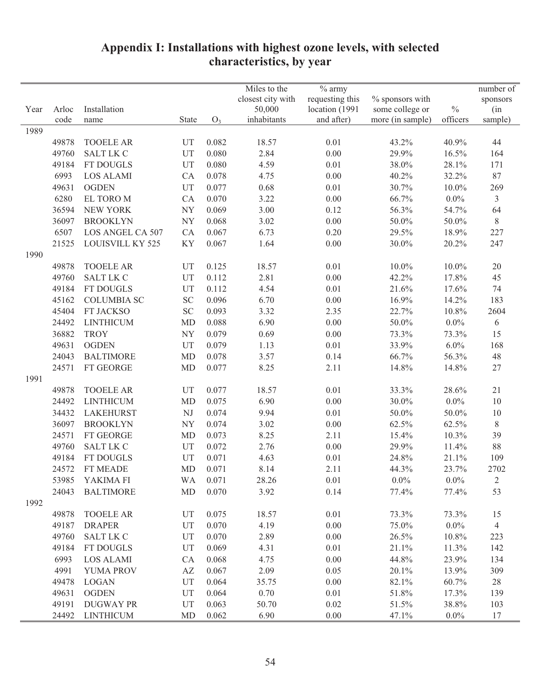|      |               |                    |                        |       | Miles to the          | $\frac{1}{2}$ army           |                                     |                           | number of      |
|------|---------------|--------------------|------------------------|-------|-----------------------|------------------------------|-------------------------------------|---------------------------|----------------|
|      |               |                    |                        |       | closest city with     | requesting this              | $%$ sponsors with                   |                           | sponsors       |
| Year | Arloc<br>code | Installation       | <b>State</b>           | $O_3$ | 50,000<br>inhabitants | location (1991<br>and after) | some college or<br>more (in sample) | $\frac{0}{0}$<br>officers | (in<br>sample) |
|      |               | name               |                        |       |                       |                              |                                     |                           |                |
| 1989 | 49878         | <b>TOOELE AR</b>   | UT                     | 0.082 | 18.57                 | 0.01                         | 43.2%                               | 40.9%                     | 44             |
|      | 49760         | <b>SALT LK C</b>   | UT                     | 0.080 | 2.84                  | 0.00                         | 29.9%                               | 16.5%                     | 164            |
|      | 49184         | <b>FT DOUGLS</b>   | UT                     | 0.080 | 4.59                  | 0.01                         | 38.0%                               | 28.1%                     | 171            |
|      | 6993          | <b>LOS ALAMI</b>   | CA                     | 0.078 | 4.75                  | 0.00                         | 40.2%                               | 32.2%                     | 87             |
|      | 49631         | <b>OGDEN</b>       | UT                     | 0.077 | 0.68                  | 0.01                         | 30.7%                               | $10.0\%$                  | 269            |
|      | 6280          | EL TORO M          | CA                     | 0.070 | 3.22                  | 0.00                         | 66.7%                               | $0.0\%$                   | 3              |
|      | 36594         | <b>NEW YORK</b>    | <b>NY</b>              | 0.069 | 3.00                  | 0.12                         | 56.3%                               | 54.7%                     | 64             |
|      | 36097         | <b>BROOKLYN</b>    | NY                     | 0.068 |                       | 0.00                         |                                     |                           |                |
|      |               |                    |                        |       | 3.02                  |                              | 50.0%                               | 50.0%                     | $\,$ 8 $\,$    |
|      | 6507          | LOS ANGEL CA 507   | CA                     | 0.067 | 6.73                  | 0.20                         | 29.5%                               | 18.9%                     | 227            |
| 1990 | 21525         | LOUISVILL KY 525   | KY                     | 0.067 | 1.64                  | 0.00                         | 30.0%                               | 20.2%                     | 247            |
|      | 49878         | <b>TOOELE AR</b>   | UT                     | 0.125 | 18.57                 | 0.01                         | $10.0\%$                            | $10.0\%$                  | $20\,$         |
|      | 49760         | <b>SALT LK C</b>   | UT                     | 0.112 | 2.81                  | 0.00                         | 42.2%                               | 17.8%                     | 45             |
|      | 49184         | <b>FT DOUGLS</b>   | UT                     | 0.112 | 4.54                  | 0.01                         | 21.6%                               | 17.6%                     | 74             |
|      | 45162         | <b>COLUMBIA SC</b> | <b>SC</b>              | 0.096 | 6.70                  | 0.00                         | 16.9%                               | 14.2%                     | 183            |
|      | 45404         | FT JACKSO          | <b>SC</b>              | 0.093 | 3.32                  | 2.35                         | 22.7%                               | 10.8%                     | 2604           |
|      | 24492         | <b>LINTHICUM</b>   | MD                     | 0.088 | 6.90                  | 0.00                         | 50.0%                               | $0.0\%$                   | $\sqrt{6}$     |
|      | 36882         | <b>TROY</b>        | NY                     | 0.079 | 0.69                  | 0.00                         | 73.3%                               | 73.3%                     | 15             |
|      | 49631         | <b>OGDEN</b>       | UT                     | 0.079 | 1.13                  | 0.01                         | 33.9%                               | 6.0%                      | 168            |
|      | 24043         | <b>BALTIMORE</b>   | <b>MD</b>              | 0.078 | 3.57                  | 0.14                         | 66.7%                               | 56.3%                     | 48             |
|      | 24571         | FT GEORGE          | <b>MD</b>              | 0.077 | 8.25                  | 2.11                         | 14.8%                               | 14.8%                     | 27             |
| 1991 |               |                    |                        |       |                       |                              |                                     |                           |                |
|      | 49878         | <b>TOOELE AR</b>   | UT                     | 0.077 | 18.57                 | 0.01                         | 33.3%                               | 28.6%                     | 21             |
|      | 24492         | <b>LINTHICUM</b>   | MD                     | 0.075 | 6.90                  | 0.00                         | 30.0%                               | $0.0\%$                   | $10\,$         |
|      | 34432         | <b>LAKEHURST</b>   | $\rm{NJ}$              | 0.074 | 9.94                  | 0.01                         | 50.0%                               | 50.0%                     | $10\,$         |
|      | 36097         | <b>BROOKLYN</b>    | NY                     | 0.074 | 3.02                  | 0.00                         | 62.5%                               | 62.5%                     | $8\,$          |
|      | 24571         | FT GEORGE          | MD                     | 0.073 | 8.25                  | 2.11                         | 15.4%                               | 10.3%                     | 39             |
|      | 49760         | <b>SALT LK C</b>   | UT                     | 0.072 | 2.76                  | 0.00                         | 29.9%                               | 11.4%                     | 88             |
|      | 49184         | FT DOUGLS          | UT                     | 0.071 | 4.63                  | 0.01                         | 24.8%                               | 21.1%                     | 109            |
|      | 24572         | <b>FT MEADE</b>    | MD                     | 0.071 | 8.14                  | 2.11                         | 44.3%                               | 23.7%                     | 2702           |
|      | 53985         | YAKIMA FI          | WA                     | 0.071 | 28.26                 | 0.01                         | $0.0\%$                             | $0.0\%$                   | $\overline{2}$ |
|      | 24043         | <b>BALTIMORE</b>   | MD                     | 0.070 | 3.92                  | 0.14                         | 77.4%                               | 77.4%                     | 53             |
| 1992 |               |                    |                        |       |                       |                              |                                     |                           |                |
|      | 49878         | <b>TOOELE AR</b>   | UT                     | 0.075 | 18.57                 | 0.01                         | 73.3%                               | 73.3%                     | 15             |
|      | 49187         | <b>DRAPER</b>      | UT                     | 0.070 | 4.19                  | 0.00                         | 75.0%                               | $0.0\%$                   | 4              |
|      | 49760         | <b>SALT LK C</b>   | UT                     | 0.070 | 2.89                  | 0.00                         | 26.5%                               | 10.8%                     | 223            |
|      | 49184         | <b>FT DOUGLS</b>   | UT                     | 0.069 | 4.31                  | 0.01                         | 21.1%                               | 11.3%                     | 142            |
|      | 6993          | <b>LOS ALAMI</b>   | CA                     | 0.068 | 4.75                  | 0.00                         | 44.8%                               | 23.9%                     | 134            |
|      | 4991          | YUMA PROV          | $\mathbf{A}\mathbf{Z}$ | 0.067 | 2.09                  | 0.05                         | 20.1%                               | 13.9%                     | 309            |
|      | 49478         | <b>LOGAN</b>       | UT                     | 0.064 | 35.75                 | 0.00                         | 82.1%                               | 60.7%                     | 28             |
|      | 49631         | <b>OGDEN</b>       | UT                     | 0.064 | 0.70                  | 0.01                         | 51.8%                               | 17.3%                     | 139            |
|      | 49191         | <b>DUGWAY PR</b>   | UT                     | 0.063 | 50.70                 | 0.02                         | 51.5%                               | 38.8%                     | 103            |
|      | 24492         | <b>LINTHICUM</b>   | MD                     | 0.062 | 6.90                  | 0.00                         | 47.1%                               | $0.0\%$                   | 17             |
|      |               |                    |                        |       |                       |                              |                                     |                           |                |

# **Appendix I: Installations with highest ozone levels, with selected characteristics, by year**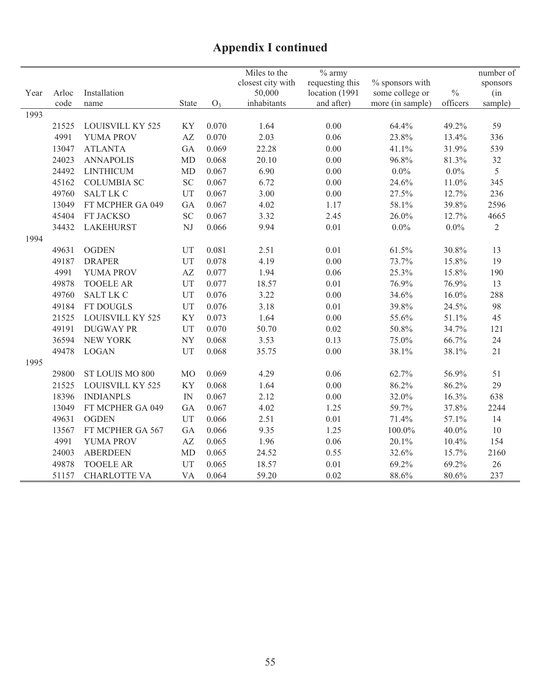# **Appendix I continued**

|      |       |                     |                        |                | Miles to the      | $%$ army        |                   |               | number of    |
|------|-------|---------------------|------------------------|----------------|-------------------|-----------------|-------------------|---------------|--------------|
|      |       |                     |                        |                | closest city with | requesting this | $%$ sponsors with |               | sponsors     |
| Year | Arloc | Installation        |                        |                | 50,000            | location (1991  | some college or   | $\frac{0}{0}$ | (in          |
|      | code  | name                | <b>State</b>           | O <sub>3</sub> | inhabitants       | and after)      | more (in sample)  | officers      | sample)      |
| 1993 |       |                     |                        |                |                   |                 |                   |               |              |
|      | 21525 | LOUISVILL KY 525    | KY                     | 0.070          | 1.64              | 0.00            | 64.4%             | 49.2%         | 59           |
|      | 4991  | YUMA PROV           | $\mathbf{A}\mathbf{Z}$ | 0.070          | 2.03              | 0.06            | 23.8%             | 13.4%         | 336          |
|      | 13047 | <b>ATLANTA</b>      | GA                     | 0.069          | 22.28             | 0.00            | 41.1%             | 31.9%         | 539          |
|      | 24023 | <b>ANNAPOLIS</b>    | <b>MD</b>              | 0.068          | 20.10             | 0.00            | 96.8%             | 81.3%         | 32           |
|      | 24492 | <b>LINTHICUM</b>    | MD                     | 0.067          | 6.90              | 0.00            | $0.0\%$           | $0.0\%$       | 5            |
|      | 45162 | <b>COLUMBIA SC</b>  | <b>SC</b>              | 0.067          | 6.72              | 0.00            | 24.6%             | 11.0%         | 345          |
|      | 49760 | <b>SALT LK C</b>    | UT                     | 0.067          | 3.00              | 0.00            | 27.5%             | 12.7%         | 236          |
|      | 13049 | FT MCPHER GA 049    | GA                     | 0.067          | 4.02              | 1.17            | 58.1%             | 39.8%         | 2596         |
|      | 45404 | FT JACKSO           | <b>SC</b>              | 0.067          | 3.32              | 2.45            | 26.0%             | 12.7%         | 4665         |
|      | 34432 | <b>LAKEHURST</b>    | $\mathbf{N}\mathbf{J}$ | 0.066          | 9.94              | 0.01            | $0.0\%$           | $0.0\%$       | $\mathbf{2}$ |
| 1994 |       |                     |                        |                |                   |                 |                   |               |              |
|      | 49631 | <b>OGDEN</b>        | UT                     | 0.081          | 2.51              | 0.01            | 61.5%             | 30.8%         | 13           |
|      | 49187 | <b>DRAPER</b>       | UT                     | 0.078          | 4.19              | 0.00            | 73.7%             | 15.8%         | 19           |
|      | 4991  | YUMA PROV           | $\mathbf{A}\mathbf{Z}$ | 0.077          | 1.94              | 0.06            | 25.3%             | 15.8%         | 190          |
|      | 49878 | <b>TOOELE AR</b>    | UT                     | 0.077          | 18.57             | 0.01            | 76.9%             | 76.9%         | 13           |
|      | 49760 | <b>SALT LK C</b>    | UT                     | 0.076          | 3.22              | 0.00            | 34.6%             | $16.0\%$      | 288          |
|      | 49184 | <b>FT DOUGLS</b>    | UT                     | 0.076          | 3.18              | 0.01            | 39.8%             | 24.5%         | 98           |
|      | 21525 | LOUISVILL KY 525    | KY                     | 0.073          | 1.64              | 0.00            | 55.6%             | 51.1%         | 45           |
|      | 49191 | <b>DUGWAY PR</b>    | UT                     | 0.070          | 50.70             | 0.02            | 50.8%             | 34.7%         | 121          |
|      | 36594 | <b>NEW YORK</b>     | NY                     | 0.068          | 3.53              | 0.13            | 75.0%             | 66.7%         | 24           |
|      | 49478 | <b>LOGAN</b>        | UT                     | 0.068          | 35.75             | 0.00            | 38.1%             | 38.1%         | 21           |
| 1995 |       |                     |                        |                |                   |                 |                   |               |              |
|      | 29800 | ST LOUIS MO 800     | M <sub>O</sub>         | 0.069          | 4.29              | 0.06            | 62.7%             | 56.9%         | 51           |
|      | 21525 | LOUISVILL KY 525    | KY                     | 0.068          | 1.64              | 0.00            | 86.2%             | 86.2%         | 29           |
|      | 18396 | <b>INDIANPLS</b>    | IN                     | 0.067          | 2.12              | 0.00            | 32.0%             | 16.3%         | 638          |
|      | 13049 | FT MCPHER GA 049    | GA                     | 0.067          | 4.02              | 1.25            | 59.7%             | 37.8%         | 2244         |
|      | 49631 | <b>OGDEN</b>        | UT                     | 0.066          | 2.51              | 0.01            | 71.4%             | 57.1%         | 14           |
|      | 13567 | FT MCPHER GA 567    | GA                     | 0.066          | 9.35              | 1.25            | 100.0%            | 40.0%         | 10           |
|      | 4991  | YUMA PROV           | $\mathbf{A}\mathbf{Z}$ | 0.065          | 1.96              | 0.06            | 20.1%             | 10.4%         | 154          |
|      | 24003 | <b>ABERDEEN</b>     | MD                     | 0.065          | 24.52             | 0.55            | 32.6%             | 15.7%         | 2160         |
|      | 49878 | <b>TOOELE AR</b>    | UT                     | 0.065          | 18.57             | 0.01            | 69.2%             | 69.2%         | 26           |
|      | 51157 | <b>CHARLOTTE VA</b> | <b>VA</b>              | 0.064          | 59.20             | 0.02            | 88.6%             | 80.6%         | 237          |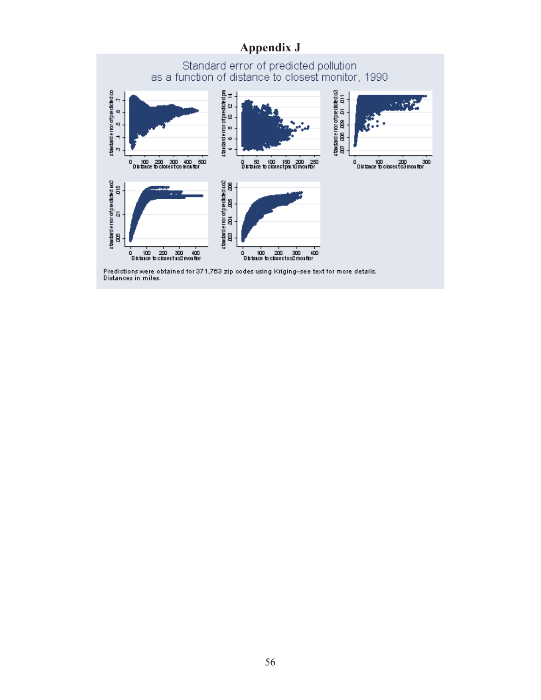# **Appendix J**

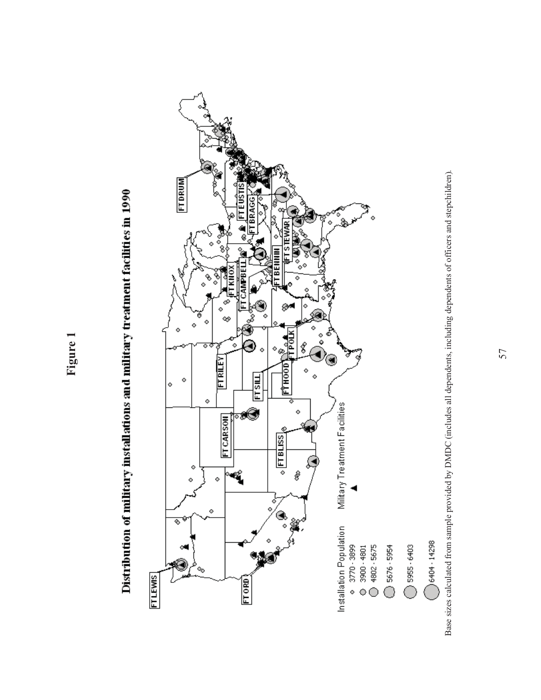**Figure 1** 





Base sizes calculated from sample provided by DMDC (includes all dependents, including dependents of officers and stepchildren). Base sizes calculated from sample provided by DMDC (includes all dependents, including dependents of officers and stepchildren).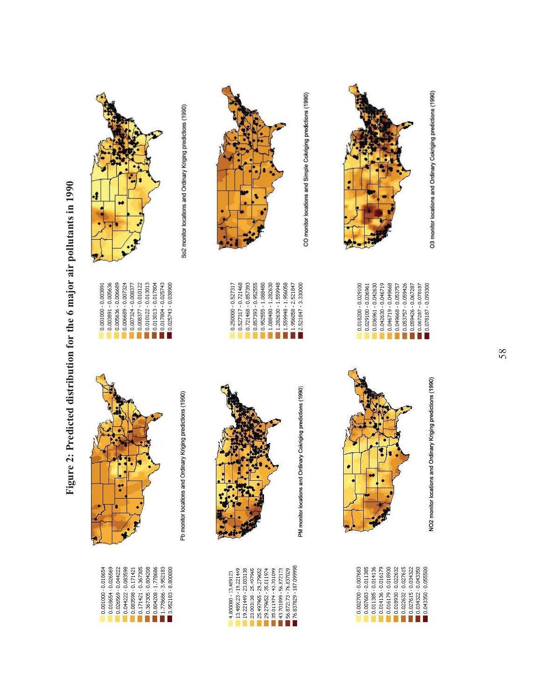Figure 2: Predicted distribution for the 6 major air pollutants in 1990 **Figure 2: Predicted distribution for the 6 major air pollutants in 1990**

| 0.001000 - 0.018654 | 0.018654 - 0.026569 | 0.026569 - 0.044222 | 0.044222 - 0.083598 | 0.083598 - 0.171421 | 0.171421 - 0.367305 | 0.367305 - 0.804208 | 0.804208 - 1.778686 | 778686 - 3.952183 | 3.952183 - 8.800000 |
|---------------------|---------------------|---------------------|---------------------|---------------------|---------------------|---------------------|---------------------|-------------------|---------------------|
|                     |                     |                     |                     |                     |                     |                     |                     |                   |                     |

ť



Pb monitor locations and Ordinary Kriging predictions (1990)

| $0.003891 -$<br>7<br>7<br>0.013013<br>0.005636<br>0.007324<br>0.017804 | 0.005636<br>0.006689<br>$0.008377 - 0.010122$<br>0.010122 - 0.013013<br>0.017804<br>0.001000 - 0.003891<br>$0.006689 - 0.007324$<br>0.008377 | 0.025743 - 0.038900<br>0.025743 |
|------------------------------------------------------------------------|----------------------------------------------------------------------------------------------------------------------------------------------|---------------------------------|
|------------------------------------------------------------------------|----------------------------------------------------------------------------------------------------------------------------------------------|---------------------------------|



So2 monitor locations and Ordinary Kriging predictions (1990)

4,800000-13,489123<br>19,221449 - 23,003138<br>19,221449 - 23,003138<br>23,003138 - 23,49965<br>23,79625 - 35,011974<br>28,011974 - 43,701099<br>143,011099 - 56,872173

 $\blacksquare$  56.872173 - 76.837029<br> $\blacksquare$  76.837029 - 107.099998

PM monitor locations and Ordinary Cokriging predictions (1990)

 $[1.089585 \cdot 1.089480  
\t1.108940 \cdot 1.282630  
\t1.282630 \cdot 1.539948  
\t1.282630 \cdot 1.559948  
\t1.55946 \cdot 1.550563  
\t1.956058 \cdot 2.521847  
\t2.521847 \cdot 3.300000$ 



 $-0.250000 - 0.527317$ 

 $\sim$ 

0.721468 - 0.857393 0.857393 - 0.952555

CO monitor locations and Simple Cokriging predictions (1990)



NO2 monitor locations and Ordinary Kriging predictions (1990)

O3 monitor locations and Ordinary Cokriging predictions (1990)

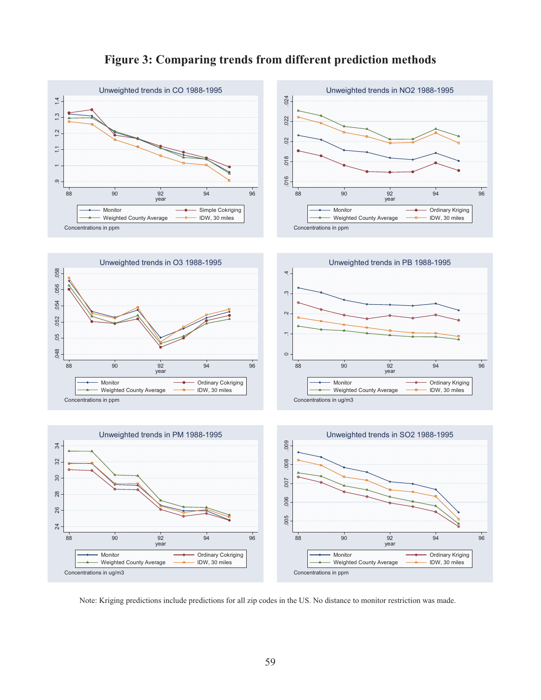# **Figure 3: Comparing trends from different prediction methods**



88 90 92 94 96 92<br>year

Weighted County Average

Concentrations in ug/m3

 $28$ 

26

24

Monitor - Ordinary Cokriging<br>Weighted County Average - B IDW, 30 miles



88 90 92 94 96 92<br>year

Weighted County Average

Concentrations in ppm

Monitor <del>Cameland County Average Constant</del> IDW, 30 miles



Note: Kriging predictions include predictions for all zip codes in the US. No distance to monitor restriction was made.

,006

005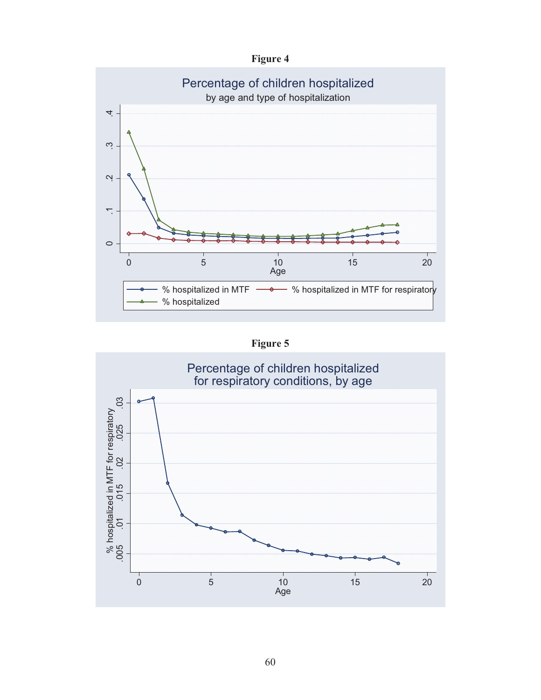**Figure 4** 



**Figure 5**

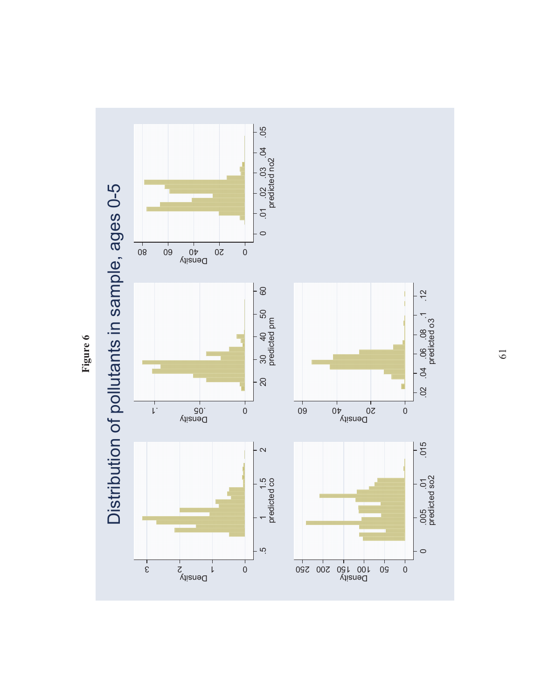

61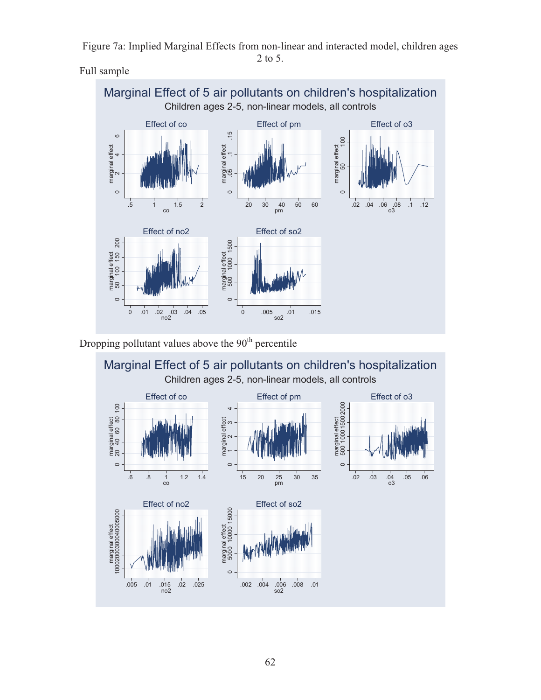Figure 7a: Implied Marginal Effects from non-linear and interacted model, children ages 2 to 5.

Full sample



Dropping pollutant values above the  $90<sup>th</sup>$  percentile

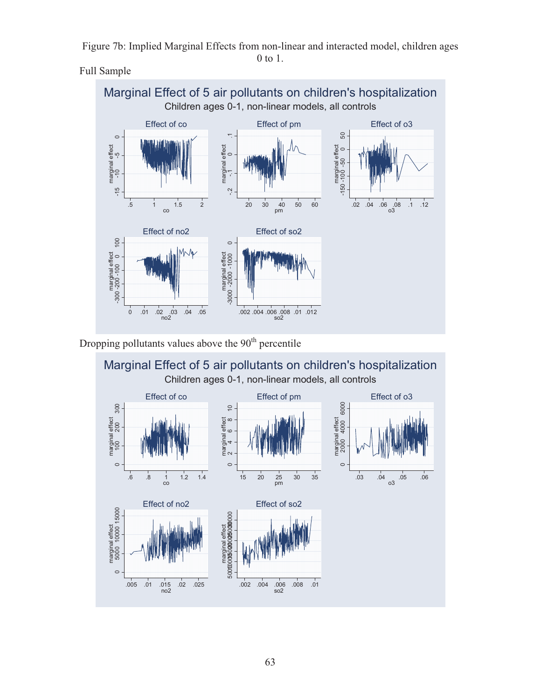Figure 7b: Implied Marginal Effects from non-linear and interacted model, children ages 0 to 1.

Full Sample



Dropping pollutants values above the  $90<sup>th</sup>$  percentile

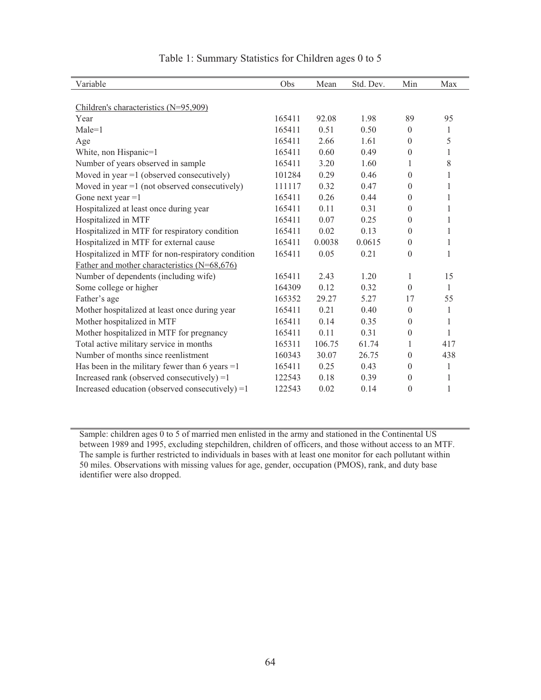| Obs    | Mean   | Std. Dev. | Min              | Max |
|--------|--------|-----------|------------------|-----|
|        |        |           |                  |     |
|        |        |           |                  |     |
| 165411 | 92.08  | 1.98      | 89               | 95  |
| 165411 | 0.51   | 0.50      | $\theta$         | 1   |
| 165411 | 2.66   | 1.61      | $\theta$         | 5   |
| 165411 | 0.60   | 0.49      | $\theta$         | 1   |
| 165411 | 3.20   | 1.60      | 1                | 8   |
| 101284 | 0.29   | 0.46      | $\theta$         | 1   |
| 111117 | 0.32   | 0.47      | $\theta$         | 1   |
| 165411 | 0.26   | 0.44      | $\theta$         | 1   |
| 165411 | 0.11   | 0.31      | $\theta$         | 1   |
| 165411 | 0.07   | 0.25      | $\theta$         | 1   |
| 165411 | 0.02   | 0.13      | $\theta$         | 1   |
| 165411 | 0.0038 | 0.0615    | $\theta$         | 1   |
| 165411 | 0.05   | 0.21      | $\theta$         | 1   |
|        |        |           |                  |     |
| 165411 | 2.43   | 1.20      | 1                | 15  |
| 164309 | 0.12   | 0.32      | $\theta$         | 1   |
| 165352 | 29.27  | 5.27      | 17               | 55  |
| 165411 | 0.21   | 0.40      | $\Omega$         | 1   |
| 165411 | 0.14   | 0.35      | $\theta$         | 1   |
| 165411 | 0.11   | 0.31      | $\boldsymbol{0}$ | 1   |
| 165311 | 106.75 | 61.74     | 1                | 417 |
| 160343 | 30.07  | 26.75     | $\theta$         | 438 |
| 165411 | 0.25   | 0.43      | $\theta$         | 1   |
| 122543 | 0.18   | 0.39      | $\theta$         | 1   |
| 122543 | 0.02   | 0.14      | $\theta$         | 1   |
|        |        |           |                  |     |

Table 1: Summary Statistics for Children ages 0 to 5

Sample: children ages 0 to 5 of married men enlisted in the army and stationed in the Continental US between 1989 and 1995, excluding stepchildren, children of officers, and those without access to an MTF. The sample is further restricted to individuals in bases with at least one monitor for each pollutant within 50 miles. Observations with missing values for age, gender, occupation (PMOS), rank, and duty base identifier were also dropped.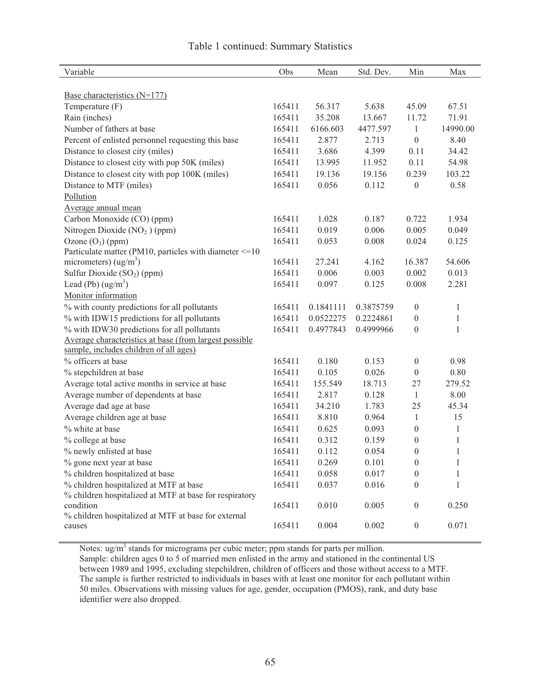| Variable                                                            | Obs    | Mean      | Std. Dev. | Min              | Max          |
|---------------------------------------------------------------------|--------|-----------|-----------|------------------|--------------|
|                                                                     |        |           |           |                  |              |
| Base characteristics (N=177)                                        |        |           |           |                  |              |
| Temperature (F)                                                     | 165411 | 56.317    | 5.638     | 45.09            | 67.51        |
| Rain (inches)                                                       | 165411 | 35.208    | 13.667    | 11.72            | 71.91        |
| Number of fathers at base                                           | 165411 | 6166.603  | 4477.597  | $\mathbf{1}$     | 14990.00     |
| Percent of enlisted personnel requesting this base                  | 165411 | 2.877     | 2.713     | $\boldsymbol{0}$ | 8.40         |
| Distance to closest city (miles)                                    | 165411 | 3.686     | 4.399     | 0.11             | 34.42        |
| Distance to closest city with pop 50K (miles)                       | 165411 | 13.995    | 11.952    | 0.11             | 54.98        |
| Distance to closest city with pop 100K (miles)                      | 165411 | 19.136    | 19.156    | 0.239            | 103.22       |
| Distance to MTF (miles)                                             | 165411 | 0.056     | 0.112     | $\boldsymbol{0}$ | 0.58         |
| Pollution                                                           |        |           |           |                  |              |
| Average annual mean                                                 |        |           |           |                  |              |
| Carbon Monoxide (CO) (ppm)                                          | 165411 | 1.028     | 0.187     | 0.722            | 1.934        |
| Nitrogen Dioxide $(NO2)$ (ppm)                                      | 165411 | 0.019     | 0.006     | 0.005            | 0.049        |
| Ozone $(O_3)$ (ppm)                                                 | 165411 | 0.053     | 0.008     | 0.024            | 0.125        |
| Particulate matter (PM10, particles with diameter <= 10             |        |           |           |                  |              |
| micrometers) $(ug/m3)$                                              | 165411 | 27.241    | 4.162     | 16.387           | 54.606       |
| Sulfur Dioxide (SO <sub>2</sub> ) (ppm)                             | 165411 | 0.006     | 0.003     | 0.002            | 0.013        |
| Lead (Pb) $(ug/m3)$                                                 | 165411 | 0.097     | 0.125     | 0.008            | 2.281        |
| Monitor information                                                 |        |           |           |                  |              |
| % with county predictions for all pollutants                        | 165411 | 0.1841111 | 0.3875759 | $\boldsymbol{0}$ | 1            |
| % with IDW15 predictions for all pollutants                         | 165411 | 0.0522275 | 0.2224861 | $\boldsymbol{0}$ | 1            |
| % with IDW30 predictions for all pollutants                         | 165411 | 0.4977843 | 0.4999966 | $\boldsymbol{0}$ | 1            |
| Average characteristics at base (from largest possible              |        |           |           |                  |              |
| sample, includes children of all ages)                              |        |           |           |                  |              |
| % officers at base                                                  | 165411 | 0.180     | 0.153     | $\boldsymbol{0}$ | 0.98         |
| % stepchildren at base                                              | 165411 | 0.105     | 0.026     | $\boldsymbol{0}$ | 0.80         |
| Average total active months in service at base                      | 165411 | 155.549   | 18.713    | 27               | 279.52       |
| Average number of dependents at base                                | 165411 | 2.817     | 0.128     | $\mathbf{1}$     | 8.00         |
| Average dad age at base                                             | 165411 | 34.210    | 1.783     | 25               | 45.34        |
| Average children age at base                                        | 165411 | 8.810     | 0.964     | $\mathbf{1}$     | 15           |
| % white at base                                                     | 165411 | 0.625     | 0.093     | $\boldsymbol{0}$ | $\mathbf{1}$ |
| % college at base                                                   | 165411 | 0.312     | 0.159     | $\mathbf{0}$     | $\mathbf{1}$ |
| % newly enlisted at base                                            | 165411 | 0.112     | 0.054     | $\mathbf{0}$     | $\mathbf{1}$ |
| % gone next year at base                                            | 165411 | 0.269     | 0.101     | $\boldsymbol{0}$ | $\mathbf{1}$ |
| % children hospitalized at base                                     | 165411 | 0.058     | 0.017     | $\boldsymbol{0}$ | 1            |
| % children hospitalized at MTF at base                              | 165411 | 0.037     | 0.016     | 0                | 1            |
| % children hospitalized at MTF at base for respiratory<br>condition |        |           |           |                  |              |
| % children hospitalized at MTF at base for external                 | 165411 | 0.010     | 0.005     | $\boldsymbol{0}$ | 0.250        |
| causes                                                              | 165411 | 0.004     | 0.002     | $\boldsymbol{0}$ | 0.071        |
|                                                                     |        |           |           |                  |              |

## Table 1 continued: Summary Statistics

Notes:  $\mu$ g/m<sup>3</sup> stands for micrograms per cubic meter; ppm stands for parts per million.

Sample: children ages 0 to 5 of married men enlisted in the army and stationed in the continental US between 1989 and 1995, excluding stepchildren, children of officers and those without access to a MTF. The sample is further restricted to individuals in bases with at least one monitor for each pollutant within 50 miles. Observations with missing values for age, gender, occupation (PMOS), rank, and duty base identifier were also dropped.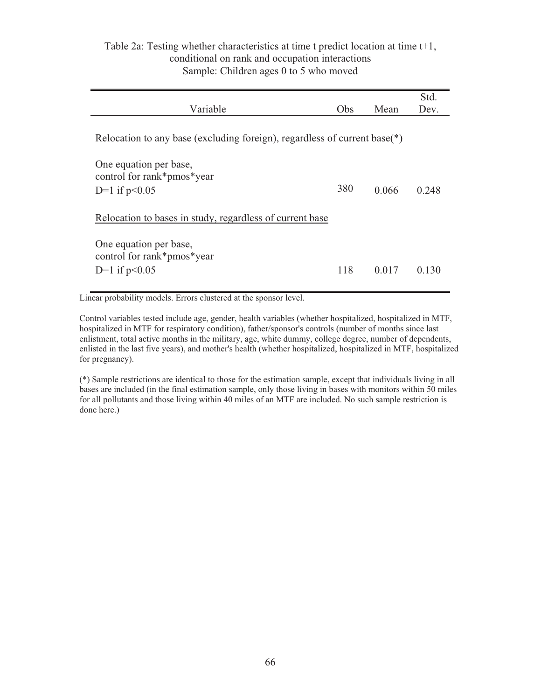## Table 2a: Testing whether characteristics at time t predict location at time t+1, conditional on rank and occupation interactions Sample: Children ages 0 to 5 who moved

| Variable                                                                  | Obs | Mean  | Std.<br>Dev. |
|---------------------------------------------------------------------------|-----|-------|--------------|
| Relocation to any base (excluding foreign), regardless of current base(*) |     |       |              |
| One equation per base,<br>control for rank*pmos*year<br>D=1 if $p<0.05$   | 380 | 0.066 | 0.248        |
| Relocation to bases in study, regardless of current base                  |     |       |              |
| One equation per base,<br>control for rank*pmos*year<br>D=1 if $p<0.05$   | 118 | 0.017 | 0.130        |

Linear probability models. Errors clustered at the sponsor level.

Control variables tested include age, gender, health variables (whether hospitalized, hospitalized in MTF, hospitalized in MTF for respiratory condition), father/sponsor's controls (number of months since last enlistment, total active months in the military, age, white dummy, college degree, number of dependents, enlisted in the last five years), and mother's health (whether hospitalized, hospitalized in MTF, hospitalized for pregnancy).

(\*) Sample restrictions are identical to those for the estimation sample, except that individuals living in all bases are included (in the final estimation sample, only those living in bases with monitors within 50 miles for all pollutants and those living within 40 miles of an MTF are included. No such sample restriction is done here.)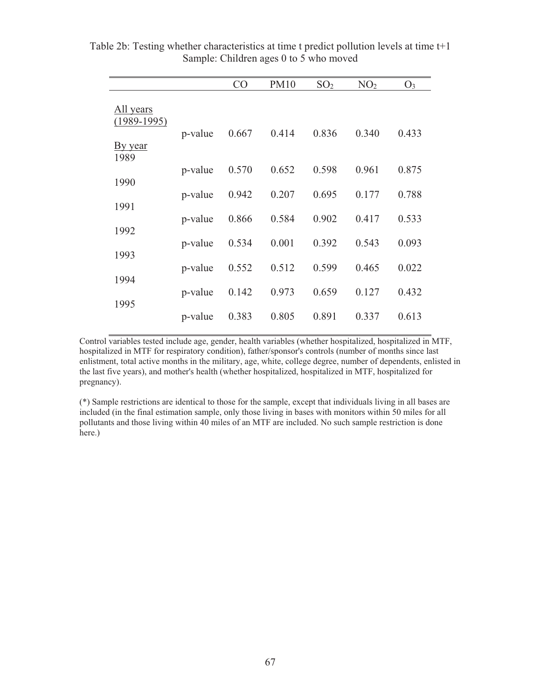|                            |         | CO    | <b>PM10</b> | SO <sub>2</sub> | NO <sub>2</sub> | $O_3$ |
|----------------------------|---------|-------|-------------|-----------------|-----------------|-------|
| All years<br>$(1989-1995)$ |         |       |             |                 |                 |       |
| By year                    | p-value | 0.667 | 0.414       | 0.836           | 0.340           | 0.433 |
| 1989<br>1990               | p-value | 0.570 | 0.652       | 0.598           | 0.961           | 0.875 |
| 1991                       | p-value | 0.942 | 0.207       | 0.695           | 0.177           | 0.788 |
| 1992                       | p-value | 0.866 | 0.584       | 0.902           | 0.417           | 0.533 |
| 1993                       | p-value | 0.534 | 0.001       | 0.392           | 0.543           | 0.093 |
| 1994                       | p-value | 0.552 | 0.512       | 0.599           | 0.465           | 0.022 |
| 1995                       | p-value | 0.142 | 0.973       | 0.659           | 0.127           | 0.432 |
|                            | p-value | 0.383 | 0.805       | 0.891           | 0.337           | 0.613 |

Table 2b: Testing whether characteristics at time t predict pollution levels at time t+1 Sample: Children ages 0 to 5 who moved

Control variables tested include age, gender, health variables (whether hospitalized, hospitalized in MTF, hospitalized in MTF for respiratory condition), father/sponsor's controls (number of months since last enlistment, total active months in the military, age, white, college degree, number of dependents, enlisted in the last five years), and mother's health (whether hospitalized, hospitalized in MTF, hospitalized for pregnancy).

(\*) Sample restrictions are identical to those for the sample, except that individuals living in all bases are included (in the final estimation sample, only those living in bases with monitors within 50 miles for all pollutants and those living within 40 miles of an MTF are included. No such sample restriction is done here.)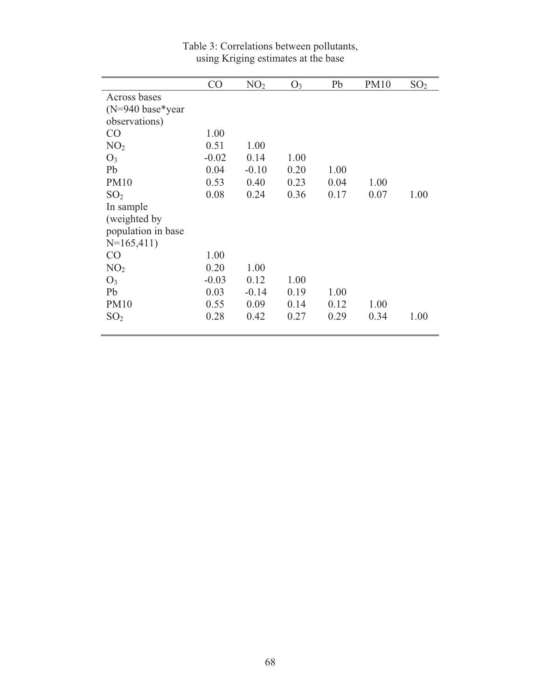|                              | CO      | NO <sub>2</sub> | $O_3$ | Pb   | <b>PM10</b> | SO <sub>2</sub> |
|------------------------------|---------|-----------------|-------|------|-------------|-----------------|
| Across bases                 |         |                 |       |      |             |                 |
| $(N=940 \text{ base*} year)$ |         |                 |       |      |             |                 |
| observations)                |         |                 |       |      |             |                 |
| CO                           | 1.00    |                 |       |      |             |                 |
| NO <sub>2</sub>              | 0.51    | 1.00            |       |      |             |                 |
| $O_3$                        | $-0.02$ | 0.14            | 1.00  |      |             |                 |
| Pb                           | 0.04    | $-0.10$         | 0.20  | 1.00 |             |                 |
| <b>PM10</b>                  | 0.53    | 0.40            | 0.23  | 0.04 | 1.00        |                 |
| SO <sub>2</sub>              | 0.08    | 0.24            | 0.36  | 0.17 | 0.07        | 1.00            |
| In sample                    |         |                 |       |      |             |                 |
| (weighted by)                |         |                 |       |      |             |                 |
| population in base           |         |                 |       |      |             |                 |
| $N=165,411$                  |         |                 |       |      |             |                 |
| CO                           | 1.00    |                 |       |      |             |                 |
| NO <sub>2</sub>              | 0.20    | 1.00            |       |      |             |                 |
| $O_3$                        | $-0.03$ | 0.12            | 1.00  |      |             |                 |
| Pb                           | 0.03    | $-0.14$         | 0.19  | 1.00 |             |                 |
| <b>PM10</b>                  | 0.55    | 0.09            | 0.14  | 0.12 | 1.00        |                 |
| SO <sub>2</sub>              | 0.28    | 0.42            | 0.27  | 0.29 | 0.34        | 1.00            |
|                              |         |                 |       |      |             |                 |

Table 3: Correlations between pollutants, using Kriging estimates at the base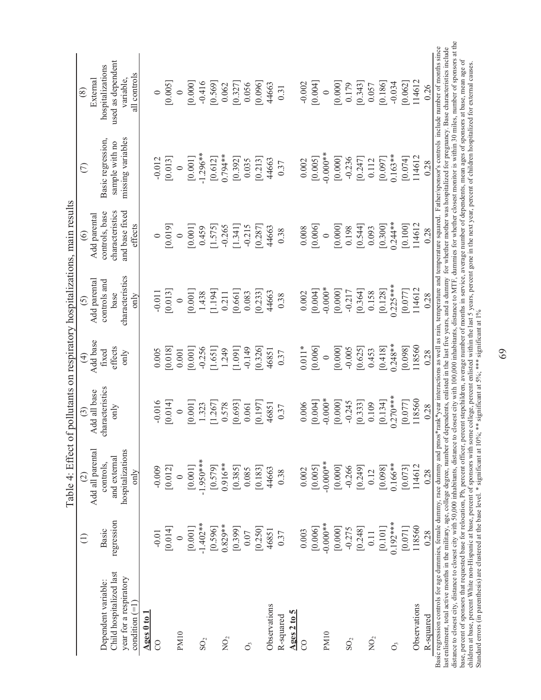|                             |                 |                    |                 |                   |                      | of pollutants on respiratory hospitalizations, main results |                   |                   |
|-----------------------------|-----------------|--------------------|-----------------|-------------------|----------------------|-------------------------------------------------------------|-------------------|-------------------|
|                             | $\widehat{\Xi}$ | $\widehat{\infty}$ | $\odot$         | $\left( 4\right)$ | $\widehat{\odot}$    | $\odot$                                                     | $\odot$           | (8)               |
|                             |                 | Add all parental   | Add all base    | Add base          | Add parental         | Add parental                                                |                   | External          |
| Dependent variable:         | Basic           | controls,          | characteristics | fixed             | controls and         | controls, base                                              | Basic regression, | hospitalizations  |
| Child hospitalized last     | regression      | and external       | only            | effects           | base                 | characteristics                                             | sample with no    | used as dependent |
| year for a respiratory      |                 | hospitalizations   |                 | only              | characteristics      | and base fixed                                              | missing variables | variable          |
| condition $(=1)$            |                 | only               |                 |                   | $\frac{1}{\sqrt{2}}$ | ettects                                                     |                   | all controls      |
| Ages 0 to                   |                 |                    |                 |                   |                      |                                                             |                   |                   |
| 8                           | $-0.01$         | $-0.009$           | $-0.016$        | 0.005             | $-0.011$             | $\circ$                                                     | $-0.012$          | $\circ$           |
|                             | [0.014]         | [0.012]            | [0.014]         | [0.018]           | [0.013]              | [0.019]                                                     | $[0.013]$         | [0.005]           |
| <b>PM10</b>                 |                 |                    | $\circ$         | 0.001             | $\circ$              | $\circ$                                                     | $\circ$           | $\circ$           |
|                             | [0.001]         | [0.001]            | [0.001]         | [0.001]           | [0.001]              | [0.001]                                                     | [0.001]           | [0.000]           |
| SO <sub>2</sub>             | $-1.402**$      | $-1.950***$        | 1.323           | $-0.256$          | 1.438                | 0.459                                                       | $-1.296***$       | $-0.416$          |
|                             | [0.596]         | [0.579]            | [1.267]         | [1.651]           | [1.194]              | [1.575]                                                     | [0.612]           | [0.569]           |
| $\rm{NO_2}$                 | $0.829**$       | $0.916**$          | 0.578           | 1.249             | 0.211                | $-0.265$                                                    | $0.794**$         | 0.062             |
|                             | [0.399]         | [0.385]            | [0.693]         | [1.091]           | [199.0]              | [1.341]                                                     | [0.392]           | [0.327]           |
| Ő                           | 0.07            | 0.085              | 0.061           | $-0.149$          | 0.083                | $-0.215$                                                    | 0.035             | 0.056             |
|                             | [0.250]         | [0.183]            | [0.197]         | [0.326]           | [0.233]              | [0.287]                                                     | [0.213]           | [0.096]           |
| Observations                | 46851           | 44663              | 46851           | 46851             | 44663                | 44663                                                       | 44663             | 44663             |
| R-squared                   | 0.37            | 0.38               | 0.37            | 0.37              | 0.38                 | 0.38                                                        | 0.37              | 0.31              |
| $\triangle$ ges 2 to 5      |                 |                    |                 |                   |                      |                                                             |                   |                   |
| 8                           | 0.003           | 0.002              | 0.006           | $0.011*$          | 0.002                | 0.008                                                       | 0.002             | $-0.002$          |
|                             | [0.006]         | [0.005]            | [0.004]         | [0.006]           | [0.004]              | [0.006]                                                     | [0.005]           | [0.004]           |
| PM10                        | $-0.000**$      | $-0.000**$         | $-0.000*$       | $\circ$           | $-0.000*$            | $\circ$                                                     | $-0.000**$        | $\circ$           |
|                             | [0.000]         | [0.000]            | [0.000]         | [0.000]           | [0.000]              | [0.000]                                                     | [0.000]           | [0.000]           |
| SO <sub>2</sub>             | $-0.275$        | $-0.266$           | $-0.245$        | $-0.005$          | $-0.217$             | 0.198                                                       | $-0.236$          | 0.179             |
|                             | [0.248]         | [0.249]            | [0.333]         | [0.625]           | [0.364]              | [0.544]                                                     | [0.247]           | [0.343]           |
| $\sum_{2}$                  | 0.11            | 0.12               | 0.109           | 0.453             | 0.158                | 0.093                                                       | 0.112             | 0.057             |
|                             | [0.101]         | [860.0]            | [0.134]         | [0.418]           | [0.128]              | [0.300]                                                     | [0.097]           | [0.186]           |
| $\mathcal{O}^{\mathcal{S}}$ | $0.192***$      | $0.166***$         | $0.270***$      | $0.248**$         | $0.225***$           | $0.244**$                                                   | $0.163**$         | $-0.034$          |
|                             | [0.071]         | [0.073]            | [0.077]         | [0.098]           | [0.077]              | [0.100]                                                     | [0.074]           | [0.062]           |
| Observations                | 118560          | 14612              | 118560          | 118560            | 114612               | 114612                                                      | 114612            | 114612            |
| R-squared                   | 0.28            | 0.28               | 0.28            | 0.28              | 0.28                 | 0.28                                                        | 0.28              | 0.26              |

the distance to closest city, distance to closest city with 50,000 inhabitants, distance to closest city with 100,000 inhabitants, distance to MTF, dummies for whether closest monitor is within 30 miles, number of sponsors at last enlistment, total active months in the military, age, college degree, number of dependents, enlisted in the last five years, and a dummy for whether mother was hospitalized for pregnancy. Base characteristics include Basic regression controls for age dummies, female dummy, race dummy and punct race to the set five years, and a dummy for whether mother was nosputated to the pression controls for age dummies, female dummy, race outlings base, percent of sponsors that requested base for relocation, Pb, percent officer, percent stepchildren, average number of average number of dependents, mean ages of sponsors at base, mean age of children at base, percent White non-Hispanic at base, percent of sponsors with some college, percent and last 5 years, percent gone in the next year, percent of children hospitalized for external causes. Standard errors (in parenthesis) are clustered at the base level. \* significant at 10%; \*\* significant at 5%; \*\*\* significant at 1%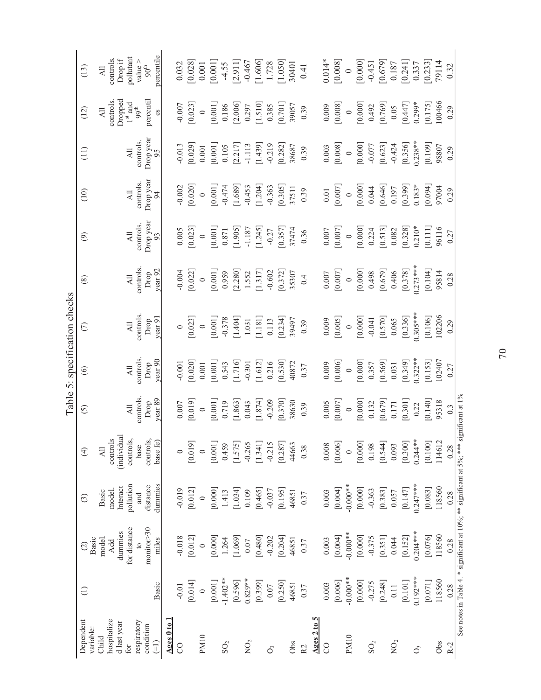|                               | (13)                     | controls.<br>$\overline{\mathsf{A}}$ ll       | pollutant<br>Drop if        | value $>$        | percentile<br>$90^{\rm th}$                     |                        | 0.032    | [0.028] | 0.001       | [0.001]            | $-4.55$         | [2.911] | $-0.467$   | [1.606]                                                                                        | 1.728          | [1.050] | 30401 | 0.41           |                        | $0.014*$  | [0.008] | $\circ$     | [0.000]                                                                                             | $-0.451$        | [0.679] | 0.187         | [0.241] | 0.337      | [0.233]             | 79114  | 0.32                                                                                                       |
|-------------------------------|--------------------------|-----------------------------------------------|-----------------------------|------------------|-------------------------------------------------|------------------------|----------|---------|-------------|--------------------|-----------------|---------|------------|------------------------------------------------------------------------------------------------|----------------|---------|-------|----------------|------------------------|-----------|---------|-------------|-----------------------------------------------------------------------------------------------------|-----------------|---------|---------------|---------|------------|---------------------|--------|------------------------------------------------------------------------------------------------------------|
|                               | (12)                     | controls<br>$\overline{\mathsf{A}}\mathbb{I}$ | Dropped<br>$1^{\rm st}$ and | $99^\mathrm{th}$ | percentil<br>es                                 |                        | $-0.007$ | [0.023] | $\circ$     | [0.001]            | 0.186           | [2.006] | 0.297      | [1.510]                                                                                        | 0.385          | [0.701] | 39057 | 0.39           |                        | 0.009     | [0.008] | $\circ$     | [0.000]                                                                                             | 0.492           | [0.769] | 0.05          | [0.447] | $0.299*$   | [0.175]             | 100466 | 0.29                                                                                                       |
|                               | $\frac{1}{2}$            |                                               | $\overline{AB}$             | controls.        | Drop year<br>95                                 |                        | $-0.013$ | [0.029] | 0.001       | [0.001]            | 0.105           | [2.217] | $-1.113$   | [1.439]                                                                                        | $-0.219$       | [0.282] | 38687 | 0.39           |                        | 0.003     | [800.0] | $\circ$     | [0.000]                                                                                             | $-0.077$        | [0.623] | $-0.424$      | [0.356] | $0.238**$  | [0.109]             | 98807  | 0.29                                                                                                       |
|                               | (10)                     |                                               | $\overline{AB}$             | controls.        | Drop year<br>94                                 |                        | $-0.002$ | [0.020] | $\circ$     | [100.0]            | $-0.474$        | [1.689] | $-0.453$   | [1.204]                                                                                        | $-0.363$       | [0.305] | 37511 | 0.39           |                        | $0.01\,$  | [0.007] | $\circ$     | [0.000]                                                                                             | 0.044           | [0.646] | 0.197         | [0.399] | $0.183*$   | [0.094]             | 97004  | 0.29                                                                                                       |
|                               | $\widehat{\mathfrak{G}}$ |                                               | $\overline{AB}$             | controls.        | Drop year<br>93                                 |                        | 0.005    | [0.023] | $\circ$     | [0.001]            | 0.871           | [1.905] | $-1.187$   | 1.245                                                                                          | $-0.27$        | [0.357] | 37474 | 0.36           |                        | $0.007\,$ | [0.007] | $\circ$     | [0.000]                                                                                             | 0.224           | [0.513] | 0.082         | [0.328] | $0.210*$   | [0.111]             | 96116  | 0.27                                                                                                       |
|                               | $\circledast$            |                                               | $\overline{AB}$             | controls         | year 92<br>Drop                                 |                        | $-0.004$ | [0.022] | $\circ$     | [100.0]            | 0.959           | [2.280] | 1.552      | [1.317]                                                                                        | $-0.602$       | [0.372] | 35307 | 0.4            |                        | $0.007\,$ | [0.007] | $\circ$     | [0.000]                                                                                             | 0.498           | [0.679] | 0.406         | [0.378] | $0.273***$ | [0.104]             | 95814  | 0.28                                                                                                       |
| Table 5: specification checks | $\widehat{C}$            |                                               | $\overline{\mathcal{A}}$ ll | controls.        | year 91<br>Drop                                 |                        | $\circ$  | [0.023] | $\circ$     | [0.001]            | $-0.378$        | [1.404] | 1.031      | [1.181]                                                                                        | 0.113          | [0.234] | 39497 | 0.39           |                        | 0.009     | [0.005] | $\circ$     | [0.000]                                                                                             | $-0.041$        | [0.570] | 0.065         | [0.336] | $0.305***$ | [0.106]             | 102206 | 0.29                                                                                                       |
|                               | $\odot$                  |                                               | $\overline{\mathsf{A}}$ ll  | controls.        | year 90<br>Drop                                 |                        | $-0.001$ | [0.020] | 0.001       | [0.001]            | 0.543           | [1.716] | $-0.301$   | [1.612]                                                                                        | 0.216          | [0.530] | 40872 | 0.37           |                        | 0.009     | [0.006] | $\circ$     | [0.000]                                                                                             | 0.357           | [0.569] | 0.031         | [0.349] | $0.322**$  | [0.153]             | 102407 | 0.27                                                                                                       |
|                               | $\odot$                  |                                               | $\overline{AB}$             | controls         | year 89<br>Drop                                 |                        | $0.007$  | [0.019] | $\circ$     | [0.001]            | 0.719           | [1.863] | 0.043      | [1.874]                                                                                        | $-0.209$       | [0.370] | 38630 | 0.39           |                        | 0.005     | [0.007] | $\circ$     | [0.000]                                                                                             | 0.132           | [0.679] | 0.171         | [0.301] | 0.22       | [0.140]             | 95318  | 0.3                                                                                                        |
|                               | $\bigoplus$              | controls<br>$\overline{\mathcal{A}}$ ll       | (individual<br>controls,    | base             | controls,<br>base fe)                           |                        | $\circ$  | [0.019] | $\circ$     | $[0.001]$<br>0.459 |                 |         |            | $\begin{array}{c} [1.575] \\ -0.265 \\ [1.341] \\ -0.215 \\ [0.287] \\ [0.287] \\ \end{array}$ |                |         |       | 0.38           |                        | 0.008     | [0.006] | $\circ$     | $\begin{array}{c} [0.000] \\ 0.198 \\ 0.544] \\ [0.544] \\ 0.093 \\ [0.300] \\ [0.300] \end{array}$ |                 |         |               |         |            | $[0.100]$<br>114612 |        | 0.28                                                                                                       |
|                               | ල                        | model.<br>Basic                               | pollution<br>Interact       | and              | dummies<br>distance                             |                        | $-0.019$ | [0.012] | $\circ$     | [0.000]            | 1.413           | [1.034] | 0.109      | [0.465]                                                                                        | $-0.037$       | [0.195] | 46851 | 0.37           |                        | 0.003     | [0.004] | $-0.000$ ** | [0.000]                                                                                             | $-0.363$        | [0.383] | 0.057         | [0.147] | $0.247***$ | [0.083]             | 118560 | 0.28                                                                                                       |
|                               | Basic<br>$\odot$         | model.<br>Add                                 | for distance<br>dummies     | $\mathbf{c}$     | monitor>30<br>miles                             |                        | $-0.018$ | [0.012] | $\circ$     | [0.000]            | 1.264           | [1.069] | 0.07       | [0.480]                                                                                        | $-0.202$       | [0.204] | 46851 | 0.37           |                        | 0.003     | [0.004] | $-0.000$ ** | [0.000]                                                                                             | $-0.375$        | [0.351] | 0.044         | [0.152] | $0.204***$ | [0.076]             | 118560 | See notes in Table 4. * significant at $10\%$ ; ** significant at $5\%$ ; *** significant at $1\%$<br>0.28 |
|                               | $\ominus$                |                                               |                             |                  | Basic                                           |                        | $-0.01$  | [0.014] | $\circ$     | [0.001]            | $-1.402**$      | [0.596] | $0.829**$  | [0.399]                                                                                        | $0.07$         | [0.250] | 46851 | 0.37           |                        | 0.003     | [0.006] | $-0.000**$  | [0.000]                                                                                             | $-0.275$        | [0.248] | 0.11          | [0.101] | $0.192***$ | [0.071]             | 118560 | 0.28                                                                                                       |
|                               | Dependent<br>variable:   | hospitalize<br>Child                          | d last year<br>for          | respiratory      | condition<br>$\begin{pmatrix} -1 \end{pmatrix}$ | $\triangle$ ges 0 to 1 | $\infty$ |         | <b>PM10</b> |                    | SO <sub>2</sub> |         | $\rm NO_2$ |                                                                                                | $\mathsf{O}_3$ |         | Obs   | R <sub>2</sub> | $\triangle$ ges 2 to 5 | 8         |         | <b>PM10</b> |                                                                                                     | SO <sub>2</sub> |         | $\rm{NO_{2}}$ |         | S          |                     | Obs    | $R-2$                                                                                                      |

70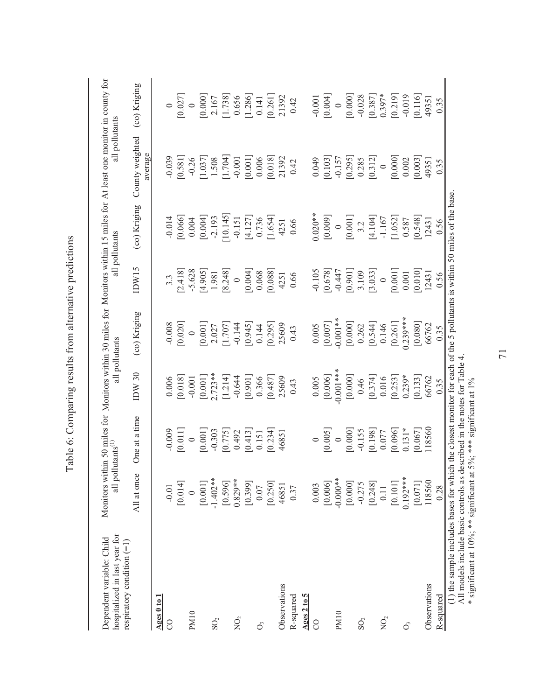| hospitalized in last year for<br>Dependent variable: Child                   |             | all pollutants $^{(1)}$                                                             |             | all pollutants |                  | all pollutants | Monitors within 50 miles for Monitors within 30 miles for Monitors within 15 miles for At least one monitor in county for<br>all pollutants |              |
|------------------------------------------------------------------------------|-------------|-------------------------------------------------------------------------------------|-------------|----------------|------------------|----------------|---------------------------------------------------------------------------------------------------------------------------------------------|--------------|
| respiratory condition $(=1)$                                                 | All at once | One at a time                                                                       | IDW 30      | (co) Kriging   | IDW15            | (co) Kriging   | County weighted<br>average                                                                                                                  | (co) Kriging |
| Ages 0 to                                                                    |             |                                                                                     |             |                |                  |                |                                                                                                                                             |              |
| $\overline{C}$                                                               | $-0.01$     | $-0.009$                                                                            | 0.006       | $-0.008$       | $3.\overline{3}$ | $-0.014$       | $-0.039$                                                                                                                                    |              |
|                                                                              | [0.014]     | [0.011]                                                                             | [0.018]     | [0.020]        | [2.418]          | [0.066]        | [0.581]                                                                                                                                     | [0.027]      |
| <b>PM10</b>                                                                  | $\circ$     | $\circ$                                                                             | $-0.001$    | $\circ$        | $-5.628$         | 0.004          | $-0.26$                                                                                                                                     | $\circ$      |
|                                                                              | [0.001]     | [0.001]                                                                             | [0.001]     | [0.001]        | [4.905]          | [0.004]        | [1.037]                                                                                                                                     | [0.000]      |
| ${\rm SO}_2$                                                                 | $-1.402**$  | $-0.303$                                                                            | $2.723**$   | 2.027          | 1.981            | $-2.193$       | 1.508                                                                                                                                       | 2.167        |
|                                                                              | [0.596]     | [0.775]                                                                             | [1.214]     | $[1.707]$      | [8.248]          | [10.145]       | [1.704]                                                                                                                                     | [1.738]      |
| $\overline{O}_2$                                                             | $0.829**$   | 0.492                                                                               | $-0.644$    | $-0.144$       | $\circ$          | $-0.151$       | $-0.001$                                                                                                                                    | 0.656        |
|                                                                              | [0.399]     | [0.413]                                                                             | [0.901]     | [0.945]        | [0.004]          | [4.127]        | [0.001]                                                                                                                                     | [1.286]      |
| Ò,                                                                           | 0.07        | 0.151                                                                               | 0.366       | 0.144          | 0.068            | 0.736          | 0.006                                                                                                                                       | 0.141        |
|                                                                              | [0.250]     | [0.234]                                                                             | [0.487]     | [0.295]        | [0.088]          | [1.654]        | [0.018]                                                                                                                                     | [0.261]      |
| Observations                                                                 | 46851       | 46851                                                                               | 25609       | 25609          | 4251             | 4251           | 21392                                                                                                                                       | 21392        |
| R-squared                                                                    | 0.37        |                                                                                     | 0.43        | 0.43           | 0.66             | 0.66           | 0.42                                                                                                                                        | 0.42         |
| Ages 2 to                                                                    |             |                                                                                     |             |                |                  |                |                                                                                                                                             |              |
| S                                                                            | 0.003       | $\circ$                                                                             | 0.005       | 0.005          | $-0.105$         | $0.020**$      | 0.049                                                                                                                                       | $-0.001$     |
|                                                                              | [0.006]     | [0.005]                                                                             | [0.006]     | [0.007]        | [0.678]          | [0.009]        | [0.103]                                                                                                                                     | [0.004]      |
| <b>PM10</b>                                                                  | $-0.000**$  | $\circ$                                                                             | $-0.001***$ | $-0.001**$     | $-0.447$         | $\circ$        | $-0.157$                                                                                                                                    | $\circ$      |
|                                                                              | [0.000]     | [0.000]                                                                             | [0.000]     | [0.000]        | [0.901]          | [0.001]        | [0.295]                                                                                                                                     | [0.000]      |
| ${\rm SO}_2$                                                                 | $-0.275$    | $-0.155$                                                                            | 0.46        | 0.262          | 3.109            | 3.2            | 0.285                                                                                                                                       | $-0.028$     |
|                                                                              | [0.248]     | [0.198]                                                                             | [0.374]     | [0.544]        | [3.033]          | [4.104]        | [0.312]                                                                                                                                     | [0.387]      |
| $\overrightarrow{D}_2$                                                       | 0.11        | 0.077                                                                               | 0.016       | 0.146          | $\circ$          | $-1.167$       | $\circ$                                                                                                                                     | $0.397*$     |
|                                                                              | [0.101]     | [960.0]                                                                             | [0.253]     | [0.261]        | [0.001]          | $[1.052]$      | [0.000]                                                                                                                                     | [0.219]      |
| $\overline{O}$                                                               | $0.192***$  | $0.131*$                                                                            | $0.239*$    | $0.239***$     | 0.001            | 0.587          | 0.002                                                                                                                                       | $-0.019$     |
|                                                                              | [0.071]     | [0.067]                                                                             | [0.133]     | [0.080]        | [0.10]           | $[8+5.0]$      | [0.003]                                                                                                                                     | [0.116]      |
| Observations                                                                 | 118560      | 118560                                                                              | 66762       | 66762          | 12431            | 12431          | 49351                                                                                                                                       | 49351        |
| R-squared                                                                    | 0.28        |                                                                                     | 0.35        | 0.35           | 0.56             | 0.56           | 0.35                                                                                                                                        | 0.35         |
| (1) the sample includes bases for whi                                        |             | ch the closest monitor for each of the 5 pollutants is within 50 miles of the base. |             |                |                  |                |                                                                                                                                             |              |
| All models include basic controls as described in the notes for Table 4      |             |                                                                                     |             |                |                  |                |                                                                                                                                             |              |
| * significant at $10\%$ ; ** significant at $5\%$ ; *** significant at $1\%$ |             |                                                                                     |             |                |                  |                |                                                                                                                                             |              |

Table 6: Comparing results from alternative predictions Table 6: Comparing results from alternative predictions

71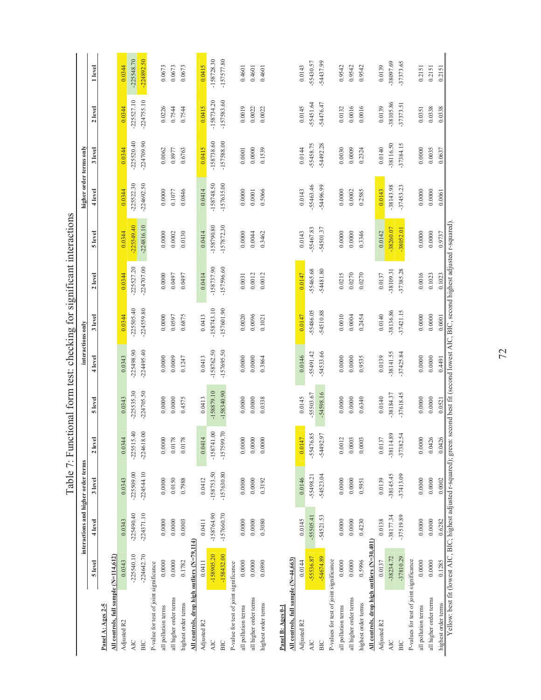|                                                                                                                                                    |              |              |                                                |                   |              | interactions only |              |                   |              |                                    |              |              |              |
|----------------------------------------------------------------------------------------------------------------------------------------------------|--------------|--------------|------------------------------------------------|-------------------|--------------|-------------------|--------------|-------------------|--------------|------------------------------------|--------------|--------------|--------------|
|                                                                                                                                                    | 5 level      | 4 level      | interactions and higher order terms<br>3 level | level<br>2        | 5 level      | 4 level           | 3 level      | $2 \text{ level}$ | $5$ level    | higher order terms only<br>4 level | 3 level      | $2$ level    | 1 level      |
| All controls, full sample (N=114,612)<br>Panel A: Ages 2-5                                                                                         |              |              |                                                |                   |              |                   |              |                   |              |                                    |              |              |              |
| Adjusted R2                                                                                                                                        | 0.0343       | 0.0343       | 0.0343                                         | 0.0344            | 0.0343       | 0.0343            | 0.0344       | 0.0344            | 0.0344       | 0.0344                             | 0.0344       | 0.0344       | 0.0344       |
| <b>AIC</b>                                                                                                                                         | $-225540.10$ | $-225490.40$ | $-225509.00$                                   | 5515.40<br>$-225$ | 225535.30    | 225498.90         | $-225505.40$ | $-225527.20$      | 225549.40    | $-225522.30$                       | $-225520.40$ | $-225527.10$ | $-225548.70$ |
| ВIС                                                                                                                                                | $-224642.70$ | $-224371.10$ | $-224544.10$                                   | 1618.00<br>$-224$ | $-224705.50$ | $-224495.40$      | $-224559.80$ | $-224707.00$      | 224816.10    | $-224692.50$                       | $-224709.90$ | $-224755.10$ | 224892.50    |
| P-value for test of joint significance                                                                                                             |              |              |                                                |                   |              |                   |              |                   |              |                                    |              |              |              |
| all pollution terms                                                                                                                                | 0.0000       | 0.0000       | 0.0000                                         | 0.0000            | 0.0000       | 0.0000            | 0.0000       | 0.0000            | 0.0000       | 0.0000                             | 0.0062       | 0.0226       | 0.0673       |
| all higher order terms                                                                                                                             | 0.0000       | 0.0000       | 0.0150                                         | 0.0178            | 0.0000       | 0.0009            | 0.0597       | 0.0497            | 0.0002       | 0.1077                             | 0.8977       | 0.7544       | 0.0673       |
| highest order terms                                                                                                                                | 0.1782       | 0.0003       | 0.7988                                         | 0.0178            | 0.4575       | 0.1247            | 0.6875       | 0.0497            | 0.0130       | 0.0846                             | 0.6763       | 0.7544       | 0.0673       |
| All controls, drop high outliers $(N=79,114)$                                                                                                      |              |              |                                                |                   |              |                   |              |                   |              |                                    |              |              |              |
| Adjusted R2                                                                                                                                        | 0.0411       | 0.0411       | 0.0412                                         | 0.0414            | 0.0413       | 0.0413            | 0.0413       | 0.0414            | 0.0414       | 0.0414                             | 0.0415       | 0.0415       | 0.0415       |
| <b>AIC</b>                                                                                                                                         | $-158905.20$ | $-158764.90$ | $-158753.50$                                   | $-158741.00$      | -158879.10   | -158762.50        | $-158743.10$ | -158737.90        | -158790.80   | $-158748.50$                       | -158738.60   | $-158734.20$ | $-158728.30$ |
| BIC                                                                                                                                                | $-158432.00$ | $-157660.70$ | -157630.80                                     | 7599.70<br>$-157$ | $-158340.90$ | -157695.50        | -157601.90   | -157596.60        | $-157872.30$ | -157635.00                         | $-157588.00$ | $-157583.60$ | $-157577.80$ |
| P-value for test of joint significance                                                                                                             |              |              |                                                |                   |              |                   |              |                   |              |                                    |              |              |              |
| all pollution terms                                                                                                                                | 0.0000       | 0.0000       | 0.0000                                         | 0.0000            | 0.0000       | 0.0000            | 0.0020       | 0.0031            | 0.0000       | 0.0000                             | 0.0001       | 0.0019       | 0.4601       |
| all higher order terms                                                                                                                             | 0.0000       | 0.0000       | 0.0000                                         | 0.0000            | 0.0000       | 0.0000            | 0.0096       | 0.0012            | 0.0044       | 0.0001                             | 0.0000       | 0.0022       | 0.4601       |
| highest order terms                                                                                                                                | 0.0890       | 0.3080       | 0.3192                                         | 0.0000            | 0.0338       | 0.3864            | 0.1021       | 0.0012            | 0.3462       | 0.5066                             | 0.1539       | 0.0022       | 0.4601       |
| Panel B: Ages 0-1                                                                                                                                  |              |              |                                                |                   |              |                   |              |                   |              |                                    |              |              |              |
| All controls, full sample (N=44,663)                                                                                                               |              |              |                                                |                   |              |                   |              |                   |              |                                    |              |              |              |
| Adjusted R2                                                                                                                                        | 0.0144       | 0.0145       | 0.0146                                         | 0.0147            | 0.0145       | 0.0146            | 0.0147       | 0.0147            | 0.0143       | 0.0143                             | 0.0144       | 0.0145       | 0.0143       |
| <b>AIC</b>                                                                                                                                         | $-55536.87$  | $-55505.41$  | $-55498.21$                                    | $-55476.85$       | $-55503.67$  | 55491.42          | -55486.05    | -55465.68         | -55467.83    | $-55463.46$                        | 55458.75     | $-55451.64$  | -55430.57    |
| BIC                                                                                                                                                | $-54674.89$  | $-54521.53$  | $-54523.04$                                    | $-54492.97$       | 54598.16     | $-54533.66$       | $-54510.88$  | $-54481.80$       | $-54501.37$  | $-54496.99$                        | $-54492.28$  | $-54476.47$  | $-54437.99$  |
| P-values for test of joint significance                                                                                                            |              |              |                                                |                   |              |                   |              |                   |              |                                    |              |              |              |
| all pollution terms                                                                                                                                | 0.0000       | 0.0000       | 0.0000                                         | 0.0012            | 0.0000       | 0.0000            | 0.0010       | 0.0215            | 0.0000       | 0.0000                             | 0.0030       | 0.0132       | 0.9542       |
| all higher order terms                                                                                                                             | 0.0000       | 0.0000       | 0.0000                                         | 0.0003            | 0.0000       | 0.0000            | 0.0004       | 0.0270            | 0.0000       | 0.0002                             | 0.0009       | 0.0016       | 0.9542       |
| highest order terms                                                                                                                                | 0.5996       | 0.4230       | 0.5951                                         | 0.0003            | 0.6340       | 0.9535            | 0.2454       | 0.0270            | 0.3346       | 0.2585                             | 0.2324       | 0.0016       | 0.9542       |
| All controls, drop high outliers (N=30,401)                                                                                                        |              |              |                                                |                   |              |                   |              |                   |              |                                    |              |              |              |
| Adjusted R2                                                                                                                                        | 0.0137       | 0.0138       | 0.0139                                         | 0.0137            | 0.0140       | 0.0139            | 0.0140       | 0.0137            | 0.0142       | 0.0143                             | 0.0140       | 0.0139       | 0.0139       |
| <b>AIC</b>                                                                                                                                         | $-38234.72$  | $-38177.34$  | $-38145.45$                                    | $-38114.89$       | $-38184.37$  | 38141.55          | -38136.86    | 38109.31          | -38260.07    | $-38143.98$                        | -38116.50    | 38105.86     | -38097.69    |
| BIC                                                                                                                                                | $-37810.29$  | -37519.89    | $-37413.09$                                    | $-37382.54$       | 37618.45     | $-37425.84$       | $-37421.15$  | 37385.28          | $-38052.01$  | $-37453.23$                        | $-37384.15$  | 37373.51     | $-37373.65$  |
| P-values for test of joint significance                                                                                                            |              |              |                                                |                   |              |                   |              |                   |              |                                    |              |              |              |
| all pollution terms                                                                                                                                | 0.0000       | 0.0000       | 0.0000                                         | 0.0000            | 0.0000       | 0.0000            | 0.0000       | 0.0016            | 0.0000       | 0.0000                             | 0.0000       | 0.0351       | 0.2151       |
| all higher order terms                                                                                                                             | 0.0000       | 0.0000       | 0.0000                                         | 0.0426            | 0.0000       | 0.0000            | 0.0000       | 0.1023            | 0.0000       | 0.0000                             | 0.0035       | 0.0338       | 0.2151       |
| highest order terms                                                                                                                                | 0.1285       | 0.6282       | 0.0002                                         | 0.0426            | 0.0521       | 0.4491            | 0.0001       | 0.1023            | 0.9737       | 0.0061                             | 0.0637       | 0.0338       | 0.2151       |
| Yellow: best fit (lowest AIC, BIC; highest adjusted r-squared); green: second best fit (second lowest AIC, BIC, second highest adjusted r-squared) |              |              |                                                |                   |              |                   |              |                   |              |                                    |              |              |              |

Table 7: Functional form test: checking for significant interactions Table 7: Functional form test: checking for significant interactions

72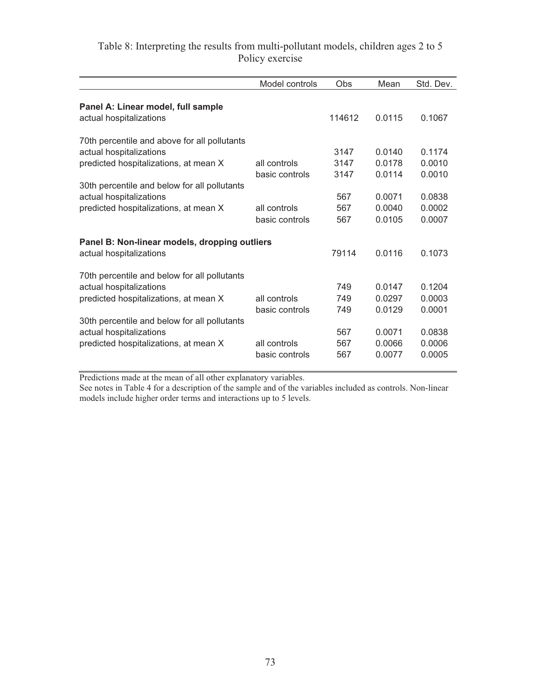| Table 8: Interpreting the results from multi-pollutant models, children ages 2 to 5 |                 |  |
|-------------------------------------------------------------------------------------|-----------------|--|
|                                                                                     | Policy exercise |  |

|                                                                                                                                                                                                                                      | Model controls                                                   | Obs                                    | Mean                                                     | Std. Dev.                                                |
|--------------------------------------------------------------------------------------------------------------------------------------------------------------------------------------------------------------------------------------|------------------------------------------------------------------|----------------------------------------|----------------------------------------------------------|----------------------------------------------------------|
| Panel A: Linear model, full sample<br>actual hospitalizations                                                                                                                                                                        |                                                                  | 114612                                 | 0.0115                                                   | 0.1067                                                   |
| 70th percentile and above for all pollutants<br>actual hospitalizations<br>predicted hospitalizations, at mean X<br>30th percentile and below for all pollutants<br>actual hospitalizations                                          | all controls<br>basic controls                                   | 3147<br>3147<br>3147<br>567<br>567     | 0.0140<br>0.0178<br>0.0114<br>0.0071<br>0.0040           | 0.1174<br>0.0010<br>0.0010<br>0.0838<br>0.0002           |
| predicted hospitalizations, at mean X                                                                                                                                                                                                | all controls<br>basic controls                                   | 567                                    | 0.0105                                                   | 0.0007                                                   |
| Panel B: Non-linear models, dropping outliers<br>actual hospitalizations                                                                                                                                                             | 79114                                                            | 0.0116                                 | 0.1073                                                   |                                                          |
| 70th percentile and below for all pollutants<br>actual hospitalizations<br>predicted hospitalizations, at mean X<br>30th percentile and below for all pollutants<br>actual hospitalizations<br>predicted hospitalizations, at mean X | all controls<br>basic controls<br>all controls<br>basic controls | 749<br>749<br>749<br>567<br>567<br>567 | 0.0147<br>0.0297<br>0.0129<br>0.0071<br>0.0066<br>0.0077 | 0.1204<br>0.0003<br>0.0001<br>0.0838<br>0.0006<br>0.0005 |

Predictions made at the mean of all other explanatory variables.

See notes in Table 4 for a description of the sample and of the variables included as controls. Non-linear models include higher order terms and interactions up to 5 levels.